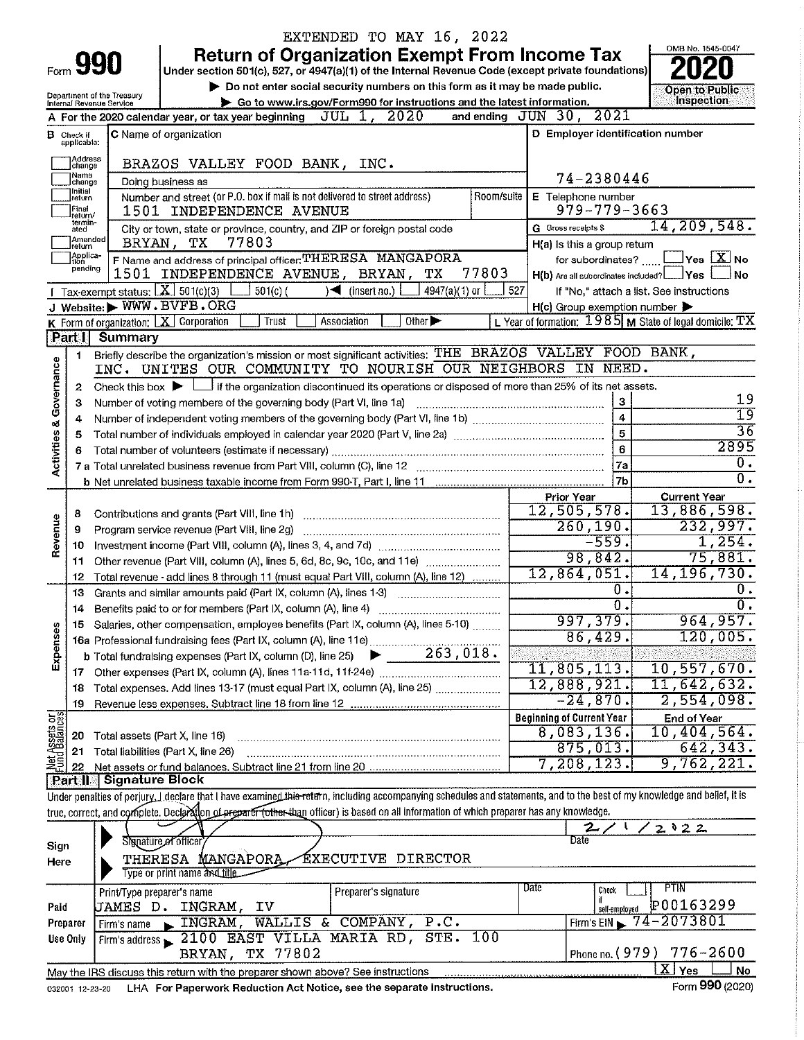|                                                                                                                                                                                                                                   |                                  |                            |                                                                                                                                                                            | EXTENDED TO MAY 16, 2022                           |            |                                                     |                   |                                                           |  |
|-----------------------------------------------------------------------------------------------------------------------------------------------------------------------------------------------------------------------------------|----------------------------------|----------------------------|----------------------------------------------------------------------------------------------------------------------------------------------------------------------------|----------------------------------------------------|------------|-----------------------------------------------------|-------------------|-----------------------------------------------------------|--|
|                                                                                                                                                                                                                                   |                                  |                            | <b>Return of Organization Exempt From Income Tax</b>                                                                                                                       |                                                    |            |                                                     |                   | OMB No. 1545-0047                                         |  |
|                                                                                                                                                                                                                                   | <b>Form 990</b>                  |                            | Under section 501(c), 527, or 4947(a)(1) of the Internal Revenue Code (except private foundations)                                                                         |                                                    |            |                                                     |                   |                                                           |  |
|                                                                                                                                                                                                                                   |                                  |                            | Do not enter social security numbers on this form as it may be made public.                                                                                                |                                                    |            | <b>Open to Public</b>                               |                   |                                                           |  |
| Department of the Treasury<br>Go to www.irs.gov/Form990 for instructions and the latest information.<br>Internal Revenue Service<br>and ending JUN 30, 2021<br>JUL 1, 2020<br>A For the 2020 calendar year, or tax year beginning |                                  |                            |                                                                                                                                                                            |                                                    |            |                                                     |                   | Inspection                                                |  |
|                                                                                                                                                                                                                                   |                                  |                            |                                                                                                                                                                            |                                                    |            |                                                     |                   |                                                           |  |
| <b>B</b> Check if                                                                                                                                                                                                                 | D Employer identification number |                            |                                                                                                                                                                            |                                                    |            |                                                     |                   |                                                           |  |
|                                                                                                                                                                                                                                   | applicable:                      |                            |                                                                                                                                                                            |                                                    |            |                                                     |                   |                                                           |  |
|                                                                                                                                                                                                                                   | Address<br>change                |                            | BRAZOS VALLEY FOOD BANK, INC.                                                                                                                                              |                                                    |            |                                                     |                   |                                                           |  |
|                                                                                                                                                                                                                                   | Name<br>change                   | Doing business as          |                                                                                                                                                                            |                                                    |            |                                                     | 74-2380446        |                                                           |  |
|                                                                                                                                                                                                                                   | 1 Initial<br>return              |                            | Number and street (or P.O. box if mail is not delivered to street address)                                                                                                 |                                                    | Room/suite | E Telephone number                                  |                   |                                                           |  |
|                                                                                                                                                                                                                                   | Final<br>return/                 |                            | 1501 INDEPENDENCE AVENUE                                                                                                                                                   |                                                    |            |                                                     | 979-779-3663      |                                                           |  |
|                                                                                                                                                                                                                                   | termin-<br>ated                  |                            | City or town, state or province, country, and ZIP or foreign postal code                                                                                                   |                                                    |            | <b>G</b> Gross receipts \$                          |                   | 14, 209, 548.                                             |  |
|                                                                                                                                                                                                                                   | Amended<br>Ireturn               | BRYAN,                     | 77803<br>тx                                                                                                                                                                |                                                    |            | H(a) is this a group return                         |                   |                                                           |  |
|                                                                                                                                                                                                                                   | Applica-<br>tion                 |                            | F Name and address of principal officer: THERESA MANGAPORA                                                                                                                 |                                                    |            |                                                     | for subordinates? | $\sqrt{}$ Yes $\sqrt{X}$ No                               |  |
|                                                                                                                                                                                                                                   | pending                          |                            | 1501 INDEPENDENCE AVENUE, BRYAN, TX                                                                                                                                        |                                                    | 77803      |                                                     |                   | H(b) Are all subordinates included? ________ Yes<br>.l No |  |
|                                                                                                                                                                                                                                   |                                  |                            | Tax-exempt status: $X \overline{X}$ 501(c)(3) $\overline{L}$<br>$501(c)$ (                                                                                                 | 4947(a)(1) or<br>$\sqrt{ }$ (insert no.) $\lfloor$ | 527        |                                                     |                   | If "No," attach a list. See instructions                  |  |
|                                                                                                                                                                                                                                   |                                  |                            | J Website: WWW.BVFB.ORG                                                                                                                                                    |                                                    |            | $H(c)$ Group exemption number $\blacktriangleright$ |                   |                                                           |  |
|                                                                                                                                                                                                                                   |                                  |                            | <b>K</b> Form of organization: $\boxed{\textbf{X}}$ Corporation<br>Association<br>Trust                                                                                    | Other $\blacktriangleright$                        |            |                                                     |                   | L Year of formation: $1985$ M State of legal domicile: TX |  |
|                                                                                                                                                                                                                                   |                                  | Part I Summary             |                                                                                                                                                                            |                                                    |            |                                                     |                   |                                                           |  |
|                                                                                                                                                                                                                                   | 1                                |                            | Briefly describe the organization's mission or most significant activities; THE BRAZOS VALLEY FOOD BANK,                                                                   |                                                    |            |                                                     |                   |                                                           |  |
|                                                                                                                                                                                                                                   |                                  |                            | INC. UNITES OUR COMMUNITY TO NOURISH OUR NEIGHBORS IN NEED.                                                                                                                |                                                    |            |                                                     |                   |                                                           |  |
|                                                                                                                                                                                                                                   | 2                                |                            | Check this box $\blacktriangleright$ $\Box$ if the organization discontinued its operations or disposed of more than 25% of its net assets.                                |                                                    |            |                                                     |                   |                                                           |  |
|                                                                                                                                                                                                                                   | з                                |                            | Number of voting members of the governing body (Part VI, line 1a)                                                                                                          |                                                    |            |                                                     | $\boldsymbol{3}$  | 19                                                        |  |
|                                                                                                                                                                                                                                   | 4                                |                            |                                                                                                                                                                            |                                                    |            |                                                     | $\overline{4}$    | $\overline{19}$                                           |  |
| Activities & Governance                                                                                                                                                                                                           | 5                                |                            |                                                                                                                                                                            |                                                    |            |                                                     | 5                 | 36                                                        |  |
|                                                                                                                                                                                                                                   | 6                                |                            |                                                                                                                                                                            |                                                    |            |                                                     | 6                 | 2895                                                      |  |
|                                                                                                                                                                                                                                   |                                  |                            |                                                                                                                                                                            |                                                    |            |                                                     | 7a                | $0$ .                                                     |  |
|                                                                                                                                                                                                                                   |                                  |                            |                                                                                                                                                                            |                                                    |            |                                                     | 7 <sub>b</sub>    | $\overline{0}$ .                                          |  |
|                                                                                                                                                                                                                                   |                                  |                            |                                                                                                                                                                            |                                                    |            | <b>Prior Year</b>                                   |                   | <b>Current Year</b>                                       |  |
|                                                                                                                                                                                                                                   | 8                                |                            |                                                                                                                                                                            |                                                    |            | 12,505,578.                                         |                   | 13,886,598.                                               |  |
| Revenue                                                                                                                                                                                                                           | 9                                |                            | Program service revenue (Part VIII, line 2g)                                                                                                                               |                                                    |            | 260, 190.                                           |                   | 232,997.                                                  |  |
|                                                                                                                                                                                                                                   | 10                               |                            |                                                                                                                                                                            |                                                    |            |                                                     | $-559.$           | 1,254.                                                    |  |
|                                                                                                                                                                                                                                   | 11                               |                            | Other revenue (Part VIII, column (A), lines 5, 6d, 8c, 9c, 10c, and 11e)                                                                                                   |                                                    |            |                                                     | 98,842.           | 75,881.                                                   |  |
|                                                                                                                                                                                                                                   | 12                               |                            | Total revenue - add lines 8 through 11 (must equal Part VIII, column (A), line 12)                                                                                         |                                                    |            | 12,864,051.                                         |                   | 14, 196, 730.                                             |  |
|                                                                                                                                                                                                                                   | 13                               |                            | Grants and similar amounts paid (Part IX, column (A), lines 1-3)                                                                                                           |                                                    |            |                                                     | Ο.                | 0.                                                        |  |
|                                                                                                                                                                                                                                   | 14                               |                            |                                                                                                                                                                            |                                                    |            |                                                     | $\overline{0}$ .  | σ.                                                        |  |
|                                                                                                                                                                                                                                   | 15                               |                            | Salaries, other compensation, employee benefits (Part IX, column (A), lines 5-10)                                                                                          |                                                    |            | <u>997,379.</u>                                     |                   | 964,957.                                                  |  |
| Expenses                                                                                                                                                                                                                          |                                  |                            |                                                                                                                                                                            |                                                    |            |                                                     | 86,429.           | 120,005.                                                  |  |
|                                                                                                                                                                                                                                   |                                  |                            |                                                                                                                                                                            |                                                    |            |                                                     |                   |                                                           |  |
|                                                                                                                                                                                                                                   | 17                               |                            |                                                                                                                                                                            |                                                    |            | 11,805,113.                                         |                   | 10,557,670.                                               |  |
|                                                                                                                                                                                                                                   | 18                               |                            | Total expenses. Add lines 13-17 (must equal Part IX, column (A), line 25)                                                                                                  |                                                    |            | 12,888,921.                                         |                   | 11,642,632.                                               |  |
|                                                                                                                                                                                                                                   | 19                               |                            |                                                                                                                                                                            |                                                    |            | $-24,870$ .                                         |                   | 2,554,098.                                                |  |
| Net Assets or                                                                                                                                                                                                                     |                                  |                            |                                                                                                                                                                            |                                                    |            | <b>Beginning of Current Year</b>                    |                   | End of Year                                               |  |
|                                                                                                                                                                                                                                   | 20                               |                            | Total assets (Part X, line 16)                                                                                                                                             |                                                    |            | 8,083,136.                                          |                   | 10,404,564.                                               |  |
|                                                                                                                                                                                                                                   | 21                               |                            | Total liabilities (Part X, line 26)                                                                                                                                        |                                                    |            | 875,013.                                            |                   | 642, 343.                                                 |  |
|                                                                                                                                                                                                                                   | 22                               |                            |                                                                                                                                                                            |                                                    |            | 7,208,123.                                          |                   | 9,762,221.                                                |  |
|                                                                                                                                                                                                                                   | <b>Part II</b>                   | <b>Signature Block</b>     |                                                                                                                                                                            |                                                    |            |                                                     |                   |                                                           |  |
|                                                                                                                                                                                                                                   |                                  |                            | Under penalties of perjury, I declare that I have examined this return, including accompanying schedules and statements, and to the best of my knowledge and belief, it is |                                                    |            |                                                     |                   |                                                           |  |
|                                                                                                                                                                                                                                   |                                  |                            | true, correct, and complete. Declaration of preparer (other than officer) is based on all information of which preparer has any knowledge.                                 |                                                    |            |                                                     |                   |                                                           |  |
|                                                                                                                                                                                                                                   |                                  |                            | Signature of officer                                                                                                                                                       |                                                    |            | Date                                                |                   | 2022                                                      |  |
| Sign                                                                                                                                                                                                                              |                                  |                            |                                                                                                                                                                            |                                                    |            |                                                     |                   |                                                           |  |
| Here                                                                                                                                                                                                                              |                                  |                            | THERESA MANGAPORA.                                                                                                                                                         | <i>EXECUTIVE DIRECTOR</i>                          |            |                                                     |                   |                                                           |  |
|                                                                                                                                                                                                                                   |                                  |                            | Type or print name and title.                                                                                                                                              |                                                    |            | Date                                                |                   | PTIN                                                      |  |
|                                                                                                                                                                                                                                   |                                  | Print/Type preparer's name |                                                                                                                                                                            | Preparer's signature                               |            |                                                     | Check<br>if.      |                                                           |  |
| Paid                                                                                                                                                                                                                              |                                  |                            | JAMES D. INGRAM, IV                                                                                                                                                        |                                                    |            |                                                     | self-employed     | P00163299                                                 |  |
|                                                                                                                                                                                                                                   | Preparer                         | Firm's name                | INGRAM, WALLIS & COMPANY, P.C.                                                                                                                                             |                                                    |            |                                                     | Firm's $EIN$      | 74-2073801                                                |  |
|                                                                                                                                                                                                                                   | Use Only                         |                            | Firm's address 2100 EAST VILLA MARIA RD, STE.                                                                                                                              |                                                    | 100        |                                                     |                   |                                                           |  |
|                                                                                                                                                                                                                                   |                                  |                            | BRYAN, TX 77802                                                                                                                                                            |                                                    |            |                                                     | Phone no. (979)   | $776 - 2600$                                              |  |
|                                                                                                                                                                                                                                   |                                  |                            | May the IRS discuss this return with the preparer shown above? See instructions                                                                                            |                                                    |            |                                                     |                   | $\overline{\text{X}}$   Yes<br>No                         |  |
|                                                                                                                                                                                                                                   | 032001 12-23-20                  |                            | LHA For Paperwork Reduction Act Notice, see the separate instructions.                                                                                                     |                                                    |            |                                                     |                   | Form 990 (2020)                                           |  |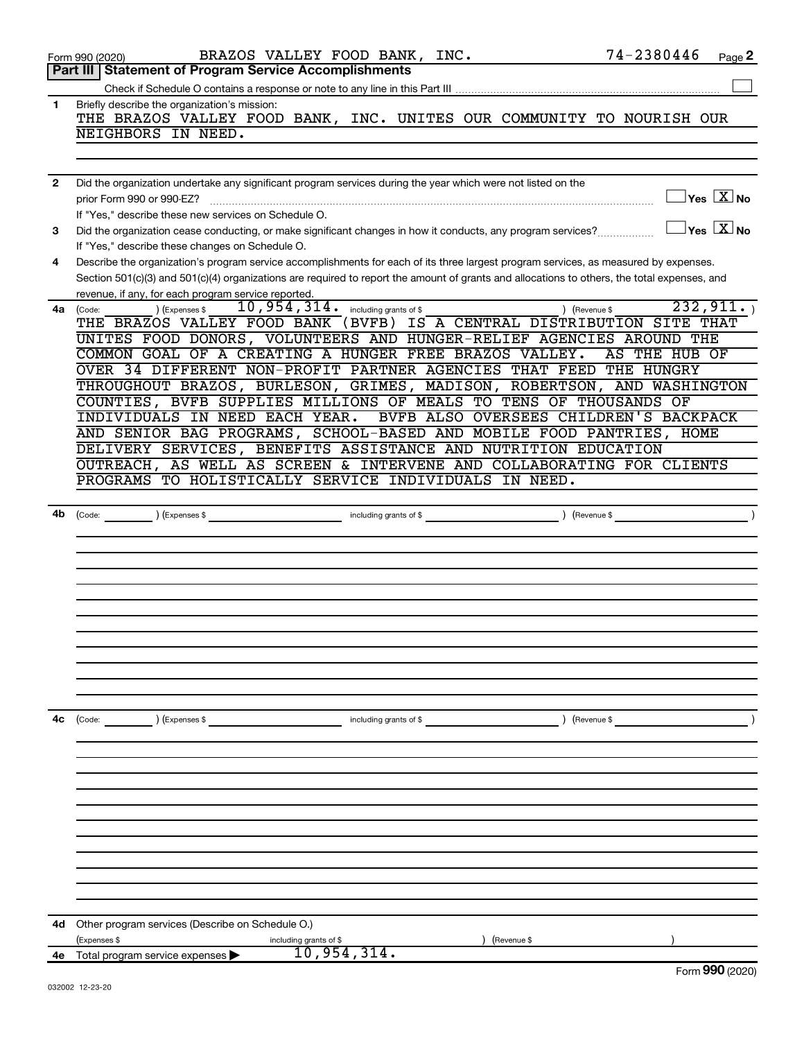|              | Form 990 (2020)                                                                                              | BRAZOS VALLEY FOOD BANK, INC.               | 74-2380446                                                                                                                                   | Page 2 |
|--------------|--------------------------------------------------------------------------------------------------------------|---------------------------------------------|----------------------------------------------------------------------------------------------------------------------------------------------|--------|
|              | <b>Part III   Statement of Program Service Accomplishments</b>                                               |                                             |                                                                                                                                              |        |
|              |                                                                                                              |                                             |                                                                                                                                              |        |
| 1            | Briefly describe the organization's mission:                                                                 |                                             |                                                                                                                                              |        |
|              |                                                                                                              |                                             | THE BRAZOS VALLEY FOOD BANK, INC. UNITES OUR COMMUNITY TO NOURISH OUR                                                                        |        |
|              | NEIGHBORS IN NEED.                                                                                           |                                             |                                                                                                                                              |        |
|              |                                                                                                              |                                             |                                                                                                                                              |        |
|              |                                                                                                              |                                             |                                                                                                                                              |        |
| $\mathbf{2}$ | Did the organization undertake any significant program services during the year which were not listed on the |                                             |                                                                                                                                              |        |
|              | prior Form 990 or 990-EZ?                                                                                    |                                             | $\sqrt{}$ Yes $\sqrt{}\,\overline{\mathrm{X}}$ No                                                                                            |        |
|              | If "Yes," describe these new services on Schedule O.                                                         |                                             |                                                                                                                                              |        |
| 3            | Did the organization cease conducting, or make significant changes in how it conducts, any program services? |                                             | $\Box$ Yes $[\overline{\mathrm{X}}]$ No                                                                                                      |        |
|              | If "Yes," describe these changes on Schedule O.                                                              |                                             |                                                                                                                                              |        |
| 4            |                                                                                                              |                                             | Describe the organization's program service accomplishments for each of its three largest program services, as measured by expenses.         |        |
|              |                                                                                                              |                                             | Section 501(c)(3) and 501(c)(4) organizations are required to report the amount of grants and allocations to others, the total expenses, and |        |
|              | revenue, if any, for each program service reported.                                                          |                                             |                                                                                                                                              |        |
| 4a           | ) (Expenses \$<br>(Code:                                                                                     | $10,954,314$ $\cdot$ including grants of \$ | 232, 911.<br>) (Revenue \$                                                                                                                   |        |
|              |                                                                                                              |                                             | THE BRAZOS VALLEY FOOD BANK (BVFB) IS A CENTRAL DISTRIBUTION SITE THAT                                                                       |        |
|              |                                                                                                              |                                             | UNITES FOOD DONORS, VOLUNTEERS AND HUNGER-RELIEF AGENCIES AROUND THE                                                                         |        |
|              | COMMON GOAL OF A CREATING A HUNGER FREE BRAZOS VALLEY.                                                       |                                             | AS THE HUB OF                                                                                                                                |        |
|              | OVER 34 DIFFERENT NON-PROFIT PARTNER AGENCIES THAT FEED THE HUNGRY                                           |                                             |                                                                                                                                              |        |
|              |                                                                                                              |                                             | THROUGHOUT BRAZOS, BURLESON, GRIMES, MADISON, ROBERTSON, AND WASHINGTON                                                                      |        |
|              | COUNTIES, BVFB SUPPLIES MILLIONS OF MEALS TO TENS OF THOUSANDS OF                                            |                                             |                                                                                                                                              |        |
|              | INDIVIDUALS IN NEED EACH YEAR.                                                                               |                                             | BVFB ALSO OVERSEES CHILDREN'S BACKPACK                                                                                                       |        |
|              |                                                                                                              |                                             | AND SENIOR BAG PROGRAMS, SCHOOL-BASED AND MOBILE FOOD PANTRIES, HOME                                                                         |        |
|              | DELIVERY SERVICES, BENEFITS ASSISTANCE AND NUTRITION EDUCATION                                               |                                             |                                                                                                                                              |        |
|              |                                                                                                              |                                             | OUTREACH, AS WELL AS SCREEN & INTERVENE AND COLLABORATING FOR CLIENTS                                                                        |        |
|              | PROGRAMS TO HOLISTICALLY SERVICE INDIVIDUALS IN NEED.                                                        |                                             |                                                                                                                                              |        |
|              |                                                                                                              |                                             |                                                                                                                                              |        |
| 4b           |                                                                                                              |                                             | $\left($ Revenue \$                                                                                                                          |        |
|              |                                                                                                              |                                             |                                                                                                                                              |        |
|              |                                                                                                              |                                             |                                                                                                                                              |        |
|              |                                                                                                              |                                             |                                                                                                                                              |        |
|              |                                                                                                              |                                             |                                                                                                                                              |        |
|              |                                                                                                              |                                             |                                                                                                                                              |        |
|              |                                                                                                              |                                             |                                                                                                                                              |        |
|              |                                                                                                              |                                             |                                                                                                                                              |        |
|              |                                                                                                              |                                             |                                                                                                                                              |        |
|              |                                                                                                              |                                             |                                                                                                                                              |        |
|              |                                                                                                              |                                             |                                                                                                                                              |        |
|              |                                                                                                              |                                             |                                                                                                                                              |        |
| 4c           | (Code: ) (Expenses \$                                                                                        | including grants of \$                      | ) (Revenue \$                                                                                                                                |        |
|              |                                                                                                              |                                             |                                                                                                                                              |        |
|              |                                                                                                              |                                             |                                                                                                                                              |        |
|              |                                                                                                              |                                             |                                                                                                                                              |        |
|              |                                                                                                              |                                             |                                                                                                                                              |        |
|              |                                                                                                              |                                             |                                                                                                                                              |        |
|              |                                                                                                              |                                             |                                                                                                                                              |        |
|              |                                                                                                              |                                             |                                                                                                                                              |        |
|              |                                                                                                              |                                             |                                                                                                                                              |        |
|              |                                                                                                              |                                             |                                                                                                                                              |        |
|              |                                                                                                              |                                             |                                                                                                                                              |        |
|              |                                                                                                              |                                             |                                                                                                                                              |        |
|              |                                                                                                              |                                             |                                                                                                                                              |        |
|              |                                                                                                              |                                             |                                                                                                                                              |        |
| 4d -         | Other program services (Describe on Schedule O.)                                                             |                                             |                                                                                                                                              |        |
|              | (Expenses \$<br>including grants of \$                                                                       |                                             | (Revenue \$                                                                                                                                  |        |
|              | 4e Total program service expenses                                                                            | 10,954,314.                                 | $\sim$                                                                                                                                       |        |

Form (2020) **990**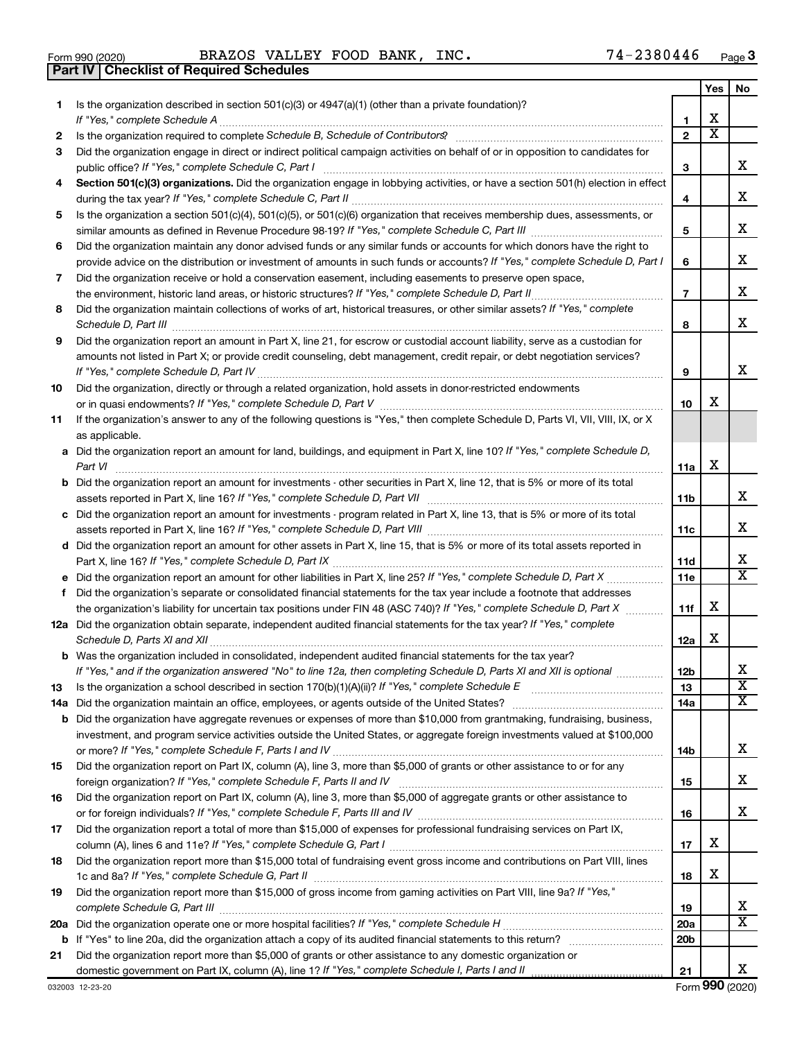|  | Form 990 (2020) |
|--|-----------------|

**Part IV Checklist of Required Schedules**

 $\frac{1}{4}$   $\frac{1}{4}$   $\frac{1}{2}$   $\frac{1}{2}$   $\frac{1}{2}$   $\frac{1}{2}$   $\frac{1}{2}$   $\frac{1}{2}$   $\frac{1}{2}$   $\frac{1}{2}$   $\frac{1}{2}$   $\frac{1}{2}$   $\frac{1}{2}$   $\frac{1}{2}$   $\frac{1}{2}$   $\frac{1}{2}$   $\frac{1}{2}$   $\frac{1}{2}$   $\frac{1}{2}$   $\frac{1}{2}$   $\frac{1}{2}$   $\frac{1}{2}$  BRAZOS VALLEY FOOD BANK, INC. 74-2380446

|    |                                                                                                                                                                                                                                                                |                 | Yes                          | No.                     |
|----|----------------------------------------------------------------------------------------------------------------------------------------------------------------------------------------------------------------------------------------------------------------|-----------------|------------------------------|-------------------------|
| 1. | Is the organization described in section 501(c)(3) or 4947(a)(1) (other than a private foundation)?                                                                                                                                                            |                 |                              |                         |
|    |                                                                                                                                                                                                                                                                | 1               | х<br>$\overline{\textbf{x}}$ |                         |
| 2  |                                                                                                                                                                                                                                                                | $\mathbf{2}$    |                              |                         |
| 3  | Did the organization engage in direct or indirect political campaign activities on behalf of or in opposition to candidates for                                                                                                                                |                 |                              | x                       |
|    | public office? If "Yes," complete Schedule C, Part I<br>Section 501(c)(3) organizations. Did the organization engage in lobbying activities, or have a section 501(h) election in effect                                                                       | З               |                              |                         |
| 4  |                                                                                                                                                                                                                                                                | 4               |                              | x                       |
| 5  | Is the organization a section 501(c)(4), 501(c)(5), or 501(c)(6) organization that receives membership dues, assessments, or                                                                                                                                   |                 |                              |                         |
|    |                                                                                                                                                                                                                                                                | 5               |                              | х                       |
| 6  | Did the organization maintain any donor advised funds or any similar funds or accounts for which donors have the right to                                                                                                                                      |                 |                              |                         |
|    | provide advice on the distribution or investment of amounts in such funds or accounts? If "Yes," complete Schedule D, Part I                                                                                                                                   | 6               |                              | х                       |
| 7  | Did the organization receive or hold a conservation easement, including easements to preserve open space,                                                                                                                                                      |                 |                              |                         |
|    | the environment, historic land areas, or historic structures? If "Yes," complete Schedule D, Part II                                                                                                                                                           | $\overline{7}$  |                              | х                       |
| 8  | Did the organization maintain collections of works of art, historical treasures, or other similar assets? If "Yes," complete                                                                                                                                   |                 |                              |                         |
|    | Schedule D, Part III                                                                                                                                                                                                                                           | 8               |                              | х                       |
| 9  | Did the organization report an amount in Part X, line 21, for escrow or custodial account liability, serve as a custodian for                                                                                                                                  |                 |                              |                         |
|    | amounts not listed in Part X; or provide credit counseling, debt management, credit repair, or debt negotiation services?                                                                                                                                      |                 |                              |                         |
|    |                                                                                                                                                                                                                                                                | 9               |                              | х                       |
| 10 | Did the organization, directly or through a related organization, hold assets in donor-restricted endowments                                                                                                                                                   |                 |                              |                         |
|    |                                                                                                                                                                                                                                                                | 10              | х                            |                         |
| 11 | If the organization's answer to any of the following questions is "Yes," then complete Schedule D, Parts VI, VII, VIII, IX, or X                                                                                                                               |                 |                              |                         |
|    | as applicable.                                                                                                                                                                                                                                                 |                 |                              |                         |
|    | a Did the organization report an amount for land, buildings, and equipment in Part X, line 10? If "Yes," complete Schedule D,                                                                                                                                  |                 |                              |                         |
|    |                                                                                                                                                                                                                                                                | 11a             | х                            |                         |
|    | <b>b</b> Did the organization report an amount for investments - other securities in Part X, line 12, that is 5% or more of its total                                                                                                                          |                 |                              | х                       |
|    |                                                                                                                                                                                                                                                                | 11b             |                              |                         |
|    | c Did the organization report an amount for investments - program related in Part X, line 13, that is 5% or more of its total                                                                                                                                  | 11c             |                              | х                       |
|    | d Did the organization report an amount for other assets in Part X, line 15, that is 5% or more of its total assets reported in                                                                                                                                |                 |                              |                         |
|    |                                                                                                                                                                                                                                                                | 11d             |                              | x                       |
|    |                                                                                                                                                                                                                                                                | 11e             |                              | $\overline{\text{x}}$   |
| f  | Did the organization's separate or consolidated financial statements for the tax year include a footnote that addresses                                                                                                                                        |                 |                              |                         |
|    | the organization's liability for uncertain tax positions under FIN 48 (ASC 740)? If "Yes," complete Schedule D, Part X                                                                                                                                         | 11f             | х                            |                         |
|    | 12a Did the organization obtain separate, independent audited financial statements for the tax year? If "Yes," complete                                                                                                                                        |                 |                              |                         |
|    |                                                                                                                                                                                                                                                                | 12a             | x                            |                         |
|    | <b>b</b> Was the organization included in consolidated, independent audited financial statements for the tax year?                                                                                                                                             |                 |                              |                         |
|    | If "Yes," and if the organization answered "No" to line 12a, then completing Schedule D, Parts XI and XII is optional                                                                                                                                          | 12 <sub>b</sub> |                              | х                       |
| 13 |                                                                                                                                                                                                                                                                | 13              |                              | $\overline{\textbf{x}}$ |
|    |                                                                                                                                                                                                                                                                | 14a             |                              | х                       |
|    | <b>b</b> Did the organization have aggregate revenues or expenses of more than \$10,000 from grantmaking, fundraising, business,<br>investment, and program service activities outside the United States, or aggregate foreign investments valued at \$100,000 |                 |                              |                         |
|    |                                                                                                                                                                                                                                                                | 14b             |                              | x                       |
| 15 | Did the organization report on Part IX, column (A), line 3, more than \$5,000 of grants or other assistance to or for any                                                                                                                                      |                 |                              |                         |
|    |                                                                                                                                                                                                                                                                | 15              |                              | x                       |
| 16 | Did the organization report on Part IX, column (A), line 3, more than \$5,000 of aggregate grants or other assistance to                                                                                                                                       |                 |                              |                         |
|    |                                                                                                                                                                                                                                                                | 16              |                              | x                       |
| 17 | Did the organization report a total of more than \$15,000 of expenses for professional fundraising services on Part IX,                                                                                                                                        |                 |                              |                         |
|    |                                                                                                                                                                                                                                                                | 17              | х                            |                         |
| 18 | Did the organization report more than \$15,000 total of fundraising event gross income and contributions on Part VIII, lines                                                                                                                                   |                 |                              |                         |
|    |                                                                                                                                                                                                                                                                | 18              | х                            |                         |
| 19 | Did the organization report more than \$15,000 of gross income from gaming activities on Part VIII, line 9a? If "Yes,"                                                                                                                                         |                 |                              |                         |
|    |                                                                                                                                                                                                                                                                | 19              |                              | x                       |
|    |                                                                                                                                                                                                                                                                | 20a             |                              | $\overline{\text{X}}$   |
|    |                                                                                                                                                                                                                                                                | 20 <sub>b</sub> |                              |                         |
| 21 | Did the organization report more than \$5,000 of grants or other assistance to any domestic organization or                                                                                                                                                    |                 |                              | X                       |
|    | domestic government on Part IX, column (A), line 1? If "Yes," complete Schedule I, Parts I and II                                                                                                                                                              | 21              |                              |                         |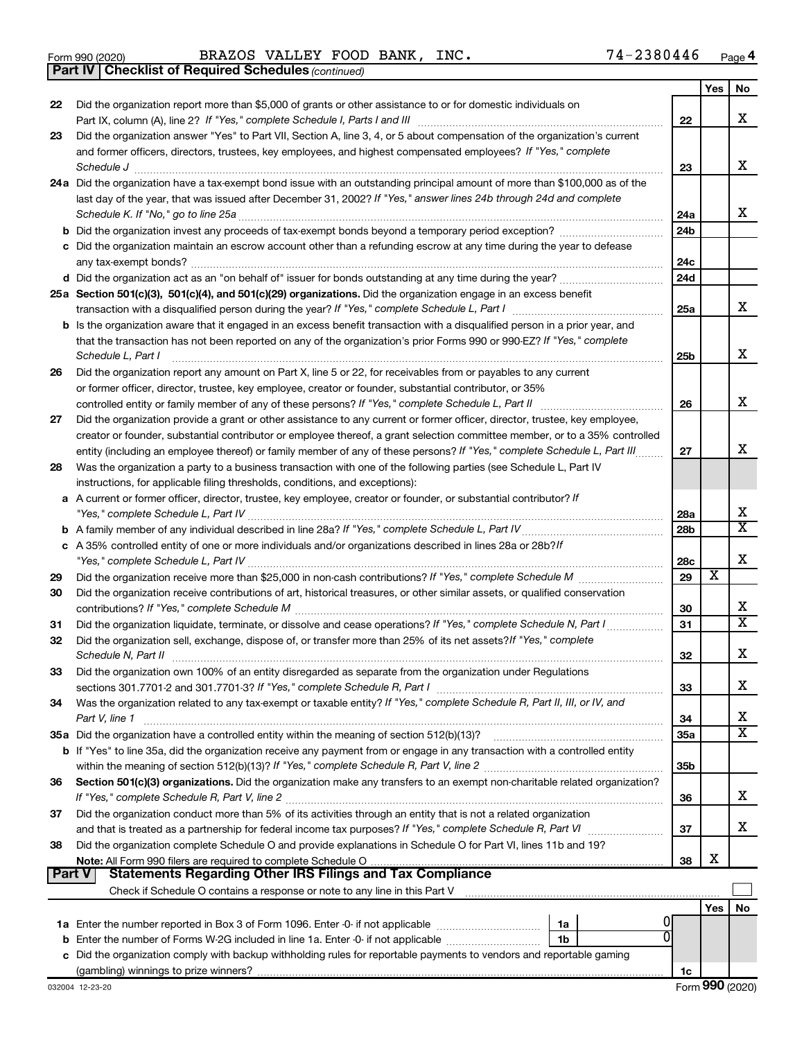|  | Form 990 (2020) |
|--|-----------------|
|  |                 |

*(continued)* **Part IV Checklist of Required Schedules**

|               |                                                                                                                              |                 | Yes | No                      |
|---------------|------------------------------------------------------------------------------------------------------------------------------|-----------------|-----|-------------------------|
| 22            | Did the organization report more than \$5,000 of grants or other assistance to or for domestic individuals on                |                 |     |                         |
|               |                                                                                                                              | 22              |     | x                       |
| 23            | Did the organization answer "Yes" to Part VII, Section A, line 3, 4, or 5 about compensation of the organization's current   |                 |     |                         |
|               | and former officers, directors, trustees, key employees, and highest compensated employees? If "Yes," complete               |                 |     |                         |
|               |                                                                                                                              | 23              |     | x                       |
|               | 24a Did the organization have a tax-exempt bond issue with an outstanding principal amount of more than \$100,000 as of the  |                 |     |                         |
|               | last day of the year, that was issued after December 31, 2002? If "Yes," answer lines 24b through 24d and complete           |                 |     |                         |
|               | Schedule K. If "No," go to line 25a                                                                                          | 24a             |     | x                       |
|               | <b>b</b> Did the organization invest any proceeds of tax-exempt bonds beyond a temporary period exception?                   | 24 <sub>b</sub> |     |                         |
|               | c Did the organization maintain an escrow account other than a refunding escrow at any time during the year to defease       |                 |     |                         |
|               |                                                                                                                              | 24c             |     |                         |
|               |                                                                                                                              | 24d             |     |                         |
|               | 25a Section 501(c)(3), 501(c)(4), and 501(c)(29) organizations. Did the organization engage in an excess benefit             |                 |     | x                       |
|               |                                                                                                                              | 25a             |     |                         |
|               | b Is the organization aware that it engaged in an excess benefit transaction with a disqualified person in a prior year, and |                 |     |                         |
|               | that the transaction has not been reported on any of the organization's prior Forms 990 or 990-EZ? If "Yes," complete        |                 |     | х                       |
|               | Schedule L, Part I                                                                                                           | 25b             |     |                         |
| 26            | Did the organization report any amount on Part X, line 5 or 22, for receivables from or payables to any current              |                 |     |                         |
|               | or former officer, director, trustee, key employee, creator or founder, substantial contributor, or 35%                      | 26              |     | х                       |
| 27            | Did the organization provide a grant or other assistance to any current or former officer, director, trustee, key employee,  |                 |     |                         |
|               | creator or founder, substantial contributor or employee thereof, a grant selection committee member, or to a 35% controlled  |                 |     |                         |
|               | entity (including an employee thereof) or family member of any of these persons? If "Yes," complete Schedule L, Part III     | 27              |     | х                       |
| 28            | Was the organization a party to a business transaction with one of the following parties (see Schedule L, Part IV            |                 |     |                         |
|               | instructions, for applicable filing thresholds, conditions, and exceptions):                                                 |                 |     |                         |
|               | a A current or former officer, director, trustee, key employee, creator or founder, or substantial contributor? If           |                 |     |                         |
|               |                                                                                                                              | 28a             |     | х                       |
|               |                                                                                                                              | 28 <sub>b</sub> |     | $\overline{\textbf{X}}$ |
|               | c A 35% controlled entity of one or more individuals and/or organizations described in lines 28a or 28b?If                   |                 |     |                         |
|               |                                                                                                                              | 28c             |     | х                       |
| 29            |                                                                                                                              | 29              | х   |                         |
| 30            | Did the organization receive contributions of art, historical treasures, or other similar assets, or qualified conservation  |                 |     |                         |
|               |                                                                                                                              | 30              |     | х                       |
| 31            | Did the organization liquidate, terminate, or dissolve and cease operations? If "Yes," complete Schedule N, Part I           | 31              |     | $\overline{\texttt{x}}$ |
| 32            | Did the organization sell, exchange, dispose of, or transfer more than 25% of its net assets? If "Yes," complete             |                 |     |                         |
|               | Schedule N, Part II                                                                                                          | 32              |     | х                       |
| 33            | Did the organization own 100% of an entity disregarded as separate from the organization under Regulations                   |                 |     |                         |
|               |                                                                                                                              | 33              |     | х                       |
| 34            | Was the organization related to any tax-exempt or taxable entity? If "Yes," complete Schedule R, Part II, III, or IV, and    |                 |     |                         |
|               | Part V, line 1                                                                                                               | 34              |     | х                       |
|               |                                                                                                                              | 35a             |     | $\overline{\text{X}}$   |
|               | b If "Yes" to line 35a, did the organization receive any payment from or engage in any transaction with a controlled entity  |                 |     |                         |
|               |                                                                                                                              | 35 <sub>b</sub> |     |                         |
| 36            | Section 501(c)(3) organizations. Did the organization make any transfers to an exempt non-charitable related organization?   |                 |     |                         |
|               |                                                                                                                              | 36              |     | х                       |
| 37            | Did the organization conduct more than 5% of its activities through an entity that is not a related organization             |                 |     |                         |
|               | and that is treated as a partnership for federal income tax purposes? If "Yes," complete Schedule R, Part VI                 | 37              |     | x                       |
| 38            | Did the organization complete Schedule O and provide explanations in Schedule O for Part VI, lines 11b and 19?               |                 |     |                         |
|               |                                                                                                                              | 38              | х   |                         |
| <b>Part V</b> | Statements Regarding Other IRS Filings and Tax Compliance                                                                    |                 |     |                         |
|               |                                                                                                                              |                 |     |                         |
|               |                                                                                                                              |                 | Yes | No                      |
|               | 1a                                                                                                                           |                 |     |                         |
|               | 1b                                                                                                                           |                 |     |                         |
|               | c Did the organization comply with backup withholding rules for reportable payments to vendors and reportable gaming         |                 |     |                         |
|               |                                                                                                                              | 1c              |     |                         |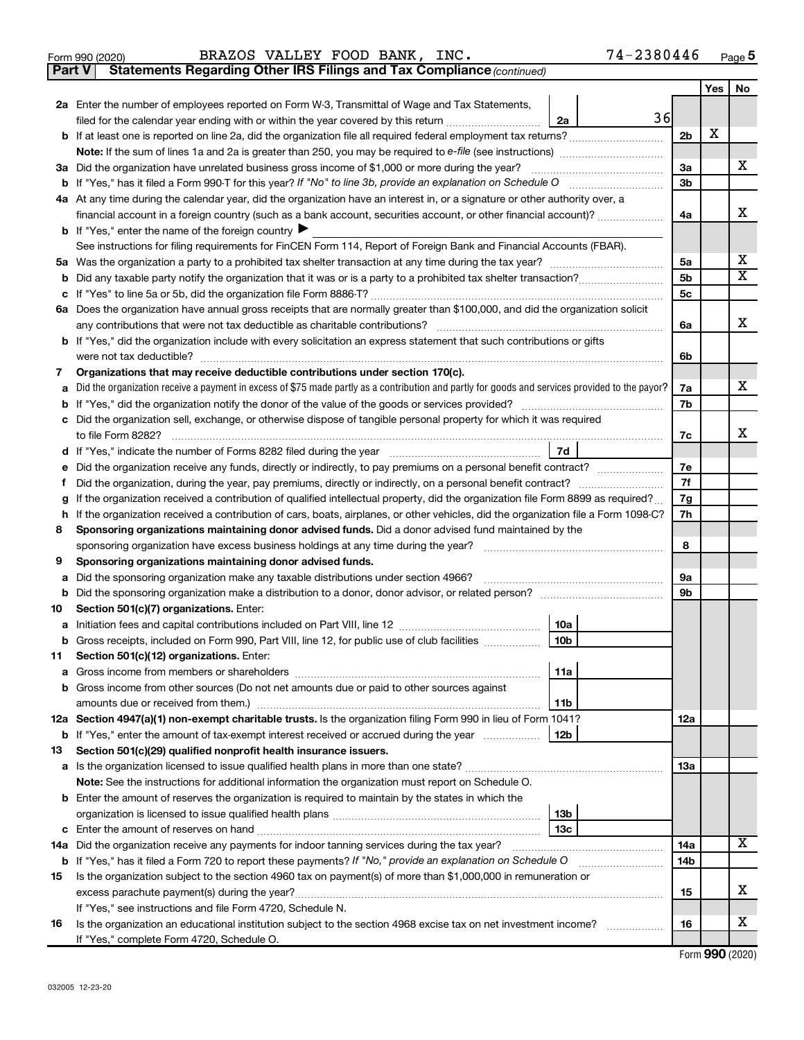|  | Form 990 (2020) |
|--|-----------------|
|  |                 |

**Part V Statements Regarding Other IRS Filings and Tax Compliance**

*(continued)*

|         |                                                                                                                                                               |                | Yes | No                         |  |  |  |  |  |
|---------|---------------------------------------------------------------------------------------------------------------------------------------------------------------|----------------|-----|----------------------------|--|--|--|--|--|
|         | 2a Enter the number of employees reported on Form W-3, Transmittal of Wage and Tax Statements,                                                                |                |     |                            |  |  |  |  |  |
|         | 36<br>filed for the calendar year ending with or within the year covered by this return<br>2a                                                                 |                |     |                            |  |  |  |  |  |
|         |                                                                                                                                                               | 2 <sub>b</sub> | х   |                            |  |  |  |  |  |
|         |                                                                                                                                                               |                |     |                            |  |  |  |  |  |
|         | 3a Did the organization have unrelated business gross income of \$1,000 or more during the year?                                                              | За             |     | x                          |  |  |  |  |  |
|         |                                                                                                                                                               | 3b             |     |                            |  |  |  |  |  |
|         | 4a At any time during the calendar year, did the organization have an interest in, or a signature or other authority over, a                                  |                |     |                            |  |  |  |  |  |
|         | financial account in a foreign country (such as a bank account, securities account, or other financial account)?                                              | 4a             |     | X.                         |  |  |  |  |  |
|         | <b>b</b> If "Yes," enter the name of the foreign country                                                                                                      |                |     |                            |  |  |  |  |  |
|         | See instructions for filing requirements for FinCEN Form 114, Report of Foreign Bank and Financial Accounts (FBAR).                                           |                |     |                            |  |  |  |  |  |
|         |                                                                                                                                                               | 5a             |     | X<br>$\overline{\text{X}}$ |  |  |  |  |  |
|         | b                                                                                                                                                             |                |     |                            |  |  |  |  |  |
|         | c                                                                                                                                                             |                |     |                            |  |  |  |  |  |
|         | 6a Does the organization have annual gross receipts that are normally greater than \$100,000, and did the organization solicit                                |                |     |                            |  |  |  |  |  |
|         |                                                                                                                                                               |                |     |                            |  |  |  |  |  |
|         | <b>b</b> If "Yes," did the organization include with every solicitation an express statement that such contributions or gifts                                 |                |     |                            |  |  |  |  |  |
|         | were not tax deductible?                                                                                                                                      | 6b             |     |                            |  |  |  |  |  |
| 7       | Organizations that may receive deductible contributions under section 170(c).                                                                                 |                |     |                            |  |  |  |  |  |
|         | a Did the organization receive a payment in excess of \$75 made partly as a contribution and partly for goods and services provided to the payor?             | 7a             |     | x                          |  |  |  |  |  |
|         |                                                                                                                                                               | 7b             |     |                            |  |  |  |  |  |
| c       | Did the organization sell, exchange, or otherwise dispose of tangible personal property for which it was required                                             |                |     |                            |  |  |  |  |  |
|         |                                                                                                                                                               | 7c             |     | x                          |  |  |  |  |  |
|         | 7d                                                                                                                                                            |                |     |                            |  |  |  |  |  |
| е       | Did the organization receive any funds, directly or indirectly, to pay premiums on a personal benefit contract?                                               | 7e             |     |                            |  |  |  |  |  |
| Ť.      |                                                                                                                                                               | 7f             |     |                            |  |  |  |  |  |
| g       | If the organization received a contribution of qualified intellectual property, did the organization file Form 8899 as required?                              | 7g             |     |                            |  |  |  |  |  |
| h.      | If the organization received a contribution of cars, boats, airplanes, or other vehicles, did the organization file a Form 1098-C?                            | 7h             |     |                            |  |  |  |  |  |
| 8       | Sponsoring organizations maintaining donor advised funds. Did a donor advised fund maintained by the                                                          |                |     |                            |  |  |  |  |  |
|         | sponsoring organization have excess business holdings at any time during the year?                                                                            | 8              |     |                            |  |  |  |  |  |
| 9       | Sponsoring organizations maintaining donor advised funds.                                                                                                     |                |     |                            |  |  |  |  |  |
| а       | Did the sponsoring organization make any taxable distributions under section 4966?                                                                            | 9а<br>9b       |     |                            |  |  |  |  |  |
| b<br>10 | Section 501(c)(7) organizations. Enter:                                                                                                                       |                |     |                            |  |  |  |  |  |
|         | 10a                                                                                                                                                           |                |     |                            |  |  |  |  |  |
| b       | 10 <sub>b</sub><br>Gross receipts, included on Form 990, Part VIII, line 12, for public use of club facilities                                                |                |     |                            |  |  |  |  |  |
| 11      | Section 501(c)(12) organizations. Enter:                                                                                                                      |                |     |                            |  |  |  |  |  |
|         | 11a<br>Gross income from members or shareholders                                                                                                              |                |     |                            |  |  |  |  |  |
|         | <b>b</b> Gross income from other sources (Do not net amounts due or paid to other sources against                                                             |                |     |                            |  |  |  |  |  |
|         | 11b                                                                                                                                                           |                |     |                            |  |  |  |  |  |
|         | 12a Section 4947(a)(1) non-exempt charitable trusts. Is the organization filing Form 990 in lieu of Form 1041?                                                | 12a            |     |                            |  |  |  |  |  |
|         | 12b<br><b>b</b> If "Yes," enter the amount of tax-exempt interest received or accrued during the year                                                         |                |     |                            |  |  |  |  |  |
| 13      | Section 501(c)(29) qualified nonprofit health insurance issuers.                                                                                              |                |     |                            |  |  |  |  |  |
|         | a Is the organization licensed to issue qualified health plans in more than one state?                                                                        | 13a            |     |                            |  |  |  |  |  |
|         | Note: See the instructions for additional information the organization must report on Schedule O.                                                             |                |     |                            |  |  |  |  |  |
|         | <b>b</b> Enter the amount of reserves the organization is required to maintain by the states in which the                                                     |                |     |                            |  |  |  |  |  |
|         | 13b                                                                                                                                                           |                |     |                            |  |  |  |  |  |
|         | 13с                                                                                                                                                           |                |     |                            |  |  |  |  |  |
|         | 14a Did the organization receive any payments for indoor tanning services during the tax year?                                                                | 14a            |     | x                          |  |  |  |  |  |
|         | <b>b</b> If "Yes," has it filed a Form 720 to report these payments? If "No," provide an explanation on Schedule O<br><u> 1986 - Johann Barbara, martin a</u> | 14b            |     |                            |  |  |  |  |  |
| 15      | Is the organization subject to the section 4960 tax on payment(s) of more than \$1,000,000 in remuneration or                                                 |                |     |                            |  |  |  |  |  |
|         | excess parachute payment(s) during the year?                                                                                                                  | 15             |     | X.                         |  |  |  |  |  |
|         | If "Yes," see instructions and file Form 4720, Schedule N.                                                                                                    |                |     |                            |  |  |  |  |  |
| 16      | Is the organization an educational institution subject to the section 4968 excise tax on net investment income?                                               | 16             |     | X.                         |  |  |  |  |  |
|         | If "Yes," complete Form 4720, Schedule O.                                                                                                                     |                |     |                            |  |  |  |  |  |

Form (2020) **990**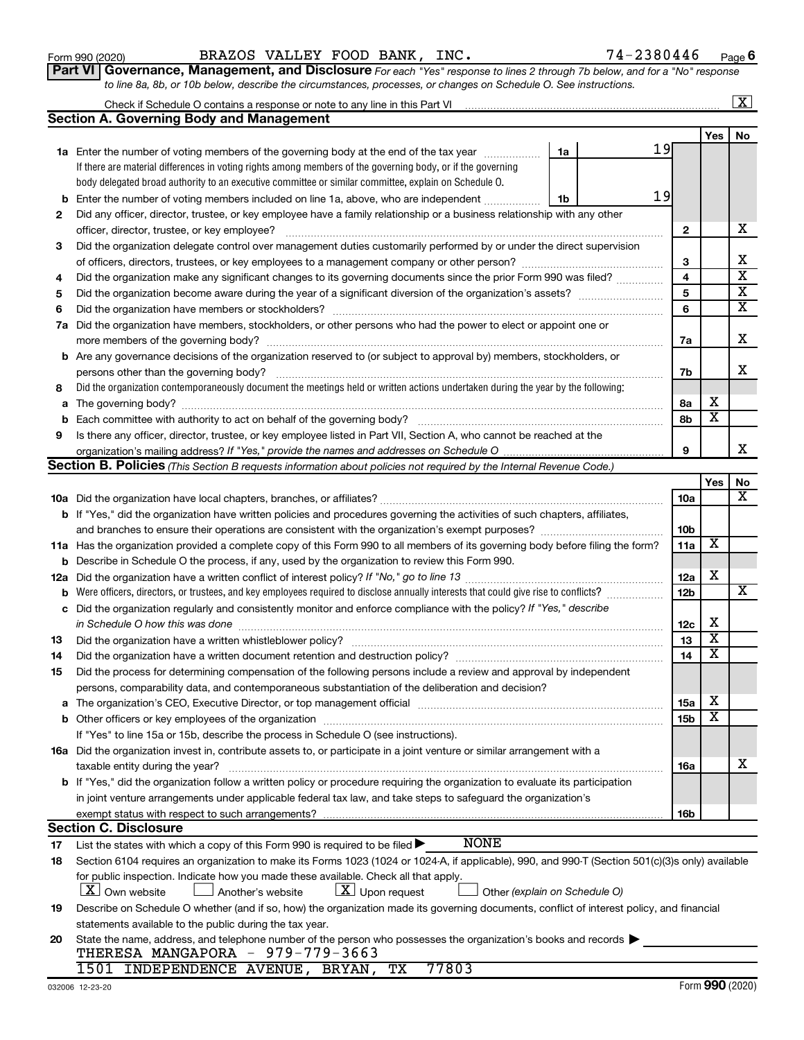**20**

| taxable entity during the year?                                                                                                                                                                                                                                                                                                                                                                                                                                                          | 16a | х |
|------------------------------------------------------------------------------------------------------------------------------------------------------------------------------------------------------------------------------------------------------------------------------------------------------------------------------------------------------------------------------------------------------------------------------------------------------------------------------------------|-----|---|
| If "Yes," did the organization follow a written policy or procedure requiring the organization to evaluate its participation                                                                                                                                                                                                                                                                                                                                                             |     |   |
| in joint venture arrangements under applicable federal tax law, and take steps to safeguard the organization's                                                                                                                                                                                                                                                                                                                                                                           |     |   |
|                                                                                                                                                                                                                                                                                                                                                                                                                                                                                          | 16b |   |
| tion C. Disclosure:                                                                                                                                                                                                                                                                                                                                                                                                                                                                      |     |   |
| <b>NONE</b><br>List the states with which a copy of this Form 990 is required to be filed $\blacktriangleright$                                                                                                                                                                                                                                                                                                                                                                          |     |   |
| Section 6104 requires an organization to make its Forms 1023 (1024 or 1024-A, if applicable), 990, and 990-T (Section 501(c)(3)s only) available                                                                                                                                                                                                                                                                                                                                         |     |   |
| for public inspection. Indicate how you made these available. Check all that apply.                                                                                                                                                                                                                                                                                                                                                                                                      |     |   |
| $\boxed{\textbf{X}}$ Upon request<br>$\lfloor x \rfloor$ Own website<br>Another's website<br>Other (explain on Schedule O)<br>Describe on Schedule O whether (and if so, how) the organization made its governing documents, conflict of interest policy, and financial<br>statements available to the public during the tax year.<br>State the name, address, and telephone number of the person who possesses the organization's books and records<br>THERESA MANGAPORA - 979-779-3663 |     |   |
| 77803<br>1501 INDEPENDENCE AVENUE, BRYAN, TX                                                                                                                                                                                                                                                                                                                                                                                                                                             |     |   |

|     | <b>Section A. Governing Body and Management</b>                                                                                                                                                                                |    |    |                         |                              |                         |
|-----|--------------------------------------------------------------------------------------------------------------------------------------------------------------------------------------------------------------------------------|----|----|-------------------------|------------------------------|-------------------------|
|     |                                                                                                                                                                                                                                |    |    |                         | Yes                          | No                      |
|     | <b>1a</b> Enter the number of voting members of the governing body at the end of the tax year                                                                                                                                  | 1a | 19 |                         |                              |                         |
|     | If there are material differences in voting rights among members of the governing body, or if the governing                                                                                                                    |    |    |                         |                              |                         |
|     | body delegated broad authority to an executive committee or similar committee, explain on Schedule O.                                                                                                                          |    |    |                         |                              |                         |
| b   | Enter the number of voting members included on line 1a, above, who are independent                                                                                                                                             | 1b | 19 |                         |                              |                         |
| 2   | Did any officer, director, trustee, or key employee have a family relationship or a business relationship with any other                                                                                                       |    |    |                         |                              |                         |
|     | officer, director, trustee, or key employee?                                                                                                                                                                                   |    |    | $\mathbf{2}$            |                              | х                       |
| 3   | Did the organization delegate control over management duties customarily performed by or under the direct supervision                                                                                                          |    |    |                         |                              |                         |
|     |                                                                                                                                                                                                                                |    |    | 3                       |                              | х                       |
| 4   | Did the organization make any significant changes to its governing documents since the prior Form 990 was filed?                                                                                                               |    |    | $\overline{\mathbf{4}}$ |                              | $\overline{\mathbf{x}}$ |
| 5   |                                                                                                                                                                                                                                |    |    | 5                       |                              | $\overline{\mathbf{x}}$ |
| 6   |                                                                                                                                                                                                                                |    |    | 6                       |                              | $\overline{\textbf{x}}$ |
| 7a  | Did the organization have members, stockholders, or other persons who had the power to elect or appoint one or                                                                                                                 |    |    |                         |                              |                         |
|     |                                                                                                                                                                                                                                |    |    | 7a                      |                              | х                       |
|     | <b>b</b> Are any governance decisions of the organization reserved to (or subject to approval by) members, stockholders, or                                                                                                    |    |    |                         |                              |                         |
|     |                                                                                                                                                                                                                                |    |    | 7b                      |                              | х                       |
| 8   | Did the organization contemporaneously document the meetings held or written actions undertaken during the year by the following:                                                                                              |    |    |                         |                              |                         |
| а   |                                                                                                                                                                                                                                |    |    | 8а                      | х                            |                         |
| b   | Each committee with authority to act on behalf of the governing body?                                                                                                                                                          |    |    | 8b                      | $\overline{\textbf{x}}$      |                         |
| 9   | Is there any officer, director, trustee, or key employee listed in Part VII, Section A, who cannot be reached at the                                                                                                           |    |    |                         |                              |                         |
|     |                                                                                                                                                                                                                                |    |    | 9                       |                              | x.                      |
|     | Section B. Policies (This Section B requests information about policies not required by the Internal Revenue Code.)                                                                                                            |    |    |                         |                              |                         |
|     |                                                                                                                                                                                                                                |    |    |                         | Yes                          | No                      |
|     |                                                                                                                                                                                                                                |    |    | 10a                     |                              | х                       |
|     | <b>b</b> If "Yes," did the organization have written policies and procedures governing the activities of such chapters, affiliates,                                                                                            |    |    |                         |                              |                         |
|     |                                                                                                                                                                                                                                |    |    | 10 <sub>b</sub>         |                              |                         |
|     | 11a Has the organization provided a complete copy of this Form 990 to all members of its governing body before filing the form?                                                                                                |    |    | 11a                     | X                            |                         |
| b   | Describe in Schedule O the process, if any, used by the organization to review this Form 990.                                                                                                                                  |    |    |                         |                              |                         |
| 12a |                                                                                                                                                                                                                                |    |    | 12a                     | х                            |                         |
| b   | Were officers, directors, or trustees, and key employees required to disclose annually interests that could give rise to conflicts?                                                                                            |    |    | 12 <sub>b</sub>         |                              | х                       |
| с   | Did the organization regularly and consistently monitor and enforce compliance with the policy? If "Yes," describe                                                                                                             |    |    |                         |                              |                         |
|     | in Schedule O how this was done                                                                                                                                                                                                |    |    | 12c                     | х<br>$\overline{\texttt{x}}$ |                         |
| 13  | Did the organization have a written whistleblower policy?                                                                                                                                                                      |    |    | 13                      | $\overline{\texttt{x}}$      |                         |
| 14  |                                                                                                                                                                                                                                |    |    | 14                      |                              |                         |
| 15  | Did the process for determining compensation of the following persons include a review and approval by independent                                                                                                             |    |    |                         |                              |                         |
|     | persons, comparability data, and contemporaneous substantiation of the deliberation and decision?                                                                                                                              |    |    |                         | X                            |                         |
|     | The organization's CEO, Executive Director, or top management official [111] [11] manument contains an according to the organization's CEO, Executive Director, or top management official [11] manument contains and the orig |    |    | 15a                     | $\overline{\texttt{x}}$      |                         |
|     | <b>b</b> Other officers or key employees of the organization                                                                                                                                                                   |    |    | 15 <sub>b</sub>         |                              |                         |
|     | If "Yes" to line 15a or 15b, describe the process in Schedule O (see instructions).                                                                                                                                            |    |    |                         |                              |                         |
|     | 16a Did the organization invest in, contribute assets to, or participate in a joint venture or similar arrangement with a                                                                                                      |    |    |                         |                              | х                       |
|     | taxable entity during the year?<br><b>b</b> If "Yes," did the organization follow a written policy or procedure requiring the organization to evaluate its participation                                                       |    |    | 16a                     |                              |                         |
|     |                                                                                                                                                                                                                                |    |    |                         |                              |                         |
|     | in joint venture arrangements under applicable federal tax law, and take steps to safeguard the organization's                                                                                                                 |    |    | 16b                     |                              |                         |
|     | exempt status with respect to such arrangements?<br><b>Section C. Disclosure</b>                                                                                                                                               |    |    |                         |                              |                         |
| 17  | <b>NONE</b><br>List the states with which a copy of this Form 990 is required to be filed $\blacktriangleright$                                                                                                                |    |    |                         |                              |                         |
| 18  | Section 6104 requires an organization to make its Forms 1023 (1024 or 1024-A, if applicable), 990, and 990-T (Section 501(c)(3)s only) available                                                                               |    |    |                         |                              |                         |
|     | for public inspection. Indicate how you made these available. Check all that apply.                                                                                                                                            |    |    |                         |                              |                         |
|     | $ \underline{X} $ Own website<br>$\lfloor \underline{X} \rfloor$ Upon request<br>Another's website<br>Other (explain on Schedule O)                                                                                            |    |    |                         |                              |                         |
| 19  | Describe on Schedule O whether (and if so, how) the organization made its governing documents, conflict of interest policy, and financial                                                                                      |    |    |                         |                              |                         |
|     | statements available to the public during the tax year.                                                                                                                                                                        |    |    |                         |                              |                         |

| Form 990 (2020) | BRAZOS VALLEY FOOD BANK, INC. |  |  | 74-2380446                                                                                                             |
|-----------------|-------------------------------|--|--|------------------------------------------------------------------------------------------------------------------------|
|                 |                               |  |  | Part VI   Governance, Management, and Disclosure For each "Yes" response to lines 2 through 7b below, and for a "No" r |

*to line 8a, 8b, or 10b below, describe the circumstances, processes, or changes on Schedule O. See instructions.*

Check if Schedule O contains a response or note to any line in this Part VI

*For each "Yes" response to lines 2 through 7b below, and for a "No" response* **6**

 $\boxed{\text{X}}$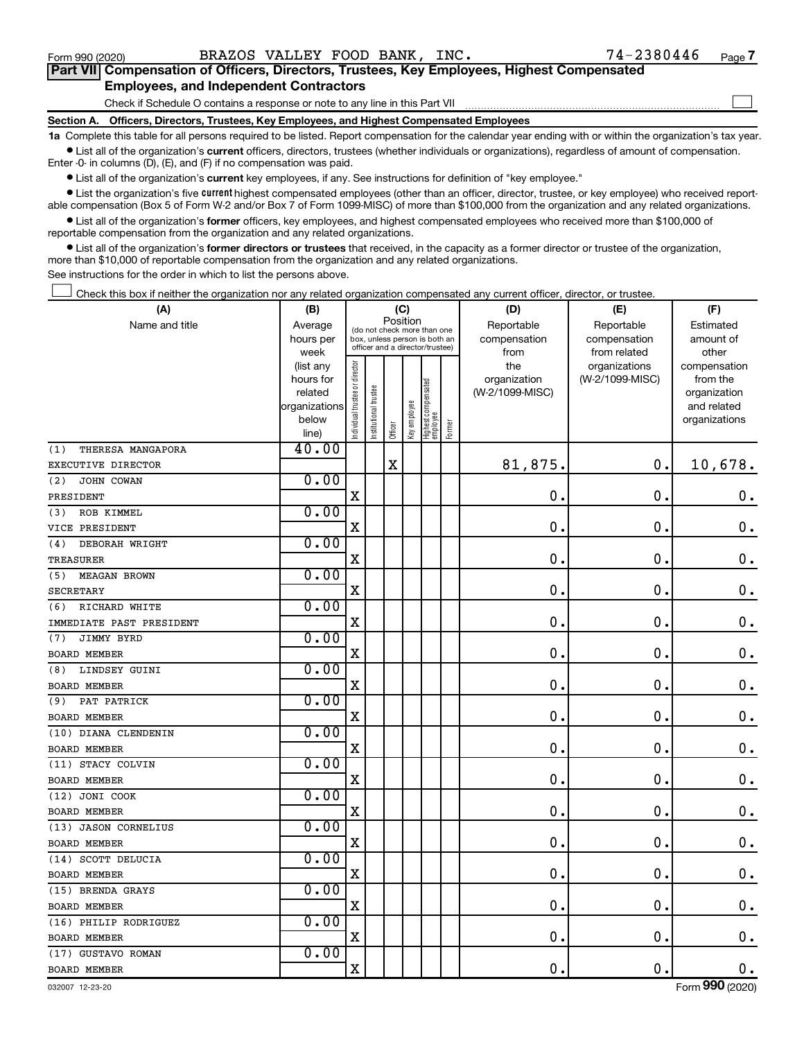$\Box$ 

| Part VII Compensation of Officers, Directors, Trustees, Key Employees, Highest Compensated |  |  |  |  |
|--------------------------------------------------------------------------------------------|--|--|--|--|
| <b>Employees, and Independent Contractors</b>                                              |  |  |  |  |

Check if Schedule O contains a response or note to any line in this Part VII

**Section A. Officers, Directors, Trustees, Key Employees, and Highest Compensated Employees**

**1a**  Complete this table for all persons required to be listed. Report compensation for the calendar year ending with or within the organization's tax year.  $\bullet$  List all of the organization's current officers, directors, trustees (whether individuals or organizations), regardless of amount of compensation.

Enter -0- in columns (D), (E), and (F) if no compensation was paid.

**•** List all of the organization's current key employees, if any. See instructions for definition of "key employee."

• List the organization's five *current* highest compensated employees (other than an officer, director, trustee, or key employee) who received reportable compensation (Box 5 of Form W-2 and/or Box 7 of Form 1099-MISC) of more than \$100,000 from the organization and any related organizations.

 $\bullet$  List all of the organization's former officers, key employees, and highest compensated employees who received more than \$100,000 of reportable compensation from the organization and any related organizations.

**•** List all of the organization's former directors or trustees that received, in the capacity as a former director or trustee of the organization, more than \$10,000 of reportable compensation from the organization and any related organizations.

See instructions for the order in which to list the persons above.

Check this box if neither the organization nor any related organization compensated any current officer, director, or trustee.  $\Box$ 

| (A)                        | (B)               |                                                                          |                 | (C)                             |              |                                 |        | (D)             | (E)                           | (F)                   |
|----------------------------|-------------------|--------------------------------------------------------------------------|-----------------|---------------------------------|--------------|---------------------------------|--------|-----------------|-------------------------------|-----------------------|
| Name and title             | Average           | Position<br>(do not check more than one<br>box, unless person is both an |                 |                                 |              |                                 |        | Reportable      | Reportable                    | Estimated             |
|                            | hours per         |                                                                          |                 | officer and a director/trustee) |              |                                 |        | compensation    | compensation                  | amount of             |
|                            | week<br>(list any |                                                                          |                 |                                 |              |                                 |        | from<br>the     | from related<br>organizations | other<br>compensation |
|                            | hours for         |                                                                          |                 |                                 |              |                                 |        | organization    | (W-2/1099-MISC)               | from the              |
|                            | related           |                                                                          | trustee         |                                 |              |                                 |        | (W-2/1099-MISC) |                               | organization          |
|                            | organizations     |                                                                          |                 |                                 |              |                                 |        |                 |                               | and related           |
|                            | below             | Individual trustee or director                                           | Institutional t |                                 | Key employee | Highest compensated<br>employee | Former |                 |                               | organizations         |
|                            | line)             |                                                                          |                 | Officer                         |              |                                 |        |                 |                               |                       |
| (1)<br>THERESA MANGAPORA   | 40.00             |                                                                          |                 |                                 |              |                                 |        |                 |                               |                       |
| EXECUTIVE DIRECTOR         |                   |                                                                          |                 | $\mathbf X$                     |              |                                 |        | 81,875.         | $\mathbf 0$ .                 | 10,678.               |
| (2)<br>JOHN COWAN          | 0.00              |                                                                          |                 |                                 |              |                                 |        |                 |                               |                       |
| PRESIDENT                  |                   | $\mathbf X$                                                              |                 |                                 |              |                                 |        | $\mathbf 0$ .   | $\mathbf 0$ .                 | $\mathbf 0$ .         |
| ROB KIMMEL<br>(3)          | 0.00              |                                                                          |                 |                                 |              |                                 |        |                 |                               |                       |
| VICE PRESIDENT             |                   | $\mathbf X$                                                              |                 |                                 |              |                                 |        | $\mathbf 0$ .   | $\mathbf 0$ .                 | $\mathbf 0$ .         |
| DEBORAH WRIGHT<br>(4)      | 0.00              |                                                                          |                 |                                 |              |                                 |        |                 |                               |                       |
| TREASURER                  |                   | $\mathbf X$                                                              |                 |                                 |              |                                 |        | $\mathbf 0$ .   | $\mathbf 0$ .                 | $\mathbf 0$ .         |
| <b>MEAGAN BROWN</b><br>(5) | 0.00              |                                                                          |                 |                                 |              |                                 |        |                 |                               |                       |
| <b>SECRETARY</b>           |                   | $\mathbf X$                                                              |                 |                                 |              |                                 |        | $\mathbf 0$ .   | $\mathbf 0$ .                 | $\mathbf 0$ .         |
| RICHARD WHITE<br>(6)       | 0.00              |                                                                          |                 |                                 |              |                                 |        |                 |                               |                       |
| IMMEDIATE PAST PRESIDENT   |                   | X                                                                        |                 |                                 |              |                                 |        | $\mathbf 0$ .   | О.                            | $\boldsymbol{0}$ .    |
| JIMMY BYRD<br>(7)          | 0.00              |                                                                          |                 |                                 |              |                                 |        |                 |                               |                       |
| <b>BOARD MEMBER</b>        |                   | $\mathbf X$                                                              |                 |                                 |              |                                 |        | $\mathbf 0$ .   | $\mathbf 0$ .                 | $\boldsymbol{0}$ .    |
| LINDSEY GUINI<br>(8)       | 0.00              |                                                                          |                 |                                 |              |                                 |        |                 |                               |                       |
| <b>BOARD MEMBER</b>        |                   | $\mathbf X$                                                              |                 |                                 |              |                                 |        | $\mathbf 0$ .   | $\mathbf 0$ .                 | $\mathbf 0$ .         |
| (9) PAT PATRICK            | 0.00              |                                                                          |                 |                                 |              |                                 |        |                 |                               |                       |
| <b>BOARD MEMBER</b>        |                   | $\mathbf X$                                                              |                 |                                 |              |                                 |        | $\mathbf 0$ .   | $\mathbf 0$ .                 | $\boldsymbol{0}$ .    |
| (10) DIANA CLENDENIN       | 0.00              |                                                                          |                 |                                 |              |                                 |        |                 |                               |                       |
| <b>BOARD MEMBER</b>        |                   | X                                                                        |                 |                                 |              |                                 |        | 0.              | $\mathbf 0$ .                 | $\mathbf 0$ .         |
| (11) STACY COLVIN          | 0.00              |                                                                          |                 |                                 |              |                                 |        |                 |                               |                       |
| <b>BOARD MEMBER</b>        |                   | $\mathbf X$                                                              |                 |                                 |              |                                 |        | 0.              | $\mathbf 0$                   | $\mathbf 0$ .         |
| (12) JONI COOK             | 0.00              |                                                                          |                 |                                 |              |                                 |        |                 |                               |                       |
| <b>BOARD MEMBER</b>        |                   | $\mathbf X$                                                              |                 |                                 |              |                                 |        | $\mathbf 0$ .   | $\mathbf 0$                   | $\mathbf 0$ .         |
| (13) JASON CORNELIUS       | 0.00              |                                                                          |                 |                                 |              |                                 |        |                 |                               |                       |
| <b>BOARD MEMBER</b>        |                   | $\mathbf X$                                                              |                 |                                 |              |                                 |        | 0.              | $\mathbf 0$ .                 | $\boldsymbol{0}$ .    |
| (14) SCOTT DELUCIA         | 0.00              |                                                                          |                 |                                 |              |                                 |        |                 |                               |                       |
| <b>BOARD MEMBER</b>        |                   | X                                                                        |                 |                                 |              |                                 |        | $\mathbf 0$     | $\mathbf 0$                   | $\mathbf 0$ .         |
| (15) BRENDA GRAYS          | 0.00              |                                                                          |                 |                                 |              |                                 |        |                 |                               |                       |
| <b>BOARD MEMBER</b>        |                   | $\mathbf X$                                                              |                 |                                 |              |                                 |        | $\mathbf 0$     | $\mathbf 0$                   | $\mathbf 0$ .         |
| (16) PHILIP RODRIGUEZ      | 0.00              |                                                                          |                 |                                 |              |                                 |        |                 |                               |                       |
| <b>BOARD MEMBER</b>        |                   | $\mathbf X$                                                              |                 |                                 |              |                                 |        | $\mathbf 0$ .   | $\mathbf 0$ .                 | $\mathbf 0$ .         |
| (17) GUSTAVO ROMAN         | 0.00              |                                                                          |                 |                                 |              |                                 |        |                 |                               |                       |
| <b>BOARD MEMBER</b>        |                   | $\mathbf X$                                                              |                 |                                 |              |                                 |        | $\mathbf 0$ .   | $\mathbf 0$ .                 | 0.                    |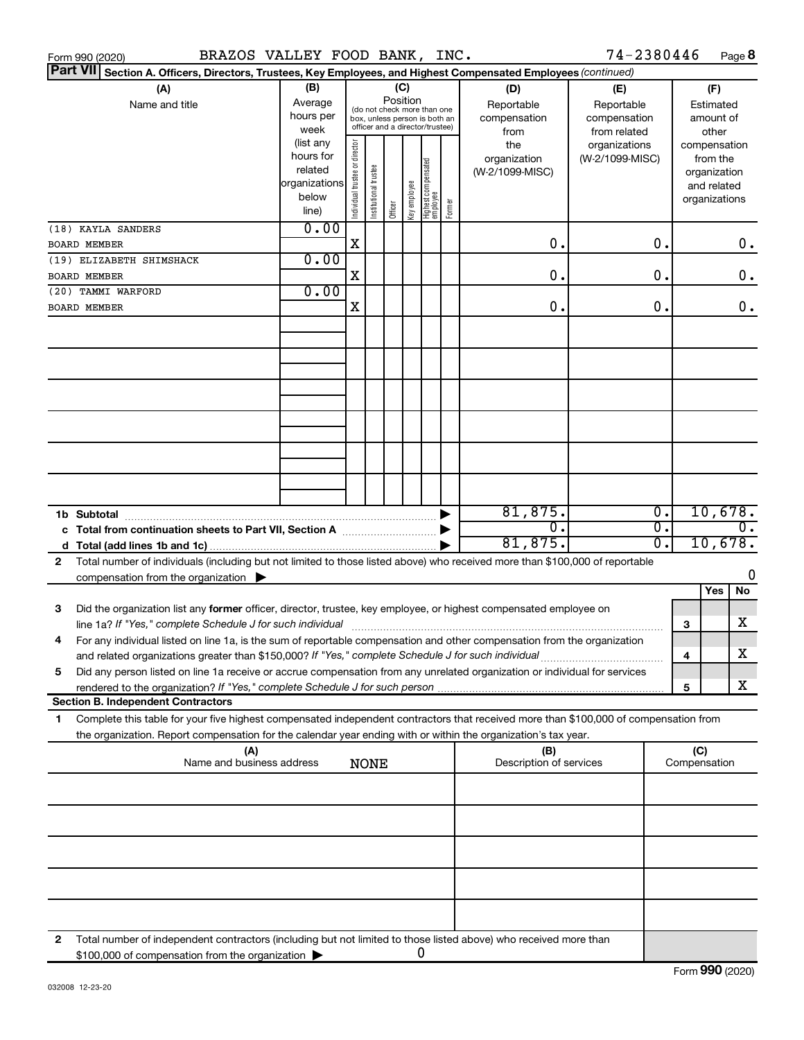|              | BRAZOS VALLEY FOOD BANK, INC.<br>Form 990 (2020)                                                                                                                                                                                                       |                                                               |                                |                       |                 |              |                                                                                                 |        |                                                                  | 74-2380446                                                                            |                        |                                                    | Page 8                      |
|--------------|--------------------------------------------------------------------------------------------------------------------------------------------------------------------------------------------------------------------------------------------------------|---------------------------------------------------------------|--------------------------------|-----------------------|-----------------|--------------|-------------------------------------------------------------------------------------------------|--------|------------------------------------------------------------------|---------------------------------------------------------------------------------------|------------------------|----------------------------------------------------|-----------------------------|
|              | <b>Part VII</b><br>Section A. Officers, Directors, Trustees, Key Employees, and Highest Compensated Employees (continued)                                                                                                                              |                                                               |                                |                       |                 |              |                                                                                                 |        |                                                                  |                                                                                       |                        |                                                    |                             |
|              | (A)<br>Name and title                                                                                                                                                                                                                                  | (B)<br>Average<br>hours per<br>week<br>(list any<br>hours for |                                |                       | (C)<br>Position |              | (do not check more than one<br>box, unless person is both an<br>officer and a director/trustee) |        | (D)<br>Reportable<br>compensation<br>from<br>the<br>organization | (E)<br>Reportable<br>compensation<br>from related<br>organizations<br>(W-2/1099-MISC) |                        | (F)<br>Estimated<br>amount of<br>other<br>from the | compensation                |
|              | (18) KAYLA SANDERS                                                                                                                                                                                                                                     | related<br>organizations<br>below<br>line)<br>0.00            | Individual trustee or director | Institutional trustee | Officer         | Key employee | Highest compensated<br>  employee                                                               | Former | (W-2/1099-MISC)                                                  |                                                                                       |                        | organization<br>and related<br>organizations       |                             |
|              | <b>BOARD MEMBER</b>                                                                                                                                                                                                                                    |                                                               | X                              |                       |                 |              |                                                                                                 |        | О.                                                               |                                                                                       | 0.                     |                                                    | $0$ .                       |
|              | (19) ELIZABETH SHIMSHACK                                                                                                                                                                                                                               | 0.00                                                          |                                |                       |                 |              |                                                                                                 |        |                                                                  |                                                                                       |                        |                                                    |                             |
|              | BOARD MEMBER                                                                                                                                                                                                                                           |                                                               | X                              |                       |                 |              |                                                                                                 |        | 0.                                                               |                                                                                       | 0.                     |                                                    | $0$ .                       |
|              | (20) TAMMI WARFORD<br><b>BOARD MEMBER</b>                                                                                                                                                                                                              | 0.00                                                          | X                              |                       |                 |              |                                                                                                 |        | 0.                                                               |                                                                                       | 0.                     |                                                    | $0$ .                       |
|              |                                                                                                                                                                                                                                                        |                                                               |                                |                       |                 |              |                                                                                                 |        |                                                                  |                                                                                       |                        |                                                    |                             |
|              |                                                                                                                                                                                                                                                        |                                                               |                                |                       |                 |              |                                                                                                 |        |                                                                  |                                                                                       |                        |                                                    |                             |
|              |                                                                                                                                                                                                                                                        |                                                               |                                |                       |                 |              |                                                                                                 |        |                                                                  |                                                                                       |                        |                                                    |                             |
|              |                                                                                                                                                                                                                                                        |                                                               |                                |                       |                 |              |                                                                                                 |        |                                                                  |                                                                                       |                        |                                                    |                             |
|              |                                                                                                                                                                                                                                                        |                                                               |                                |                       |                 |              |                                                                                                 |        |                                                                  |                                                                                       |                        |                                                    |                             |
|              |                                                                                                                                                                                                                                                        |                                                               |                                |                       |                 |              |                                                                                                 |        |                                                                  |                                                                                       |                        |                                                    |                             |
|              | 1b Subtotal                                                                                                                                                                                                                                            |                                                               |                                |                       |                 |              |                                                                                                 |        | 81,875.                                                          |                                                                                       | σ.                     |                                                    | 10,678.                     |
|              | c Total from continuation sheets to Part VII, Section A manuscreen continuum                                                                                                                                                                           |                                                               |                                |                       |                 |              |                                                                                                 |        | σ.<br>81,875.                                                    |                                                                                       | $\overline{0}$ .<br>σ. |                                                    | $\overline{0}$ .<br>10,678. |
| $\mathbf{2}$ | Total number of individuals (including but not limited to those listed above) who received more than \$100,000 of reportable                                                                                                                           |                                                               |                                |                       |                 |              |                                                                                                 |        |                                                                  |                                                                                       |                        |                                                    |                             |
|              | compensation from the organization $\blacktriangleright$                                                                                                                                                                                               |                                                               |                                |                       |                 |              |                                                                                                 |        |                                                                  |                                                                                       |                        | Yes                                                | 0<br>No                     |
| 3            | Did the organization list any former officer, director, trustee, key employee, or highest compensated employee on<br>line 1a? If "Yes," complete Schedule J for such individual manufactured content to the set of the set of the s                    |                                                               |                                |                       |                 |              |                                                                                                 |        |                                                                  |                                                                                       |                        | 3                                                  | x                           |
|              | For any individual listed on line 1a, is the sum of reportable compensation and other compensation from the organization<br>and related organizations greater than \$150,000? If "Yes," complete Schedule J for such individual                        |                                                               |                                |                       |                 |              |                                                                                                 |        |                                                                  |                                                                                       |                        | 4                                                  | х                           |
| 5            | Did any person listed on line 1a receive or accrue compensation from any unrelated organization or individual for services                                                                                                                             |                                                               |                                |                       |                 |              |                                                                                                 |        |                                                                  |                                                                                       |                        |                                                    |                             |
|              |                                                                                                                                                                                                                                                        |                                                               |                                |                       |                 |              |                                                                                                 |        |                                                                  |                                                                                       |                        | 5                                                  | x                           |
|              | <b>Section B. Independent Contractors</b>                                                                                                                                                                                                              |                                                               |                                |                       |                 |              |                                                                                                 |        |                                                                  |                                                                                       |                        |                                                    |                             |
| 1.           | Complete this table for your five highest compensated independent contractors that received more than \$100,000 of compensation from<br>the organization. Report compensation for the calendar year ending with or within the organization's tax year. |                                                               |                                |                       |                 |              |                                                                                                 |        |                                                                  |                                                                                       |                        |                                                    |                             |
|              | (A)<br>Name and business address                                                                                                                                                                                                                       |                                                               |                                | <b>NONE</b>           |                 |              |                                                                                                 |        | (B)<br>Description of services                                   |                                                                                       |                        | (C)<br>Compensation                                |                             |
|              |                                                                                                                                                                                                                                                        |                                                               |                                |                       |                 |              |                                                                                                 |        |                                                                  |                                                                                       |                        |                                                    |                             |
|              |                                                                                                                                                                                                                                                        |                                                               |                                |                       |                 |              |                                                                                                 |        |                                                                  |                                                                                       |                        |                                                    |                             |
|              |                                                                                                                                                                                                                                                        |                                                               |                                |                       |                 |              |                                                                                                 |        |                                                                  |                                                                                       |                        |                                                    |                             |
|              |                                                                                                                                                                                                                                                        |                                                               |                                |                       |                 |              |                                                                                                 |        |                                                                  |                                                                                       |                        |                                                    |                             |
| 2            | Total number of independent contractors (including but not limited to those listed above) who received more than                                                                                                                                       |                                                               |                                |                       |                 |              |                                                                                                 |        |                                                                  |                                                                                       |                        |                                                    |                             |
|              | \$100,000 of compensation from the organization                                                                                                                                                                                                        |                                                               |                                |                       |                 |              | 0                                                                                               |        |                                                                  |                                                                                       |                        |                                                    |                             |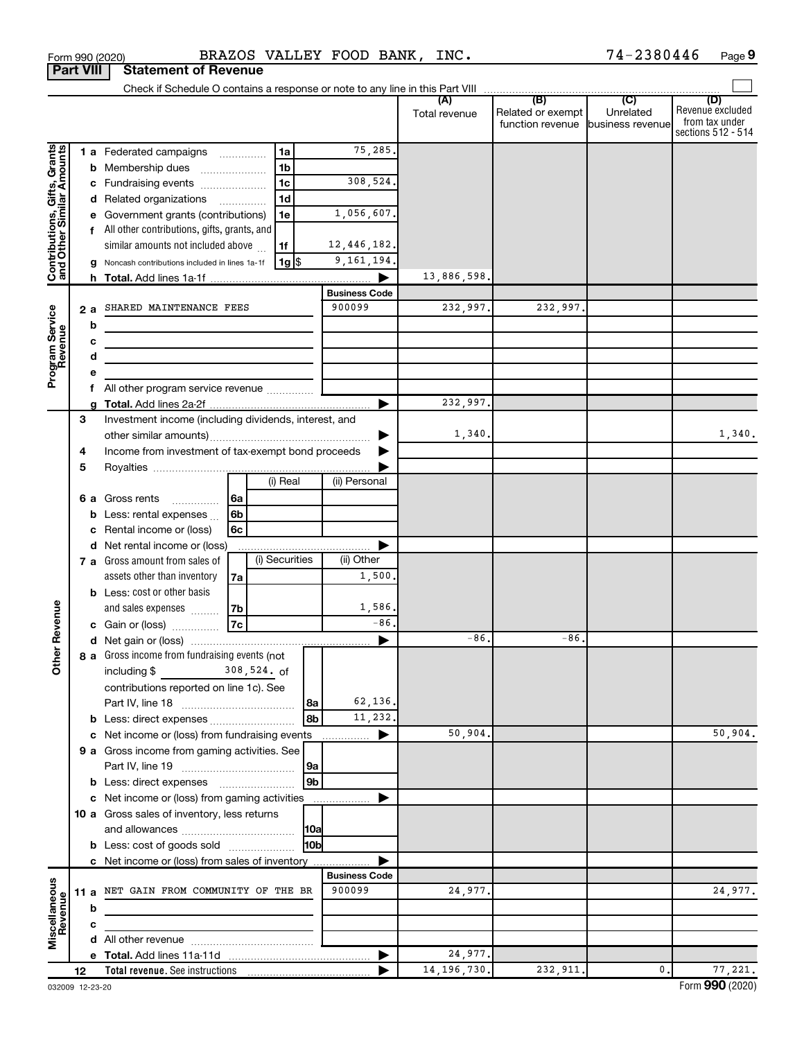|                                                           |                  | Form 990 (2020)                                                            |                |                |                 | BRAZOS VALLEY FOOD BANK, INC. |         |               |                                   | 74-2380446                  | Page 9                  |
|-----------------------------------------------------------|------------------|----------------------------------------------------------------------------|----------------|----------------|-----------------|-------------------------------|---------|---------------|-----------------------------------|-----------------------------|-------------------------|
|                                                           | <b>Part VIII</b> | <b>Statement of Revenue</b>                                                |                |                |                 |                               |         |               |                                   |                             |                         |
|                                                           |                  |                                                                            |                |                |                 |                               |         |               |                                   |                             |                         |
|                                                           |                  |                                                                            |                |                |                 |                               |         | (A)           | (B)<br>Related or exempt          | $\overline{C}$<br>Unrelated | (D)<br>Revenue excluded |
|                                                           |                  |                                                                            |                |                |                 |                               |         | Total revenue | function revenue business revenue |                             | from tax under          |
|                                                           |                  |                                                                            |                |                |                 |                               |         |               |                                   |                             | sections 512 - 514      |
| Contributions, Gifts, Grants<br>and Other Similar Amounts |                  | 1 a Federated campaigns                                                    |                | 1a             |                 |                               | 75,285. |               |                                   |                             |                         |
|                                                           |                  | <b>b</b> Membership dues                                                   |                | 1 <sub>b</sub> |                 |                               |         |               |                                   |                             |                         |
|                                                           |                  | c Fundraising events                                                       |                | 1 <sub>c</sub> |                 | 308,524.                      |         |               |                                   |                             |                         |
|                                                           |                  | d Related organizations                                                    |                | 1 <sub>d</sub> |                 |                               |         |               |                                   |                             |                         |
|                                                           |                  | e Government grants (contributions)                                        |                | 1e             |                 | 1,056,607.                    |         |               |                                   |                             |                         |
|                                                           |                  | f All other contributions, gifts, grants, and                              |                |                |                 |                               |         |               |                                   |                             |                         |
|                                                           |                  | similar amounts not included above                                         |                | 1f             |                 | 12,446,182.                   |         |               |                                   |                             |                         |
|                                                           |                  | Noncash contributions included in lines 1a-1f                              |                | $1g$ \$        |                 | 9, 161, 194.                  |         |               |                                   |                             |                         |
|                                                           |                  |                                                                            |                |                |                 |                               |         | 13,886,598.   |                                   |                             |                         |
|                                                           |                  |                                                                            |                |                |                 | <b>Business Code</b>          |         |               |                                   |                             |                         |
|                                                           | 2а               | SHARED MAINTENANCE FEES                                                    |                |                |                 | 900099                        |         | 232,997.      | 232,997.                          |                             |                         |
|                                                           | b                | the control of the control of the control of the control of                |                |                |                 |                               |         |               |                                   |                             |                         |
|                                                           | c                | the control of the control of the control of the control of the control of |                |                |                 |                               |         |               |                                   |                             |                         |
|                                                           | d                |                                                                            |                |                |                 |                               |         |               |                                   |                             |                         |
| Program Service<br>Revenue                                | e                |                                                                            |                |                |                 |                               |         |               |                                   |                             |                         |
|                                                           |                  |                                                                            |                |                |                 |                               |         |               |                                   |                             |                         |
|                                                           |                  |                                                                            |                |                |                 |                               |         | 232,997.      |                                   |                             |                         |
|                                                           | 3                | Investment income (including dividends, interest, and                      |                |                |                 |                               |         | 1,340.        |                                   |                             | 1,340.                  |
|                                                           | 4                | Income from investment of tax-exempt bond proceeds                         |                |                |                 |                               |         |               |                                   |                             |                         |
|                                                           | 5                |                                                                            |                |                |                 |                               |         |               |                                   |                             |                         |
|                                                           |                  |                                                                            |                | (i) Real       |                 | (ii) Personal                 |         |               |                                   |                             |                         |
|                                                           | 6а               | Gross rents<br>$\overline{\phantom{a}}$                                    | 6a             |                |                 |                               |         |               |                                   |                             |                         |
|                                                           | b                | Less: rental expenses                                                      | 6 <sub>b</sub> |                |                 |                               |         |               |                                   |                             |                         |
|                                                           | c                | Rental income or (loss)                                                    | 6c             |                |                 |                               |         |               |                                   |                             |                         |
|                                                           |                  | d Net rental income or (loss)                                              |                |                |                 |                               |         |               |                                   |                             |                         |
|                                                           |                  | 7 a Gross amount from sales of                                             |                | (i) Securities |                 | (ii) Other                    |         |               |                                   |                             |                         |
|                                                           |                  | assets other than inventory                                                | 7a             |                |                 |                               | 1,500.  |               |                                   |                             |                         |
|                                                           |                  | <b>b</b> Less: cost or other basis                                         |                |                |                 |                               |         |               |                                   |                             |                         |
|                                                           |                  | and sales expenses                                                         | 7b             |                |                 |                               | 1,586.  |               |                                   |                             |                         |
| evenue                                                    |                  | c Gain or (loss)                                                           | 7c             |                |                 |                               | $-86.$  |               |                                   |                             |                         |
| Œ                                                         |                  |                                                                            |                |                |                 |                               |         | $-86.$        | $-86$ .                           |                             |                         |
| Other                                                     |                  | 8 a Gross income from fundraising events (not                              |                |                |                 |                               |         |               |                                   |                             |                         |
|                                                           |                  | including \$<br>$308,524.$ of                                              |                |                |                 |                               |         |               |                                   |                             |                         |
|                                                           |                  | contributions reported on line 1c). See                                    |                |                |                 |                               |         |               |                                   |                             |                         |
|                                                           |                  | Part IV, line 18                                                           |                |                | 8a              |                               | 62,136. |               |                                   |                             |                         |
|                                                           |                  | <b>b</b> Less: direct expenses <b>contained b</b> Less:                    |                |                | 8b              |                               | 11,232. |               |                                   |                             |                         |
|                                                           |                  | c Net income or (loss) from fundraising events                             |                |                |                 |                               |         | 50,904.       |                                   |                             | 50,904.                 |
|                                                           |                  | 9 a Gross income from gaming activities. See                               |                |                |                 |                               |         |               |                                   |                             |                         |
|                                                           |                  |                                                                            |                |                | 9a              |                               |         |               |                                   |                             |                         |
|                                                           |                  | <b>b</b> Less: direct expenses <b>contained b</b> Less: direct expenses    |                |                | 9 <sub>b</sub>  |                               |         |               |                                   |                             |                         |
|                                                           |                  | c Net income or (loss) from gaming activities                              |                |                |                 |                               |         |               |                                   |                             |                         |
|                                                           |                  | 10 a Gross sales of inventory, less returns                                |                |                |                 |                               |         |               |                                   |                             |                         |
|                                                           |                  |                                                                            |                |                |                 |                               |         |               |                                   |                             |                         |
|                                                           |                  | <b>b</b> Less: cost of goods sold                                          |                |                | 10 <sub>b</sub> |                               |         |               |                                   |                             |                         |
|                                                           |                  | c Net income or (loss) from sales of inventory                             |                |                |                 | <b>Business Code</b>          |         |               |                                   |                             |                         |
|                                                           |                  | 11 a NET GAIN FROM COMMUNITY OF THE BR                                     |                |                |                 | 900099                        |         | 24,977.       |                                   |                             | 24,977.                 |
| Miscellaneous<br>Revenue                                  | b                |                                                                            |                |                |                 |                               |         |               |                                   |                             |                         |
|                                                           | c                |                                                                            |                |                |                 |                               |         |               |                                   |                             |                         |
|                                                           |                  |                                                                            |                |                |                 |                               |         |               |                                   |                             |                         |
|                                                           |                  |                                                                            |                |                |                 |                               |         | 24,977.       |                                   |                             |                         |
|                                                           | 12               |                                                                            |                |                |                 |                               |         | 14, 196, 730. | 232,911.                          | $\mathbf{0}$ .              | 77,221.                 |

74-2380446 Page 9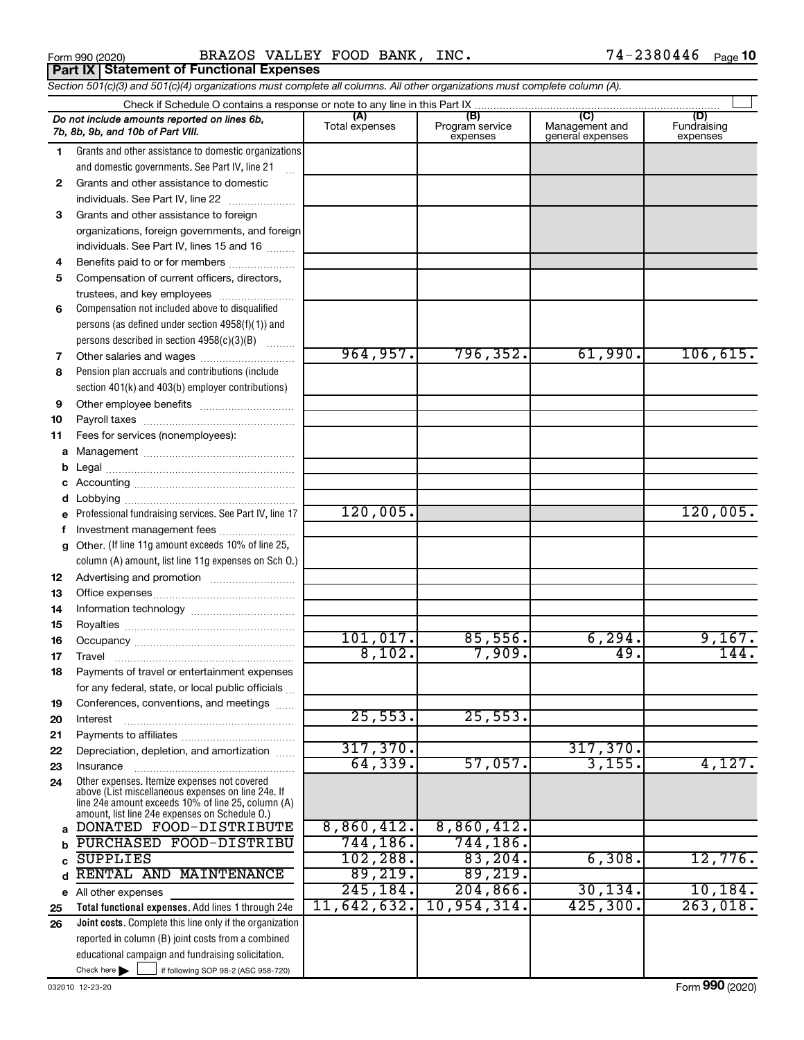Form 990 (2020) BRAZOS VALLEY FOOD BANK, INC.  $74-2380446$  Page **Part IX Statement of Functional Expenses**

*Section 501(c)(3) and 501(c)(4) organizations must complete all columns. All other organizations must complete column (A).*

|          | Do not include amounts reported on lines 6b,<br>7b, 8b, 9b, and 10b of Part VIII.                    | (A)<br>Total expenses | (B)<br>Program service<br>expenses | (C)<br>Management and<br>general expenses | (D)<br>Fundraising<br>expenses |
|----------|------------------------------------------------------------------------------------------------------|-----------------------|------------------------------------|-------------------------------------------|--------------------------------|
| 1.       | Grants and other assistance to domestic organizations                                                |                       |                                    |                                           |                                |
|          | and domestic governments. See Part IV, line 21                                                       |                       |                                    |                                           |                                |
| 2        | Grants and other assistance to domestic                                                              |                       |                                    |                                           |                                |
|          | individuals. See Part IV, line 22                                                                    |                       |                                    |                                           |                                |
| 3        | Grants and other assistance to foreign                                                               |                       |                                    |                                           |                                |
|          | organizations, foreign governments, and foreign                                                      |                       |                                    |                                           |                                |
|          | individuals. See Part IV, lines 15 and 16                                                            |                       |                                    |                                           |                                |
| 4        | Benefits paid to or for members                                                                      |                       |                                    |                                           |                                |
| 5        | Compensation of current officers, directors,                                                         |                       |                                    |                                           |                                |
|          | trustees, and key employees                                                                          |                       |                                    |                                           |                                |
| 6        | Compensation not included above to disqualified                                                      |                       |                                    |                                           |                                |
|          | persons (as defined under section $4958(f)(1)$ ) and                                                 |                       |                                    |                                           |                                |
|          | persons described in section 4958(c)(3)(B)                                                           |                       |                                    |                                           |                                |
| 7        | Other salaries and wages                                                                             | 964, 957.             | 796, 352.                          | 61,990.                                   | 106, 615.                      |
| 8        | Pension plan accruals and contributions (include                                                     |                       |                                    |                                           |                                |
|          | section 401(k) and 403(b) employer contributions)                                                    |                       |                                    |                                           |                                |
| 9        |                                                                                                      |                       |                                    |                                           |                                |
| 10       |                                                                                                      |                       |                                    |                                           |                                |
| 11       | Fees for services (nonemployees):                                                                    |                       |                                    |                                           |                                |
| a        |                                                                                                      |                       |                                    |                                           |                                |
| b        |                                                                                                      |                       |                                    |                                           |                                |
|          |                                                                                                      |                       |                                    |                                           |                                |
| d        |                                                                                                      |                       |                                    |                                           |                                |
|          | Professional fundraising services. See Part IV, line 17                                              | 120,005.              |                                    |                                           | 120,005.                       |
| f        | Investment management fees                                                                           |                       |                                    |                                           |                                |
| g        | Other. (If line 11g amount exceeds 10% of line 25,                                                   |                       |                                    |                                           |                                |
|          | column (A) amount, list line 11g expenses on Sch O.)                                                 |                       |                                    |                                           |                                |
| 12       |                                                                                                      |                       |                                    |                                           |                                |
| 13       |                                                                                                      |                       |                                    |                                           |                                |
| 14       |                                                                                                      |                       |                                    |                                           |                                |
| 15       |                                                                                                      | 101,017.              | 85,556.                            | 6, 294.                                   | 9,167.                         |
| 16       |                                                                                                      | 8,102.                | 7,909.                             | 49.                                       | 144.                           |
| 17       |                                                                                                      |                       |                                    |                                           |                                |
| 18       | Payments of travel or entertainment expenses                                                         |                       |                                    |                                           |                                |
|          | for any federal, state, or local public officials<br>Conferences, conventions, and meetings          |                       |                                    |                                           |                                |
| 19<br>20 | Interest                                                                                             | 25,553.               | 25,553.                            |                                           |                                |
| 21       |                                                                                                      |                       |                                    |                                           |                                |
| 22       | Depreciation, depletion, and amortization                                                            | 317,370.              |                                    | 317,370.                                  |                                |
| 23       | Insurance                                                                                            | 64, 339.              | 57,057.                            | 3,155.                                    | 4,127.                         |
| 24       | Other expenses. Itemize expenses not covered                                                         |                       |                                    |                                           |                                |
|          | above (List miscellaneous expenses on line 24e. If                                                   |                       |                                    |                                           |                                |
|          | line 24e amount exceeds 10% of line 25, column (A)<br>amount, list line 24e expenses on Schedule O.) |                       |                                    |                                           |                                |
| a        | DONATED FOOD-DISTRIBUTE                                                                              | 8,860,412.            | 8,860,412.                         |                                           |                                |
|          | PURCHASED FOOD-DISTRIBU                                                                              | 744,186.              | 744,186.                           |                                           |                                |
|          | <b>SUPPLIES</b>                                                                                      | 102, 288.             | 83, 204.                           | 6,308.                                    | 12,776.                        |
| d        | RENTAL AND MAINTENANCE                                                                               | 89,219.               | 89,219.                            |                                           |                                |
|          | e All other expenses                                                                                 | 245, 184.             | 204, 866.                          | 30, 134.                                  | 10, 184.                       |
| 25       | Total functional expenses. Add lines 1 through 24e                                                   | 11,642,632.           | 10,954,314.                        | 425,300.                                  | 263,018.                       |
| 26       | Joint costs. Complete this line only if the organization                                             |                       |                                    |                                           |                                |
|          | reported in column (B) joint costs from a combined                                                   |                       |                                    |                                           |                                |
|          | educational campaign and fundraising solicitation.                                                   |                       |                                    |                                           |                                |
|          | Check here<br>if following SOP 98-2 (ASC 958-720)                                                    |                       |                                    |                                           |                                |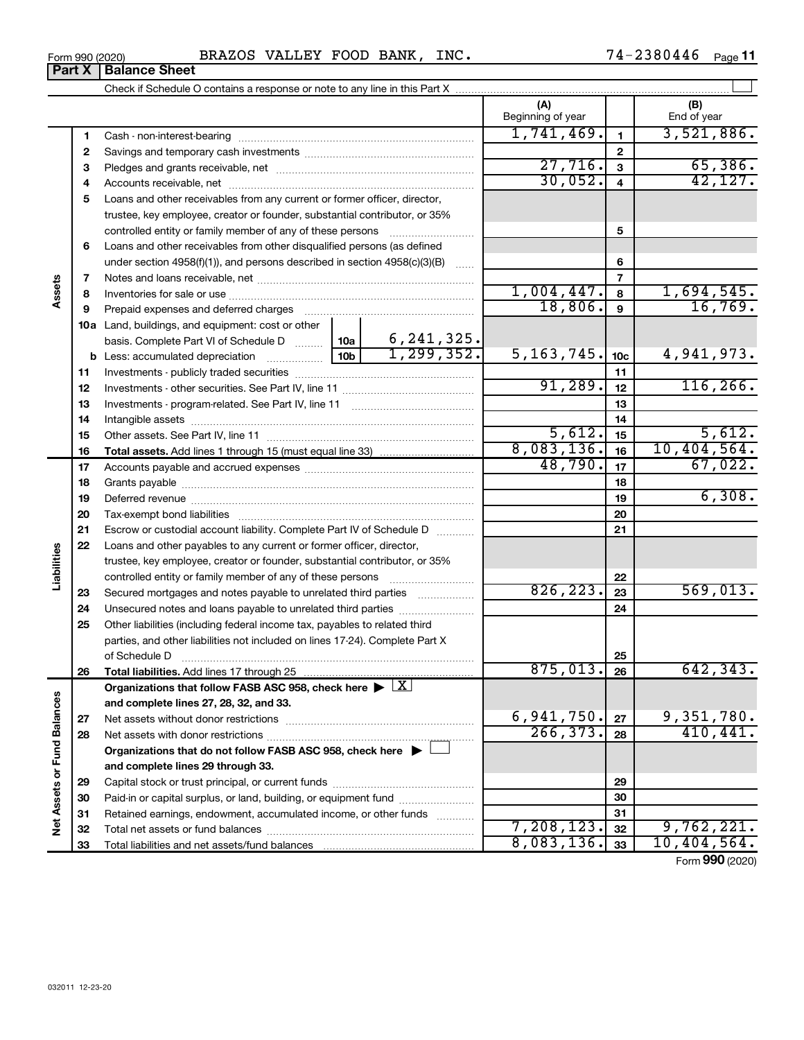| Form 990 (2020) | BRAZOS VALLEY FOOD BANK, | $_{\tt INC.}$ | 2380446<br>74–.<br>Page |
|-----------------|--------------------------|---------------|-------------------------|
|-----------------|--------------------------|---------------|-------------------------|

|                             |              |                                                                                            |                 |                                 | (A)<br>Beginning of year |                         | (B)<br>End of year      |
|-----------------------------|--------------|--------------------------------------------------------------------------------------------|-----------------|---------------------------------|--------------------------|-------------------------|-------------------------|
|                             | 1            |                                                                                            |                 |                                 | 1,741,469.               | $\mathbf{1}$            | 3,521,886.              |
|                             | $\mathbf{2}$ |                                                                                            |                 |                                 |                          | $\mathbf{2}$            |                         |
|                             | 3            |                                                                                            |                 |                                 | 27,716.                  | 3                       | 65,386.                 |
|                             | 4            |                                                                                            |                 |                                 | 30,052.                  | $\overline{\mathbf{4}}$ | 42,127.                 |
|                             | 5            | Loans and other receivables from any current or former officer, director,                  |                 |                                 |                          |                         |                         |
|                             |              | trustee, key employee, creator or founder, substantial contributor, or 35%                 |                 |                                 |                          |                         |                         |
|                             |              | controlled entity or family member of any of these persons                                 |                 |                                 |                          | 5                       |                         |
|                             | 6            | Loans and other receivables from other disqualified persons (as defined                    |                 |                                 |                          |                         |                         |
|                             |              | under section $4958(f)(1)$ , and persons described in section $4958(c)(3)(B)$              |                 |                                 |                          | 6                       |                         |
|                             | 7            |                                                                                            |                 |                                 |                          | 7                       |                         |
| Assets                      | 8            |                                                                                            |                 |                                 | 1,004,447.               | 8                       | 1,694,545.              |
|                             | 9            | Prepaid expenses and deferred charges                                                      |                 |                                 | 18,806.                  | $\boldsymbol{9}$        | 16,769.                 |
|                             |              | <b>10a</b> Land, buildings, and equipment: cost or other                                   |                 |                                 |                          |                         |                         |
|                             |              | basis. Complete Part VI of Schedule D  10a                                                 |                 | $\frac{6,241,325.}{1,299,352.}$ |                          |                         |                         |
|                             |              | <b>b</b> Less: accumulated depreciation                                                    | 10 <sub>b</sub> |                                 | 5, 163, 745.             | 10 <sub>c</sub>         | 4,941,973.              |
|                             | 11           |                                                                                            |                 |                                 |                          | 11                      |                         |
|                             | 12           |                                                                                            |                 |                                 | 91,289.                  | 12                      | 116, 266.               |
|                             | 13           |                                                                                            |                 |                                 |                          | 13                      |                         |
|                             | 14           |                                                                                            |                 |                                 |                          | 14                      |                         |
|                             | 15           |                                                                                            |                 |                                 | 5,612.                   | 15                      | 5,612.                  |
|                             | 16           |                                                                                            |                 |                                 | 8,083,136.               | 16                      | 10, 404, 564.           |
|                             | 17           |                                                                                            |                 |                                 | 48,790.                  | 17                      | 67,022.                 |
|                             | 18           |                                                                                            |                 |                                 |                          | 18                      |                         |
|                             | 19           |                                                                                            |                 |                                 |                          | 19                      | 6,308.                  |
|                             | 20           |                                                                                            |                 |                                 |                          | 20                      |                         |
|                             | 21           | Escrow or custodial account liability. Complete Part IV of Schedule D                      |                 |                                 |                          | 21                      |                         |
|                             | 22           | Loans and other payables to any current or former officer, director,                       |                 |                                 |                          |                         |                         |
| Liabilities                 |              | trustee, key employee, creator or founder, substantial contributor, or 35%                 |                 |                                 |                          |                         |                         |
|                             |              | controlled entity or family member of any of these persons                                 |                 |                                 |                          | 22                      |                         |
|                             | 23           | Secured mortgages and notes payable to unrelated third parties <i>manumum</i>              |                 |                                 | 826, 223.                | 23                      | 569,013.                |
|                             | 24           | Unsecured notes and loans payable to unrelated third parties                               |                 |                                 |                          | 24                      |                         |
|                             | 25           | Other liabilities (including federal income tax, payables to related third                 |                 |                                 |                          |                         |                         |
|                             |              | parties, and other liabilities not included on lines 17-24). Complete Part X               |                 |                                 |                          |                         |                         |
|                             |              | of Schedule D                                                                              |                 |                                 | 875,013.                 | 25                      | 642, 343.               |
|                             | 26           |                                                                                            |                 |                                 |                          | 26                      |                         |
|                             |              | Organizations that follow FASB ASC 958, check here $\blacktriangleright \lfloor X \rfloor$ |                 |                                 |                          |                         |                         |
|                             |              | and complete lines 27, 28, 32, and 33.                                                     |                 |                                 | 6,941,750.               |                         |                         |
|                             | 27           |                                                                                            |                 |                                 | 266, 373.                | 27                      | 9,351,780.<br>410, 441. |
|                             | 28           |                                                                                            |                 |                                 |                          | 28                      |                         |
|                             |              | Organizations that do not follow FASB ASC 958, check here $\blacktriangleright$            |                 |                                 |                          |                         |                         |
|                             |              | and complete lines 29 through 33.                                                          |                 |                                 |                          |                         |                         |
|                             | 29           |                                                                                            |                 |                                 |                          | 29                      |                         |
|                             | 30           | Paid-in or capital surplus, or land, building, or equipment fund                           |                 |                                 |                          | 30<br>31                |                         |
| Net Assets or Fund Balances | 31           | Retained earnings, endowment, accumulated income, or other funds                           |                 |                                 | 7, 208, 123.             | 32                      | 9,762,221.              |
|                             | 32<br>33     |                                                                                            |                 |                                 | 8,083,136.               | 33                      | 10,404,564.             |
|                             |              |                                                                                            |                 |                                 |                          |                         |                         |

Form (2020) **990**

### **Part X** | Balance Sheet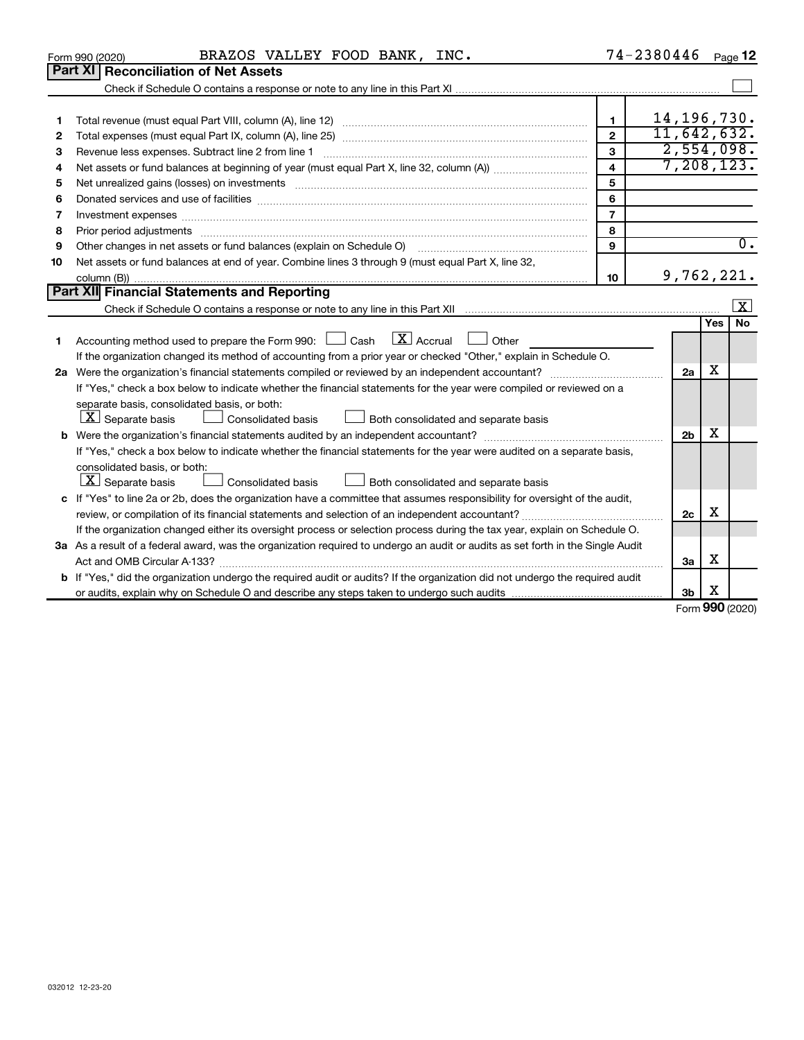| 032012 12-23-20 |  |  |
|-----------------|--|--|

|    |                                                                                                                                                                                                                                |                | --------       |            |           |
|----|--------------------------------------------------------------------------------------------------------------------------------------------------------------------------------------------------------------------------------|----------------|----------------|------------|-----------|
| 4  |                                                                                                                                                                                                                                | $\overline{4}$ | 7,208,123.     |            |           |
| 5  | Net unrealized gains (losses) on investments [111] matter in the contract of the contract of the contract of the contract of the contract of the contract of the contract of the contract of the contract of the contract of t | 5              |                |            |           |
| 6  | Donated services and use of facilities [[111] matter contracts and the service of facilities [[11] matter contracts and use of facilities [[11] matter contracts and the service of facilities [[11] matter contracts and the  | 6              |                |            |           |
|    |                                                                                                                                                                                                                                | $\overline{7}$ |                |            |           |
| 8  |                                                                                                                                                                                                                                | 8              |                |            |           |
| 9  | Other changes in net assets or fund balances (explain on Schedule O) [11] [11] manument changes in net assets or fund balances (explain on Schedule O)                                                                         | 9              |                |            | 0.        |
| 10 | Net assets or fund balances at end of year. Combine lines 3 through 9 (must equal Part X, line 32,                                                                                                                             |                |                |            |           |
|    |                                                                                                                                                                                                                                | 10             | 9,762,221.     |            |           |
|    | Part XII Financial Statements and Reporting                                                                                                                                                                                    |                |                |            |           |
|    |                                                                                                                                                                                                                                |                |                |            | $\vert$ X |
|    |                                                                                                                                                                                                                                |                |                | <b>Yes</b> | No        |
| 1. | $\lfloor x \rfloor$ Accrual<br>Accounting method used to prepare the Form 990: [130] Cash<br>Other                                                                                                                             |                |                |            |           |
|    | If the organization changed its method of accounting from a prior year or checked "Other," explain in Schedule O.                                                                                                              |                |                |            |           |
|    | 2a Were the organization's financial statements compiled or reviewed by an independent accountant?                                                                                                                             |                | 2a             | x          |           |
|    | If "Yes," check a box below to indicate whether the financial statements for the year were compiled or reviewed on a                                                                                                           |                |                |            |           |
|    | separate basis, consolidated basis, or both:                                                                                                                                                                                   |                |                |            |           |
|    | $ \mathbf{X} $ Separate basis<br>Both consolidated and separate basis<br><b>Consolidated basis</b>                                                                                                                             |                |                |            |           |
|    |                                                                                                                                                                                                                                |                | 2 <sub>b</sub> | х          |           |
|    | If "Yes," check a box below to indicate whether the financial statements for the year were audited on a separate basis,                                                                                                        |                |                |            |           |
|    | consolidated basis, or both:                                                                                                                                                                                                   |                |                |            |           |
|    | $ \mathbf{X} $ Separate basis<br>Both consolidated and separate basis<br><b>Consolidated basis</b>                                                                                                                             |                |                |            |           |
|    | c If "Yes" to line 2a or 2b, does the organization have a committee that assumes responsibility for oversight of the audit,                                                                                                    |                |                |            |           |
|    |                                                                                                                                                                                                                                |                | 2c             | х          |           |
|    | If the organization changed either its oversight process or selection process during the tax year, explain on Schedule O.                                                                                                      |                |                |            |           |
|    | 3a As a result of a federal award, was the organization required to undergo an audit or audits as set forth in the Single Audit                                                                                                |                |                |            |           |
|    | Act and OMB Circular A-133?                                                                                                                                                                                                    |                | 3a             | х          |           |
|    | b If "Yes," did the organization undergo the required audit or audits? If the organization did not undergo the required audit                                                                                                  |                |                |            |           |
|    |                                                                                                                                                                                                                                |                | 3b             | х          |           |
|    |                                                                                                                                                                                                                                |                |                |            |           |

|         | BRAZOS VALLEY FOOD BANK, INC.<br>Form 990 (2020)                                                                                                                                                                     |        | $74 - 2380446$<br>Page 12    |
|---------|----------------------------------------------------------------------------------------------------------------------------------------------------------------------------------------------------------------------|--------|------------------------------|
|         | <b>Part XI Reconciliation of Net Assets</b>                                                                                                                                                                          |        |                              |
|         |                                                                                                                                                                                                                      |        |                              |
| 2       |                                                                                                                                                                                                                      | 2      | 14, 196, 730.<br>11,642,632. |
| 3       |                                                                                                                                                                                                                      | з      | 2,554,098.                   |
| 4<br>5  | Net unrealized gains (losses) on investments [[11] non-minimum material intervals and produced gains (losses)                                                                                                        | 4<br>5 | 7,208,123.                   |
| 6       |                                                                                                                                                                                                                      | 6      |                              |
| 8       |                                                                                                                                                                                                                      | 8      |                              |
| 9<br>10 | Other changes in net assets or fund balances (explain on Schedule O) [11] [2000] [2000] [2000] [2000] [2000] [<br>Net assets or fund balances at end of year. Combine lines 3 through 9 (must equal Part X, line 32, | 9      |                              |
|         | <b>Part XII</b> Financial Statements and Reporting                                                                                                                                                                   | 10     | 9,762,221.                   |

Form (2020) **990**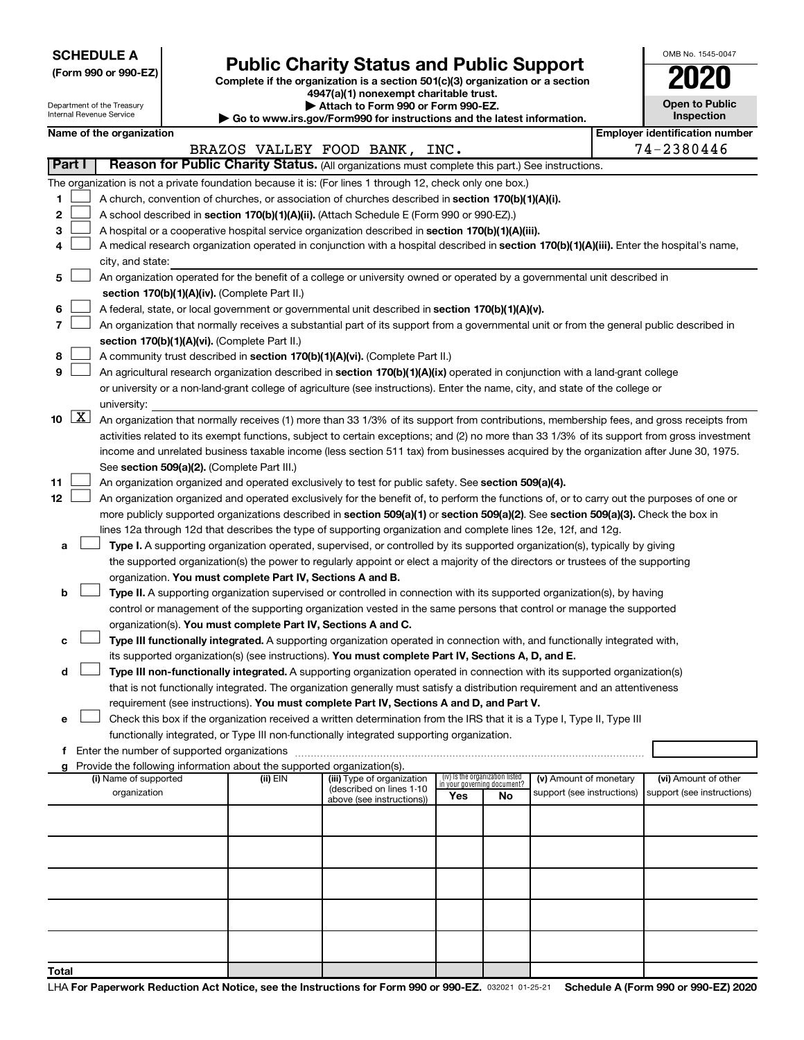**SCHEDULE A**

Department of the Treasury Internal Revenue Service

| (Form 990 or 990-EZ) |  |  |  |  |
|----------------------|--|--|--|--|
|----------------------|--|--|--|--|

## Form 990 or 990-EZ) **Public Charity Status and Public Support**<br>
Complete if the organization is a section 501(c)(3) organization or a section<br> **2020**

**4947(a)(1) nonexempt charitable trust. | Attach to Form 990 or Form 990-EZ.** 

| $\triangleright$ Allach to Form occurs to Home count                     |
|--------------------------------------------------------------------------|
| ▶ Go to www.irs.gov/Form990 for instructions and the latest information. |

| OMB No. 1545-0047                   |
|-------------------------------------|
| 02                                  |
| <b>Open to Public</b><br>Inspection |

|  | Name of the organization |
|--|--------------------------|
|--|--------------------------|

|                     |  | Name of the organization                                                                                                                      |          |                               |                                    |    |                            |  | <b>Employer identification number</b> |  |  |  |
|---------------------|--|-----------------------------------------------------------------------------------------------------------------------------------------------|----------|-------------------------------|------------------------------------|----|----------------------------|--|---------------------------------------|--|--|--|
|                     |  |                                                                                                                                               |          | BRAZOS VALLEY FOOD BANK, INC. |                                    |    |                            |  | 74-2380446                            |  |  |  |
| Part I              |  | Reason for Public Charity Status. (All organizations must complete this part.) See instructions.                                              |          |                               |                                    |    |                            |  |                                       |  |  |  |
|                     |  | The organization is not a private foundation because it is: (For lines 1 through 12, check only one box.)                                     |          |                               |                                    |    |                            |  |                                       |  |  |  |
| 1                   |  | A church, convention of churches, or association of churches described in section 170(b)(1)(A)(i).                                            |          |                               |                                    |    |                            |  |                                       |  |  |  |
| 2                   |  | A school described in section 170(b)(1)(A)(ii). (Attach Schedule E (Form 990 or 990-EZ).)                                                     |          |                               |                                    |    |                            |  |                                       |  |  |  |
| З                   |  | A hospital or a cooperative hospital service organization described in section 170(b)(1)(A)(iii).                                             |          |                               |                                    |    |                            |  |                                       |  |  |  |
| 4                   |  | A medical research organization operated in conjunction with a hospital described in section 170(b)(1)(A)(iii). Enter the hospital's name,    |          |                               |                                    |    |                            |  |                                       |  |  |  |
|                     |  | city, and state:<br>An organization operated for the benefit of a college or university owned or operated by a governmental unit described in |          |                               |                                    |    |                            |  |                                       |  |  |  |
| 5.                  |  |                                                                                                                                               |          |                               |                                    |    |                            |  |                                       |  |  |  |
|                     |  | section 170(b)(1)(A)(iv). (Complete Part II.)                                                                                                 |          |                               |                                    |    |                            |  |                                       |  |  |  |
| 6                   |  | A federal, state, or local government or governmental unit described in section 170(b)(1)(A)(v).                                              |          |                               |                                    |    |                            |  |                                       |  |  |  |
| 7                   |  | An organization that normally receives a substantial part of its support from a governmental unit or from the general public described in     |          |                               |                                    |    |                            |  |                                       |  |  |  |
|                     |  | section 170(b)(1)(A)(vi). (Complete Part II.)                                                                                                 |          |                               |                                    |    |                            |  |                                       |  |  |  |
| 8                   |  | A community trust described in section 170(b)(1)(A)(vi). (Complete Part II.)                                                                  |          |                               |                                    |    |                            |  |                                       |  |  |  |
| 9                   |  | An agricultural research organization described in section 170(b)(1)(A)(ix) operated in conjunction with a land-grant college                 |          |                               |                                    |    |                            |  |                                       |  |  |  |
|                     |  | or university or a non-land-grant college of agriculture (see instructions). Enter the name, city, and state of the college or                |          |                               |                                    |    |                            |  |                                       |  |  |  |
|                     |  | university:                                                                                                                                   |          |                               |                                    |    |                            |  |                                       |  |  |  |
| $10 \quad \text{X}$ |  | An organization that normally receives (1) more than 33 1/3% of its support from contributions, membership fees, and gross receipts from      |          |                               |                                    |    |                            |  |                                       |  |  |  |
|                     |  | activities related to its exempt functions, subject to certain exceptions; and (2) no more than 33 1/3% of its support from gross investment  |          |                               |                                    |    |                            |  |                                       |  |  |  |
|                     |  | income and unrelated business taxable income (less section 511 tax) from businesses acquired by the organization after June 30, 1975.         |          |                               |                                    |    |                            |  |                                       |  |  |  |
|                     |  | See section 509(a)(2). (Complete Part III.)                                                                                                   |          |                               |                                    |    |                            |  |                                       |  |  |  |
| 11                  |  | An organization organized and operated exclusively to test for public safety. See section 509(a)(4).                                          |          |                               |                                    |    |                            |  |                                       |  |  |  |
| 12                  |  | An organization organized and operated exclusively for the benefit of, to perform the functions of, or to carry out the purposes of one or    |          |                               |                                    |    |                            |  |                                       |  |  |  |
|                     |  | more publicly supported organizations described in section 509(a)(1) or section 509(a)(2). See section 509(a)(3). Check the box in            |          |                               |                                    |    |                            |  |                                       |  |  |  |
|                     |  | lines 12a through 12d that describes the type of supporting organization and complete lines 12e, 12f, and 12g.                                |          |                               |                                    |    |                            |  |                                       |  |  |  |
| а                   |  | Type I. A supporting organization operated, supervised, or controlled by its supported organization(s), typically by giving                   |          |                               |                                    |    |                            |  |                                       |  |  |  |
|                     |  | the supported organization(s) the power to regularly appoint or elect a majority of the directors or trustees of the supporting               |          |                               |                                    |    |                            |  |                                       |  |  |  |
|                     |  | organization. You must complete Part IV, Sections A and B.                                                                                    |          |                               |                                    |    |                            |  |                                       |  |  |  |
| b                   |  | Type II. A supporting organization supervised or controlled in connection with its supported organization(s), by having                       |          |                               |                                    |    |                            |  |                                       |  |  |  |
|                     |  | control or management of the supporting organization vested in the same persons that control or manage the supported                          |          |                               |                                    |    |                            |  |                                       |  |  |  |
|                     |  | organization(s). You must complete Part IV, Sections A and C.                                                                                 |          |                               |                                    |    |                            |  |                                       |  |  |  |
| с                   |  | Type III functionally integrated. A supporting organization operated in connection with, and functionally integrated with,                    |          |                               |                                    |    |                            |  |                                       |  |  |  |
|                     |  | its supported organization(s) (see instructions). You must complete Part IV, Sections A, D, and E.                                            |          |                               |                                    |    |                            |  |                                       |  |  |  |
| d                   |  | Type III non-functionally integrated. A supporting organization operated in connection with its supported organization(s)                     |          |                               |                                    |    |                            |  |                                       |  |  |  |
|                     |  | that is not functionally integrated. The organization generally must satisfy a distribution requirement and an attentiveness                  |          |                               |                                    |    |                            |  |                                       |  |  |  |
|                     |  | requirement (see instructions). You must complete Part IV, Sections A and D, and Part V.                                                      |          |                               |                                    |    |                            |  |                                       |  |  |  |
|                     |  | Check this box if the organization received a written determination from the IRS that it is a Type I, Type II, Type III                       |          |                               |                                    |    |                            |  |                                       |  |  |  |
|                     |  | functionally integrated, or Type III non-functionally integrated supporting organization.                                                     |          |                               |                                    |    |                            |  |                                       |  |  |  |
|                     |  | f Enter the number of supported organizations                                                                                                 |          |                               |                                    |    |                            |  |                                       |  |  |  |
|                     |  | g Provide the following information about the supported organization(s).<br>(i) Name of supported                                             | (ii) EIN | (iii) Type of organization    | (iv) Is the organization listed    |    | (v) Amount of monetary     |  | (vi) Amount of other                  |  |  |  |
|                     |  | organization                                                                                                                                  |          | (described on lines 1-10      | in your governing document?<br>Yes | No | support (see instructions) |  | support (see instructions)            |  |  |  |
|                     |  |                                                                                                                                               |          | above (see instructions))     |                                    |    |                            |  |                                       |  |  |  |
|                     |  |                                                                                                                                               |          |                               |                                    |    |                            |  |                                       |  |  |  |
|                     |  |                                                                                                                                               |          |                               |                                    |    |                            |  |                                       |  |  |  |
|                     |  |                                                                                                                                               |          |                               |                                    |    |                            |  |                                       |  |  |  |
|                     |  |                                                                                                                                               |          |                               |                                    |    |                            |  |                                       |  |  |  |
|                     |  |                                                                                                                                               |          |                               |                                    |    |                            |  |                                       |  |  |  |
|                     |  |                                                                                                                                               |          |                               |                                    |    |                            |  |                                       |  |  |  |
|                     |  |                                                                                                                                               |          |                               |                                    |    |                            |  |                                       |  |  |  |
|                     |  |                                                                                                                                               |          |                               |                                    |    |                            |  |                                       |  |  |  |
|                     |  |                                                                                                                                               |          |                               |                                    |    |                            |  |                                       |  |  |  |
| Total               |  |                                                                                                                                               |          |                               |                                    |    |                            |  |                                       |  |  |  |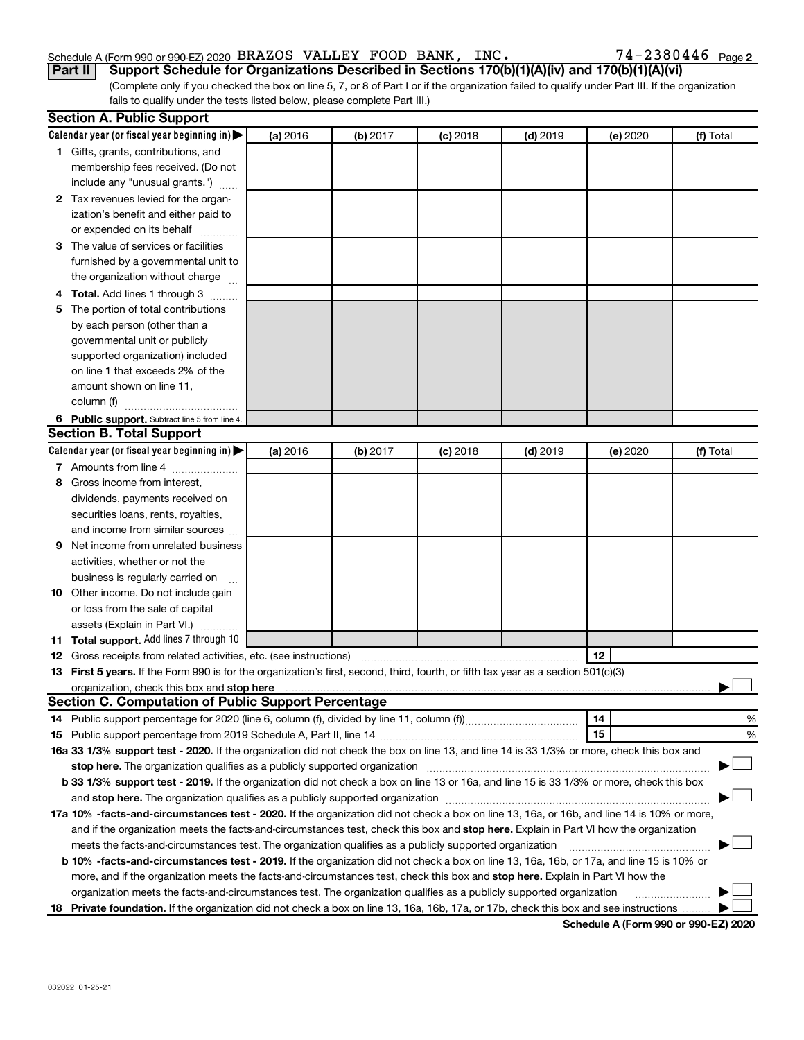#### Schedule A (Form 990 or 990-EZ) 2020 BRAZOS VALLEY FOOD BANK, INC.  $74-2380446$  Page

74-2380446 Page 2

(Complete only if you checked the box on line 5, 7, or 8 of Part I or if the organization failed to qualify under Part III. If the organization fails to qualify under the tests listed below, please complete Part III.) **Part II Support Schedule for Organizations Described in Sections 170(b)(1)(A)(iv) and 170(b)(1)(A)(vi)**

|   | <b>Section A. Public Support</b>                                                                                                                                                                                              |          |          |            |            |          |           |
|---|-------------------------------------------------------------------------------------------------------------------------------------------------------------------------------------------------------------------------------|----------|----------|------------|------------|----------|-----------|
|   | Calendar year (or fiscal year beginning in)                                                                                                                                                                                   | (a) 2016 | (b) 2017 | $(c)$ 2018 | $(d)$ 2019 | (e) 2020 | (f) Total |
|   | 1 Gifts, grants, contributions, and                                                                                                                                                                                           |          |          |            |            |          |           |
|   | membership fees received. (Do not                                                                                                                                                                                             |          |          |            |            |          |           |
|   | include any "unusual grants.")                                                                                                                                                                                                |          |          |            |            |          |           |
|   | 2 Tax revenues levied for the organ-                                                                                                                                                                                          |          |          |            |            |          |           |
|   | ization's benefit and either paid to                                                                                                                                                                                          |          |          |            |            |          |           |
|   | or expended on its behalf                                                                                                                                                                                                     |          |          |            |            |          |           |
|   | 3 The value of services or facilities                                                                                                                                                                                         |          |          |            |            |          |           |
|   | furnished by a governmental unit to                                                                                                                                                                                           |          |          |            |            |          |           |
|   | the organization without charge                                                                                                                                                                                               |          |          |            |            |          |           |
|   | 4 Total. Add lines 1 through 3                                                                                                                                                                                                |          |          |            |            |          |           |
|   | 5 The portion of total contributions                                                                                                                                                                                          |          |          |            |            |          |           |
|   | by each person (other than a                                                                                                                                                                                                  |          |          |            |            |          |           |
|   | governmental unit or publicly                                                                                                                                                                                                 |          |          |            |            |          |           |
|   | supported organization) included                                                                                                                                                                                              |          |          |            |            |          |           |
|   | on line 1 that exceeds 2% of the                                                                                                                                                                                              |          |          |            |            |          |           |
|   | amount shown on line 11,                                                                                                                                                                                                      |          |          |            |            |          |           |
|   | column (f)                                                                                                                                                                                                                    |          |          |            |            |          |           |
|   | 6 Public support. Subtract line 5 from line 4.                                                                                                                                                                                |          |          |            |            |          |           |
|   | <b>Section B. Total Support</b>                                                                                                                                                                                               |          |          |            |            |          |           |
|   | Calendar year (or fiscal year beginning in)                                                                                                                                                                                   | (a) 2016 | (b) 2017 | $(c)$ 2018 | $(d)$ 2019 | (e) 2020 | (f) Total |
|   | 7 Amounts from line 4                                                                                                                                                                                                         |          |          |            |            |          |           |
|   | 8 Gross income from interest.                                                                                                                                                                                                 |          |          |            |            |          |           |
|   | dividends, payments received on                                                                                                                                                                                               |          |          |            |            |          |           |
|   | securities loans, rents, royalties,                                                                                                                                                                                           |          |          |            |            |          |           |
|   | and income from similar sources                                                                                                                                                                                               |          |          |            |            |          |           |
| 9 | Net income from unrelated business                                                                                                                                                                                            |          |          |            |            |          |           |
|   | activities, whether or not the                                                                                                                                                                                                |          |          |            |            |          |           |
|   | business is regularly carried on                                                                                                                                                                                              |          |          |            |            |          |           |
|   | 10 Other income. Do not include gain                                                                                                                                                                                          |          |          |            |            |          |           |
|   | or loss from the sale of capital                                                                                                                                                                                              |          |          |            |            |          |           |
|   | assets (Explain in Part VI.)                                                                                                                                                                                                  |          |          |            |            |          |           |
|   | 11 Total support. Add lines 7 through 10                                                                                                                                                                                      |          |          |            |            |          |           |
|   | <b>12</b> Gross receipts from related activities, etc. (see instructions)                                                                                                                                                     |          |          |            |            | 12       |           |
|   | 13 First 5 years. If the Form 990 is for the organization's first, second, third, fourth, or fifth tax year as a section 501(c)(3)                                                                                            |          |          |            |            |          |           |
|   | organization, check this box and stop here international content to the content of the content of the content of the content of the content of the content of the content of the content of the content of the content of the |          |          |            |            |          |           |
|   | <b>Section C. Computation of Public Support Percentage</b>                                                                                                                                                                    |          |          |            |            |          |           |
|   |                                                                                                                                                                                                                               |          |          |            |            | 14       | %         |
|   |                                                                                                                                                                                                                               |          |          |            |            | 15       | %         |
|   | 16a 33 1/3% support test - 2020. If the organization did not check the box on line 13, and line 14 is 33 1/3% or more, check this box and                                                                                     |          |          |            |            |          |           |
|   | stop here. The organization qualifies as a publicly supported organization matchinary material content and the                                                                                                                |          |          |            |            |          |           |
|   | b 33 1/3% support test - 2019. If the organization did not check a box on line 13 or 16a, and line 15 is 33 1/3% or more, check this box                                                                                      |          |          |            |            |          |           |
|   |                                                                                                                                                                                                                               |          |          |            |            |          |           |
|   | 17a 10% -facts-and-circumstances test - 2020. If the organization did not check a box on line 13, 16a, or 16b, and line 14 is 10% or more,                                                                                    |          |          |            |            |          |           |
|   | and if the organization meets the facts-and-circumstances test, check this box and stop here. Explain in Part VI how the organization                                                                                         |          |          |            |            |          |           |
|   | meets the facts-and-circumstances test. The organization qualifies as a publicly supported organization                                                                                                                       |          |          |            |            |          |           |
|   | <b>b 10% -facts-and-circumstances test - 2019.</b> If the organization did not check a box on line 13, 16a, 16b, or 17a, and line 15 is 10% or                                                                                |          |          |            |            |          |           |
|   | more, and if the organization meets the facts-and-circumstances test, check this box and stop here. Explain in Part VI how the                                                                                                |          |          |            |            |          |           |
|   | organization meets the facts-and-circumstances test. The organization qualifies as a publicly supported organization                                                                                                          |          |          |            |            |          |           |
|   | 18 Private foundation. If the organization did not check a box on line 13, 16a, 16b, 17a, or 17b, check this box and see instructions                                                                                         |          |          |            |            |          |           |

**Schedule A (Form 990 or 990-EZ) 2020**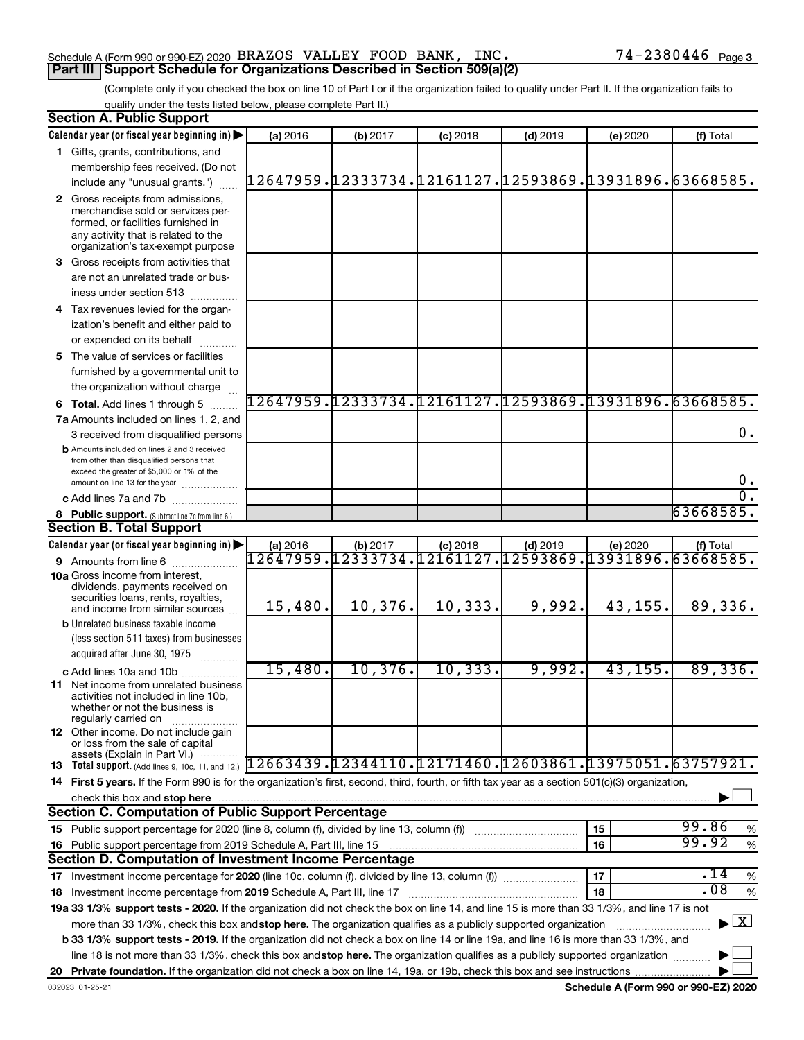#### Schedule A (Form 990 or 990-EZ) 2020 BRAZOS VALLEY FOOD BANK, INC.  $74-2380446$  Page **Part III Support Schedule for Organizations Described in Section 509(a)(2)**

(Complete only if you checked the box on line 10 of Part I or if the organization failed to qualify under Part II. If the organization fails to qualify under the tests listed below, please complete Part II.)

| <b>Section A. Public Support</b>                                                                                                                                                                                                                          |                                                        |          |                                                               |            |          |                                    |
|-----------------------------------------------------------------------------------------------------------------------------------------------------------------------------------------------------------------------------------------------------------|--------------------------------------------------------|----------|---------------------------------------------------------------|------------|----------|------------------------------------|
| Calendar year (or fiscal year beginning in)                                                                                                                                                                                                               | (a) 2016                                               | (b) 2017 | $(c)$ 2018                                                    | $(d)$ 2019 | (e) 2020 | (f) Total                          |
| 1 Gifts, grants, contributions, and                                                                                                                                                                                                                       |                                                        |          |                                                               |            |          |                                    |
| membership fees received. (Do not                                                                                                                                                                                                                         |                                                        |          |                                                               |            |          |                                    |
| include any "unusual grants.")                                                                                                                                                                                                                            | 12647959.12333734.12161127.12593869.13931896.63668585. |          |                                                               |            |          |                                    |
| 2 Gross receipts from admissions,                                                                                                                                                                                                                         |                                                        |          |                                                               |            |          |                                    |
| merchandise sold or services per-                                                                                                                                                                                                                         |                                                        |          |                                                               |            |          |                                    |
| formed, or facilities furnished in                                                                                                                                                                                                                        |                                                        |          |                                                               |            |          |                                    |
| any activity that is related to the<br>organization's tax-exempt purpose                                                                                                                                                                                  |                                                        |          |                                                               |            |          |                                    |
| 3 Gross receipts from activities that                                                                                                                                                                                                                     |                                                        |          |                                                               |            |          |                                    |
| are not an unrelated trade or bus-                                                                                                                                                                                                                        |                                                        |          |                                                               |            |          |                                    |
| iness under section 513                                                                                                                                                                                                                                   |                                                        |          |                                                               |            |          |                                    |
| 4 Tax revenues levied for the organ-                                                                                                                                                                                                                      |                                                        |          |                                                               |            |          |                                    |
| ization's benefit and either paid to                                                                                                                                                                                                                      |                                                        |          |                                                               |            |          |                                    |
| or expended on its behalf                                                                                                                                                                                                                                 |                                                        |          |                                                               |            |          |                                    |
| 5 The value of services or facilities                                                                                                                                                                                                                     |                                                        |          |                                                               |            |          |                                    |
| furnished by a governmental unit to                                                                                                                                                                                                                       |                                                        |          |                                                               |            |          |                                    |
| the organization without charge                                                                                                                                                                                                                           |                                                        |          |                                                               |            |          |                                    |
| <b>6 Total.</b> Add lines 1 through 5                                                                                                                                                                                                                     | 12647959.12333734.12161127.12593869.13931896.63668585. |          |                                                               |            |          |                                    |
| 7a Amounts included on lines 1, 2, and                                                                                                                                                                                                                    |                                                        |          |                                                               |            |          |                                    |
| 3 received from disqualified persons                                                                                                                                                                                                                      |                                                        |          |                                                               |            |          | 0.                                 |
| <b>b</b> Amounts included on lines 2 and 3 received                                                                                                                                                                                                       |                                                        |          |                                                               |            |          |                                    |
| from other than disqualified persons that                                                                                                                                                                                                                 |                                                        |          |                                                               |            |          |                                    |
| exceed the greater of \$5,000 or 1% of the<br>amount on line 13 for the year                                                                                                                                                                              |                                                        |          |                                                               |            |          | 0.                                 |
| c Add lines 7a and 7b                                                                                                                                                                                                                                     |                                                        |          |                                                               |            |          | σ.                                 |
| 8 Public support. (Subtract line 7c from line 6.)                                                                                                                                                                                                         |                                                        |          |                                                               |            |          | 63668585.                          |
| <b>Section B. Total Support</b>                                                                                                                                                                                                                           |                                                        |          |                                                               |            |          |                                    |
| Calendar year (or fiscal year beginning in)                                                                                                                                                                                                               | (a) 2016                                               | (b) 2017 | $(c)$ 2018                                                    | $(d)$ 2019 | (e) 2020 | (f) Total                          |
| 9 Amounts from line 6                                                                                                                                                                                                                                     |                                                        |          | <u>.2647959.12333734.12161127.12593869.13931896.63668585.</u> |            |          |                                    |
| <b>10a</b> Gross income from interest,                                                                                                                                                                                                                    |                                                        |          |                                                               |            |          |                                    |
| dividends, payments received on                                                                                                                                                                                                                           |                                                        |          |                                                               |            |          |                                    |
| securities loans, rents, royalties,<br>and income from similar sources                                                                                                                                                                                    | 15,480.                                                | 10,376.  | 10,333.                                                       | 9,992.     | 43,155.  | 89,336.                            |
| <b>b</b> Unrelated business taxable income                                                                                                                                                                                                                |                                                        |          |                                                               |            |          |                                    |
| (less section 511 taxes) from businesses                                                                                                                                                                                                                  |                                                        |          |                                                               |            |          |                                    |
| acquired after June 30, 1975                                                                                                                                                                                                                              |                                                        |          |                                                               |            |          |                                    |
| c Add lines 10a and 10b                                                                                                                                                                                                                                   | 15,480.                                                | 10, 376. | 10, 333.                                                      | 9,992.     | 43, 155. | 89,336.                            |
| <b>11</b> Net income from unrelated business                                                                                                                                                                                                              |                                                        |          |                                                               |            |          |                                    |
| activities not included in line 10b.                                                                                                                                                                                                                      |                                                        |          |                                                               |            |          |                                    |
| whether or not the business is                                                                                                                                                                                                                            |                                                        |          |                                                               |            |          |                                    |
| regularly carried on<br><b>12</b> Other income. Do not include gain                                                                                                                                                                                       |                                                        |          |                                                               |            |          |                                    |
| or loss from the sale of capital                                                                                                                                                                                                                          |                                                        |          |                                                               |            |          |                                    |
| assets (Explain in Part VI.)<br>13 Total support. (Add lines 9, 10c, 11, and 12.) $[1\,2\,6\,6\,3\,4\,3\,9$ . $[1\,2\,3\,4\,4\,1\,1\,0$ . $[1\,2\,1\,7\,1\,4\,6\,0$ . $[1\,2\,6\,0\,3\,8\,6\,1$ . $[1\,3\,9\,7\,5\,0\,5\,1$ . $[6\,3\,7\,5\,7\,9\,2\,1$ . |                                                        |          |                                                               |            |          |                                    |
| 14 First 5 years. If the Form 990 is for the organization's first, second, third, fourth, or fifth tax year as a section 501(c)(3) organization,                                                                                                          |                                                        |          |                                                               |            |          |                                    |
|                                                                                                                                                                                                                                                           |                                                        |          |                                                               |            |          |                                    |
| check this box and stop here<br><b>Section C. Computation of Public Support Percentage</b>                                                                                                                                                                |                                                        |          |                                                               |            |          |                                    |
| 15 Public support percentage for 2020 (line 8, column (f), divided by line 13, column (f))                                                                                                                                                                |                                                        |          |                                                               |            | 15       | 99.86<br>%                         |
|                                                                                                                                                                                                                                                           |                                                        |          |                                                               |            | 16       | 99.92<br>$\%$                      |
| 16 Public support percentage from 2019 Schedule A, Part III, line 15<br>Section D. Computation of Investment Income Percentage                                                                                                                            |                                                        |          |                                                               |            |          |                                    |
|                                                                                                                                                                                                                                                           |                                                        |          |                                                               |            | 17       | .14                                |
| 17 Investment income percentage for 2020 (line 10c, column (f), divided by line 13, column (f))                                                                                                                                                           |                                                        |          |                                                               |            |          | $\%$<br>.08                        |
| 18 Investment income percentage from 2019 Schedule A, Part III, line 17                                                                                                                                                                                   |                                                        |          |                                                               |            | 18       | %                                  |
| 19a 33 1/3% support tests - 2020. If the organization did not check the box on line 14, and line 15 is more than 33 1/3%, and line 17 is not                                                                                                              |                                                        |          |                                                               |            |          | $\blacktriangleright$ $\mathbf{X}$ |
| more than 33 1/3%, check this box and stop here. The organization qualifies as a publicly supported organization                                                                                                                                          |                                                        |          |                                                               |            |          |                                    |
| b 33 1/3% support tests - 2019. If the organization did not check a box on line 14 or line 19a, and line 16 is more than 33 1/3%, and                                                                                                                     |                                                        |          |                                                               |            |          |                                    |
| line 18 is not more than 33 1/3%, check this box and stop here. The organization qualifies as a publicly supported organization                                                                                                                           |                                                        |          |                                                               |            |          |                                    |
|                                                                                                                                                                                                                                                           |                                                        |          |                                                               |            |          |                                    |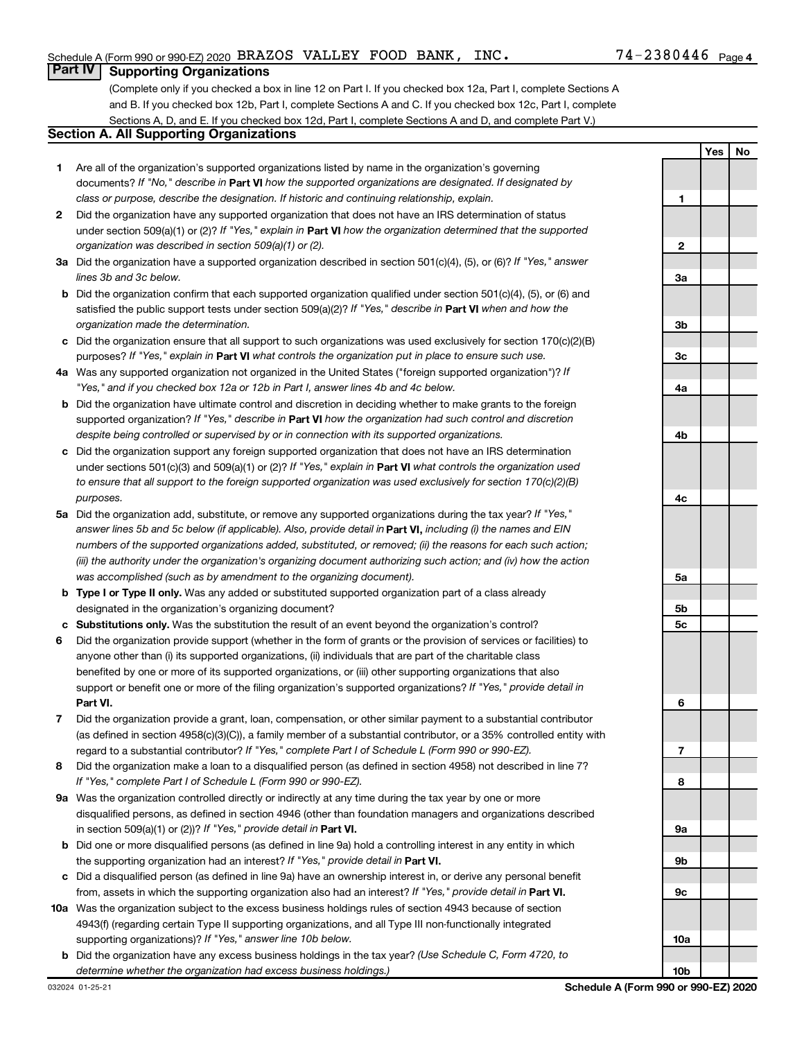**1**

**2**

**3a**

**3b**

**3c**

**Yes No**

#### **Part IV Supporting Organizations**

(Complete only if you checked a box in line 12 on Part I. If you checked box 12a, Part I, complete Sections A and B. If you checked box 12b, Part I, complete Sections A and C. If you checked box 12c, Part I, complete Sections A, D, and E. If you checked box 12d, Part I, complete Sections A and D, and complete Part V.)

#### **Section A. All Supporting Organizations**

- **1** Are all of the organization's supported organizations listed by name in the organization's governing documents? If "No," describe in Part VI how the supported organizations are designated. If designated by *class or purpose, describe the designation. If historic and continuing relationship, explain.*
- **2** Did the organization have any supported organization that does not have an IRS determination of status under section 509(a)(1) or (2)? If "Yes," explain in Part **VI** how the organization determined that the supported *organization was described in section 509(a)(1) or (2).*
- **3a** Did the organization have a supported organization described in section 501(c)(4), (5), or (6)? If "Yes," answer *lines 3b and 3c below.*
- **b** Did the organization confirm that each supported organization qualified under section 501(c)(4), (5), or (6) and satisfied the public support tests under section 509(a)(2)? If "Yes," describe in Part VI when and how the *organization made the determination.*
- **c** Did the organization ensure that all support to such organizations was used exclusively for section 170(c)(2)(B) purposes? If "Yes," explain in Part VI what controls the organization put in place to ensure such use.
- **4 a** *If* Was any supported organization not organized in the United States ("foreign supported organization")? *"Yes," and if you checked box 12a or 12b in Part I, answer lines 4b and 4c below.*
- **b** Did the organization have ultimate control and discretion in deciding whether to make grants to the foreign supported organization? If "Yes," describe in Part VI how the organization had such control and discretion *despite being controlled or supervised by or in connection with its supported organizations.*
- **c** Did the organization support any foreign supported organization that does not have an IRS determination under sections 501(c)(3) and 509(a)(1) or (2)? If "Yes," explain in Part VI what controls the organization used *to ensure that all support to the foreign supported organization was used exclusively for section 170(c)(2)(B) purposes.*
- **5a** Did the organization add, substitute, or remove any supported organizations during the tax year? If "Yes," answer lines 5b and 5c below (if applicable). Also, provide detail in **Part VI,** including (i) the names and EIN *numbers of the supported organizations added, substituted, or removed; (ii) the reasons for each such action; (iii) the authority under the organization's organizing document authorizing such action; and (iv) how the action was accomplished (such as by amendment to the organizing document).*
- **b Type I or Type II only.** Was any added or substituted supported organization part of a class already designated in the organization's organizing document?
- **c Substitutions only.**  Was the substitution the result of an event beyond the organization's control?
- **6** Did the organization provide support (whether in the form of grants or the provision of services or facilities) to **Part VI.** support or benefit one or more of the filing organization's supported organizations? If "Yes," provide detail in anyone other than (i) its supported organizations, (ii) individuals that are part of the charitable class benefited by one or more of its supported organizations, or (iii) other supporting organizations that also
- **7** Did the organization provide a grant, loan, compensation, or other similar payment to a substantial contributor regard to a substantial contributor? If "Yes," complete Part I of Schedule L (Form 990 or 990-EZ). (as defined in section 4958(c)(3)(C)), a family member of a substantial contributor, or a 35% controlled entity with
- **8** Did the organization make a loan to a disqualified person (as defined in section 4958) not described in line 7? *If "Yes," complete Part I of Schedule L (Form 990 or 990-EZ).*
- **9 a** Was the organization controlled directly or indirectly at any time during the tax year by one or more in section 509(a)(1) or (2))? If "Yes," provide detail in **Part VI.** disqualified persons, as defined in section 4946 (other than foundation managers and organizations described
- **b** Did one or more disqualified persons (as defined in line 9a) hold a controlling interest in any entity in which the supporting organization had an interest? If "Yes," provide detail in Part VI.
- **c** Did a disqualified person (as defined in line 9a) have an ownership interest in, or derive any personal benefit from, assets in which the supporting organization also had an interest? If "Yes," provide detail in Part VI.
- **10 a** Was the organization subject to the excess business holdings rules of section 4943 because of section supporting organizations)? If "Yes," answer line 10b below. 4943(f) (regarding certain Type II supporting organizations, and all Type III non-functionally integrated
	- **b** Did the organization have any excess business holdings in the tax year? (Use Schedule C, Form 4720, to *determine whether the organization had excess business holdings.)*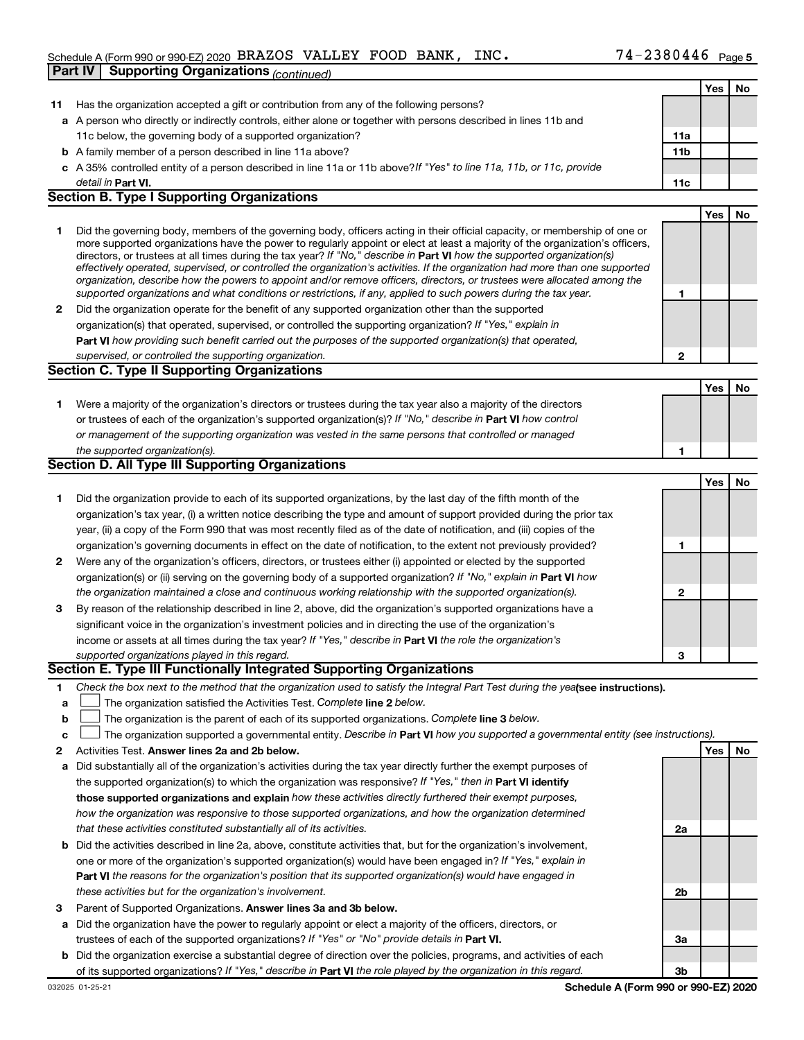### Schedule A (Form 990 or 990-EZ) 2020 BRAZOS VALLEY FOOD BANK, INC.  $74-2380446$  Page **Part IV | Supporting Organizations** *(continued)*

|              |                                                                                                                                                                                                                                                           |              | Yes | No |
|--------------|-----------------------------------------------------------------------------------------------------------------------------------------------------------------------------------------------------------------------------------------------------------|--------------|-----|----|
| 11           | Has the organization accepted a gift or contribution from any of the following persons?                                                                                                                                                                   |              |     |    |
|              | a A person who directly or indirectly controls, either alone or together with persons described in lines 11b and                                                                                                                                          |              |     |    |
|              | 11c below, the governing body of a supported organization?                                                                                                                                                                                                | 11a          |     |    |
|              | <b>b</b> A family member of a person described in line 11a above?                                                                                                                                                                                         | 11b          |     |    |
|              | c A 35% controlled entity of a person described in line 11a or 11b above?If "Yes" to line 11a, 11b, or 11c, provide                                                                                                                                       |              |     |    |
|              | detail in Part VI.                                                                                                                                                                                                                                        | 11c          |     |    |
|              | <b>Section B. Type I Supporting Organizations</b>                                                                                                                                                                                                         |              |     |    |
|              |                                                                                                                                                                                                                                                           |              | Yes | No |
| 1            | Did the governing body, members of the governing body, officers acting in their official capacity, or membership of one or                                                                                                                                |              |     |    |
|              | more supported organizations have the power to regularly appoint or elect at least a majority of the organization's officers,                                                                                                                             |              |     |    |
|              | directors, or trustees at all times during the tax year? If "No," describe in Part VI how the supported organization(s)<br>effectively operated, supervised, or controlled the organization's activities. If the organization had more than one supported |              |     |    |
|              | organization, describe how the powers to appoint and/or remove officers, directors, or trustees were allocated among the                                                                                                                                  |              |     |    |
|              | supported organizations and what conditions or restrictions, if any, applied to such powers during the tax year.                                                                                                                                          | 1            |     |    |
| $\mathbf{2}$ | Did the organization operate for the benefit of any supported organization other than the supported                                                                                                                                                       |              |     |    |
|              | organization(s) that operated, supervised, or controlled the supporting organization? If "Yes," explain in                                                                                                                                                |              |     |    |
|              | Part VI how providing such benefit carried out the purposes of the supported organization(s) that operated,                                                                                                                                               |              |     |    |
|              | supervised, or controlled the supporting organization.                                                                                                                                                                                                    | 2            |     |    |
|              | <b>Section C. Type II Supporting Organizations</b>                                                                                                                                                                                                        |              |     |    |
|              |                                                                                                                                                                                                                                                           |              | Yes | No |
| 1.           | Were a majority of the organization's directors or trustees during the tax year also a majority of the directors                                                                                                                                          |              |     |    |
|              | or trustees of each of the organization's supported organization(s)? If "No," describe in Part VI how control                                                                                                                                             |              |     |    |
|              | or management of the supporting organization was vested in the same persons that controlled or managed                                                                                                                                                    |              |     |    |
|              | the supported organization(s).<br>Section D. All Type III Supporting Organizations                                                                                                                                                                        | 1            |     |    |
|              |                                                                                                                                                                                                                                                           |              |     |    |
|              |                                                                                                                                                                                                                                                           |              | Yes | No |
| 1.           | Did the organization provide to each of its supported organizations, by the last day of the fifth month of the                                                                                                                                            |              |     |    |
|              | organization's tax year, (i) a written notice describing the type and amount of support provided during the prior tax                                                                                                                                     |              |     |    |
|              | year, (ii) a copy of the Form 990 that was most recently filed as of the date of notification, and (iii) copies of the                                                                                                                                    | 1            |     |    |
| 2            | organization's governing documents in effect on the date of notification, to the extent not previously provided?<br>Were any of the organization's officers, directors, or trustees either (i) appointed or elected by the supported                      |              |     |    |
|              | organization(s) or (ii) serving on the governing body of a supported organization? If "No," explain in Part VI how                                                                                                                                        |              |     |    |
|              | the organization maintained a close and continuous working relationship with the supported organization(s).                                                                                                                                               | $\mathbf{2}$ |     |    |
| 3            | By reason of the relationship described in line 2, above, did the organization's supported organizations have a                                                                                                                                           |              |     |    |
|              | significant voice in the organization's investment policies and in directing the use of the organization's                                                                                                                                                |              |     |    |
|              | income or assets at all times during the tax year? If "Yes," describe in Part VI the role the organization's                                                                                                                                              |              |     |    |
|              | supported organizations played in this regard.                                                                                                                                                                                                            | 3            |     |    |
|              | Section E. Type III Functionally Integrated Supporting Organizations                                                                                                                                                                                      |              |     |    |
| 1            | Check the box next to the method that the organization used to satisfy the Integral Part Test during the yealsee instructions).                                                                                                                           |              |     |    |
| a            | The organization satisfied the Activities Test. Complete line 2 below.                                                                                                                                                                                    |              |     |    |
| b            | The organization is the parent of each of its supported organizations. Complete line 3 below.                                                                                                                                                             |              |     |    |
| c            | The organization supported a governmental entity. Describe in Part VI how you supported a governmental entity (see instructions).                                                                                                                         |              |     |    |
| 2            | Activities Test. Answer lines 2a and 2b below.                                                                                                                                                                                                            |              | Yes | No |
| а            | Did substantially all of the organization's activities during the tax year directly further the exempt purposes of                                                                                                                                        |              |     |    |
|              | the supported organization(s) to which the organization was responsive? If "Yes," then in Part VI identify                                                                                                                                                |              |     |    |
|              | those supported organizations and explain how these activities directly furthered their exempt purposes,                                                                                                                                                  |              |     |    |
|              | how the organization was responsive to those supported organizations, and how the organization determined                                                                                                                                                 |              |     |    |
|              | that these activities constituted substantially all of its activities.                                                                                                                                                                                    | 2a           |     |    |
| b            | Did the activities described in line 2a, above, constitute activities that, but for the organization's involvement,                                                                                                                                       |              |     |    |
|              | one or more of the organization's supported organization(s) would have been engaged in? If "Yes," explain in                                                                                                                                              |              |     |    |
|              | <b>Part VI</b> the reasons for the organization's position that its supported organization(s) would have engaged in                                                                                                                                       |              |     |    |
|              | these activities but for the organization's involvement.                                                                                                                                                                                                  | 2b           |     |    |
| 3            | Parent of Supported Organizations. Answer lines 3a and 3b below.                                                                                                                                                                                          |              |     |    |
| а            | Did the organization have the power to regularly appoint or elect a majority of the officers, directors, or                                                                                                                                               |              |     |    |
|              | trustees of each of the supported organizations? If "Yes" or "No" provide details in Part VI.                                                                                                                                                             | За           |     |    |
| b            | Did the organization exercise a substantial degree of direction over the policies, programs, and activities of each<br>of its supported organizations? If "Yes," describe in Part VI the role played by the organization in this regard.                  | 3b           |     |    |
|              |                                                                                                                                                                                                                                                           |              |     |    |

**Schedule A (Form 990 or 990-EZ) 2020**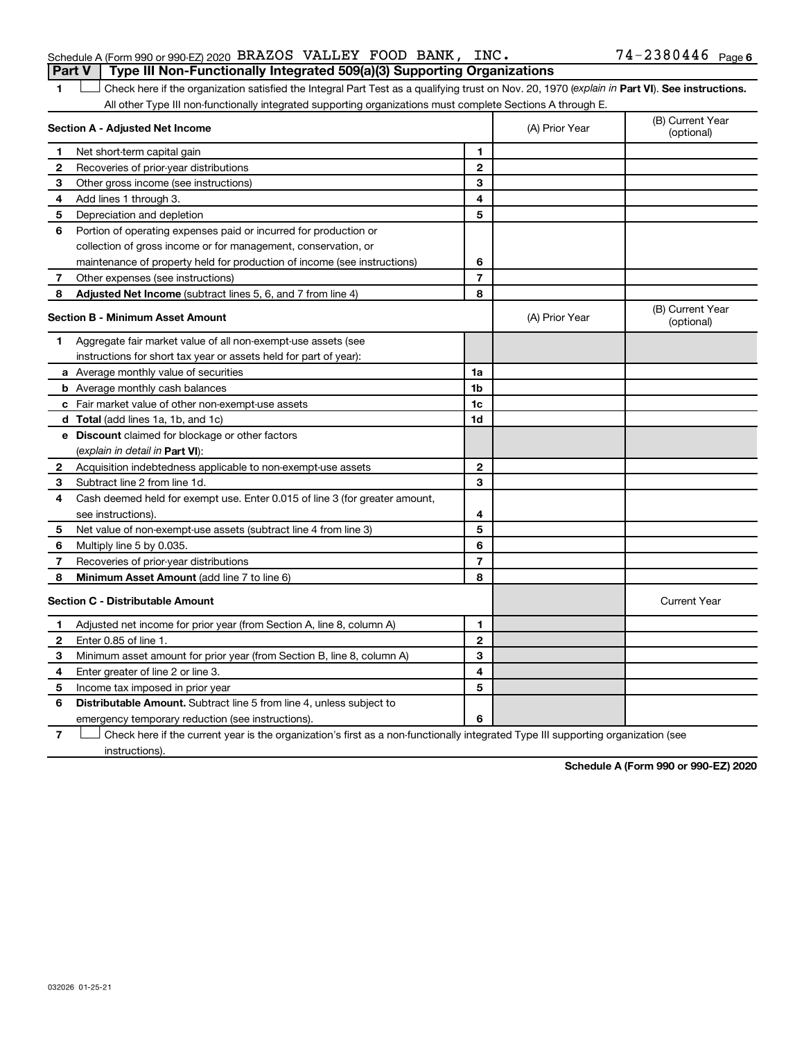#### Schedule A (Form 990 or 990-EZ) 2020 BRAZOS VALLEY FOOD BANK, INC.  $74-2380446$  Page **Part V Type III Non-Functionally Integrated 509(a)(3) Supporting Organizations**

#### 1 **Letter See instructions.** Check here if the organization satisfied the Integral Part Test as a qualifying trust on Nov. 20, 1970 (*explain in* Part **VI**). See instructions. All other Type III non-functionally integrated supporting organizations must complete Sections A through E.

|              | Section A - Adjusted Net Income                                             | (A) Prior Year | (B) Current Year<br>(optional) |                                |
|--------------|-----------------------------------------------------------------------------|----------------|--------------------------------|--------------------------------|
| 1            | Net short-term capital gain                                                 | 1              |                                |                                |
| 2            | Recoveries of prior-year distributions                                      | $\overline{2}$ |                                |                                |
| 3            | Other gross income (see instructions)                                       | 3              |                                |                                |
| 4            | Add lines 1 through 3.                                                      | 4              |                                |                                |
| 5            | Depreciation and depletion                                                  | 5              |                                |                                |
| 6            | Portion of operating expenses paid or incurred for production or            |                |                                |                                |
|              | collection of gross income or for management, conservation, or              |                |                                |                                |
|              | maintenance of property held for production of income (see instructions)    | 6              |                                |                                |
| 7            | Other expenses (see instructions)                                           | $\overline{7}$ |                                |                                |
| 8            | Adjusted Net Income (subtract lines 5, 6, and 7 from line 4)                | 8              |                                |                                |
|              | <b>Section B - Minimum Asset Amount</b>                                     |                | (A) Prior Year                 | (B) Current Year<br>(optional) |
| 1.           | Aggregate fair market value of all non-exempt-use assets (see               |                |                                |                                |
|              | instructions for short tax year or assets held for part of year):           |                |                                |                                |
|              | a Average monthly value of securities                                       | 1a             |                                |                                |
|              | <b>b</b> Average monthly cash balances                                      | 1 <sub>b</sub> |                                |                                |
|              | c Fair market value of other non-exempt-use assets                          | 1c             |                                |                                |
|              | d Total (add lines 1a, 1b, and 1c)                                          | 1d             |                                |                                |
|              | <b>e</b> Discount claimed for blockage or other factors                     |                |                                |                                |
|              | (explain in detail in <b>Part VI</b> ):                                     |                |                                |                                |
| 2            | Acquisition indebtedness applicable to non-exempt-use assets                | $\mathbf{2}$   |                                |                                |
| 3            | Subtract line 2 from line 1d.                                               | 3              |                                |                                |
| 4            | Cash deemed held for exempt use. Enter 0.015 of line 3 (for greater amount, |                |                                |                                |
|              | see instructions).                                                          | 4              |                                |                                |
| 5            | Net value of non-exempt-use assets (subtract line 4 from line 3)            | 5              |                                |                                |
| 6            | Multiply line 5 by 0.035.                                                   | 6              |                                |                                |
| 7            | Recoveries of prior-year distributions                                      | $\overline{7}$ |                                |                                |
| 8            | Minimum Asset Amount (add line 7 to line 6)                                 | 8              |                                |                                |
|              | <b>Section C - Distributable Amount</b>                                     |                |                                | <b>Current Year</b>            |
| 1            | Adjusted net income for prior year (from Section A, line 8, column A)       | 1              |                                |                                |
| $\mathbf{2}$ | Enter 0.85 of line 1.                                                       | $\overline{2}$ |                                |                                |
| З            | Minimum asset amount for prior year (from Section B, line 8, column A)      | 3              |                                |                                |
| 4            | Enter greater of line 2 or line 3.                                          | 4              |                                |                                |
| 5            | Income tax imposed in prior year                                            | 5              |                                |                                |
| 6            | <b>Distributable Amount.</b> Subtract line 5 from line 4, unless subject to |                |                                |                                |
|              | emergency temporary reduction (see instructions).                           | 6              |                                |                                |

**7** Let Check here if the current year is the organization's first as a non-functionally integrated Type III supporting organization (see instructions).

**Schedule A (Form 990 or 990-EZ) 2020**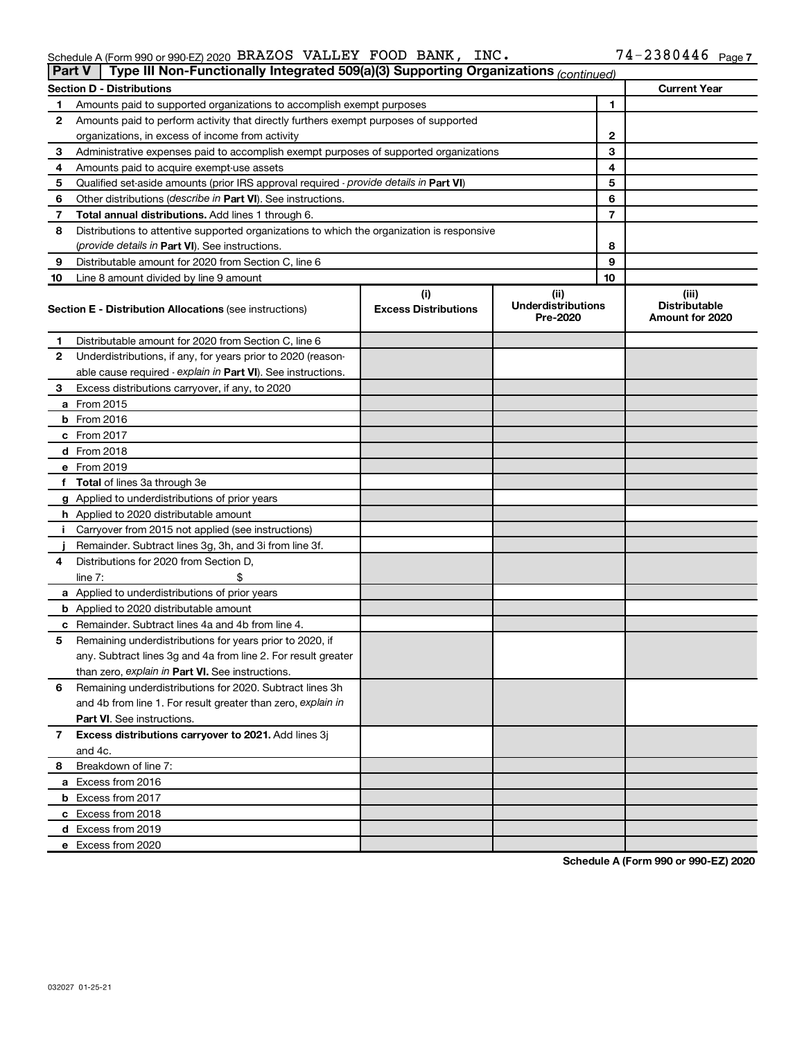#### Schedule A (Form 990 or 990-EZ) 2020 BRAZOS VALLEY FOOD BANK, INC。 /4-2380446 Page BRAZOS VALLEY FOOD BANK, INC. 74-2380446

|    | Type III Non-Functionally Integrated 509(a)(3) Supporting Organizations (continued)<br><b>Part V</b> |                             |                                       |    |                                         |
|----|------------------------------------------------------------------------------------------------------|-----------------------------|---------------------------------------|----|-----------------------------------------|
|    | <b>Section D - Distributions</b>                                                                     |                             |                                       |    | <b>Current Year</b>                     |
| 1  | Amounts paid to supported organizations to accomplish exempt purposes                                | 1                           |                                       |    |                                         |
| 2  | Amounts paid to perform activity that directly furthers exempt purposes of supported                 |                             |                                       |    |                                         |
|    | organizations, in excess of income from activity                                                     | 2                           |                                       |    |                                         |
| 3  | Administrative expenses paid to accomplish exempt purposes of supported organizations                |                             |                                       | 3  |                                         |
| 4  | Amounts paid to acquire exempt-use assets                                                            |                             |                                       | 4  |                                         |
| 5  | Qualified set-aside amounts (prior IRS approval required - provide details in Part VI)               |                             |                                       | 5  |                                         |
| 6  | Other distributions ( <i>describe in Part VI</i> ). See instructions.                                |                             |                                       | 6  |                                         |
| 7  | Total annual distributions. Add lines 1 through 6.                                                   |                             |                                       | 7  |                                         |
| 8  | Distributions to attentive supported organizations to which the organization is responsive           |                             |                                       |    |                                         |
|    | (provide details in Part VI). See instructions.                                                      |                             |                                       | 8  |                                         |
| 9  | Distributable amount for 2020 from Section C, line 6                                                 |                             |                                       | 9  |                                         |
| 10 | Line 8 amount divided by line 9 amount                                                               |                             |                                       | 10 |                                         |
|    |                                                                                                      | (i)                         | (ii)                                  |    | (iii)                                   |
|    | <b>Section E - Distribution Allocations (see instructions)</b>                                       | <b>Excess Distributions</b> | <b>Underdistributions</b><br>Pre-2020 |    | <b>Distributable</b><br>Amount for 2020 |
| 1  | Distributable amount for 2020 from Section C, line 6                                                 |                             |                                       |    |                                         |
| 2  | Underdistributions, if any, for years prior to 2020 (reason-                                         |                             |                                       |    |                                         |
|    | able cause required - explain in Part VI). See instructions.                                         |                             |                                       |    |                                         |
| 3  | Excess distributions carryover, if any, to 2020                                                      |                             |                                       |    |                                         |
|    | a From 2015                                                                                          |                             |                                       |    |                                         |
|    | <b>b</b> From 2016                                                                                   |                             |                                       |    |                                         |
|    | c From 2017                                                                                          |                             |                                       |    |                                         |
|    | d From 2018                                                                                          |                             |                                       |    |                                         |
|    | e From 2019                                                                                          |                             |                                       |    |                                         |
|    | f Total of lines 3a through 3e                                                                       |                             |                                       |    |                                         |
|    | g Applied to underdistributions of prior years                                                       |                             |                                       |    |                                         |
|    | <b>h</b> Applied to 2020 distributable amount                                                        |                             |                                       |    |                                         |
| Ť. | Carryover from 2015 not applied (see instructions)                                                   |                             |                                       |    |                                         |
|    | Remainder. Subtract lines 3g, 3h, and 3i from line 3f.                                               |                             |                                       |    |                                         |
| 4  | Distributions for 2020 from Section D,                                                               |                             |                                       |    |                                         |
|    | line $7:$                                                                                            |                             |                                       |    |                                         |
|    | a Applied to underdistributions of prior years                                                       |                             |                                       |    |                                         |
|    | <b>b</b> Applied to 2020 distributable amount                                                        |                             |                                       |    |                                         |
|    | c Remainder. Subtract lines 4a and 4b from line 4.                                                   |                             |                                       |    |                                         |
| 5  | Remaining underdistributions for years prior to 2020, if                                             |                             |                                       |    |                                         |
|    | any. Subtract lines 3g and 4a from line 2. For result greater                                        |                             |                                       |    |                                         |
|    | than zero, explain in Part VI. See instructions.                                                     |                             |                                       |    |                                         |
| 6  | Remaining underdistributions for 2020. Subtract lines 3h                                             |                             |                                       |    |                                         |
|    | and 4b from line 1. For result greater than zero, explain in                                         |                             |                                       |    |                                         |
|    | <b>Part VI.</b> See instructions.                                                                    |                             |                                       |    |                                         |
| 7  | Excess distributions carryover to 2021. Add lines 3j                                                 |                             |                                       |    |                                         |
|    | and 4c.                                                                                              |                             |                                       |    |                                         |
| 8  | Breakdown of line 7:                                                                                 |                             |                                       |    |                                         |
|    | a Excess from 2016                                                                                   |                             |                                       |    |                                         |
|    | <b>b</b> Excess from 2017                                                                            |                             |                                       |    |                                         |
|    | c Excess from 2018                                                                                   |                             |                                       |    |                                         |
|    | d Excess from 2019                                                                                   |                             |                                       |    |                                         |
|    | e Excess from 2020                                                                                   |                             |                                       |    |                                         |

**Schedule A (Form 990 or 990-EZ) 2020**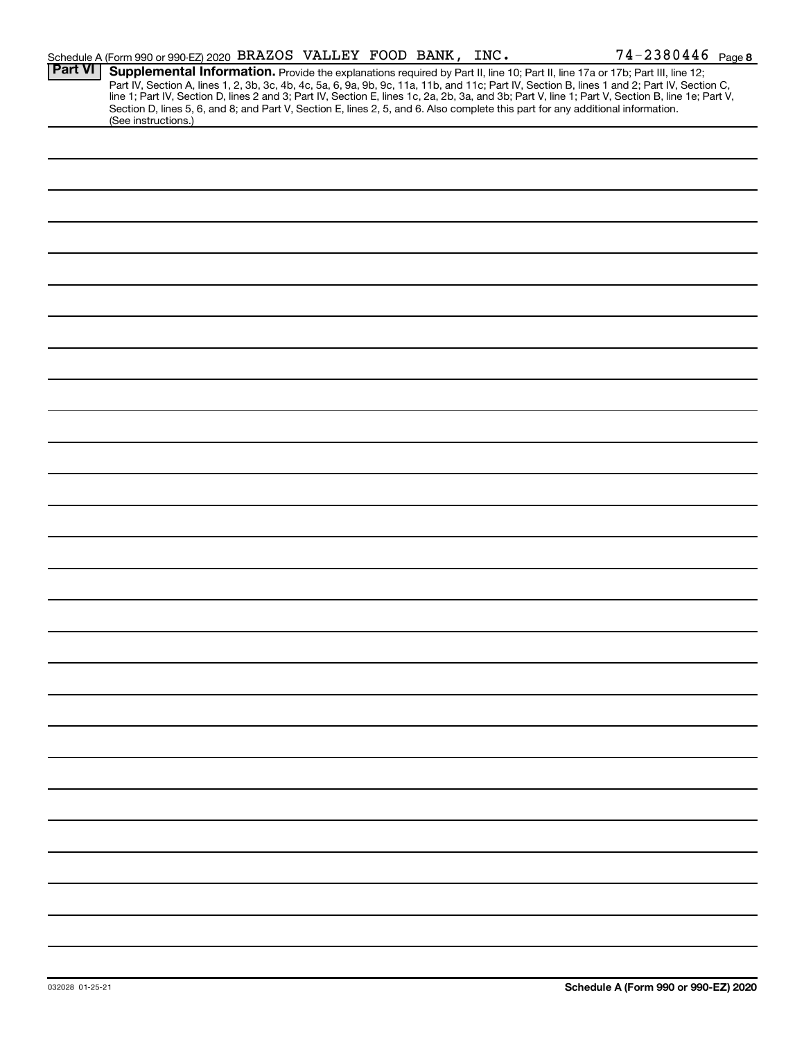|                | Schedule A (Form 990 or 990-EZ) 2020 BRAZOS VALLEY FOOD BANK, INC.                                                                                                                                                                                                                                                                                                                                                                                                                                                                                                                          |  | 74-2380446 Page 8 |
|----------------|---------------------------------------------------------------------------------------------------------------------------------------------------------------------------------------------------------------------------------------------------------------------------------------------------------------------------------------------------------------------------------------------------------------------------------------------------------------------------------------------------------------------------------------------------------------------------------------------|--|-------------------|
| <b>Part VI</b> | Supplemental Information. Provide the explanations required by Part II, line 10; Part II, line 17a or 17b; Part III, line 12;<br>Part IV, Section A, lines 1, 2, 3b, 3c, 4b, 4c, 5a, 6, 9a, 9b, 9c, 11a, 11b, and 11c; Part IV, Section B, lines 1 and 2; Part IV, Section C,<br>line 1; Part IV, Section D, lines 2 and 3; Part IV, Section E, lines 1c, 2a, 2b, 3a, and 3b; Part V, line 1; Part V, Section B, line 1e; Part V,<br>Section D, lines 5, 6, and 8; and Part V, Section E, lines 2, 5, and 6. Also complete this part for any additional information.<br>(See instructions.) |  |                   |
|                |                                                                                                                                                                                                                                                                                                                                                                                                                                                                                                                                                                                             |  |                   |
|                |                                                                                                                                                                                                                                                                                                                                                                                                                                                                                                                                                                                             |  |                   |
|                |                                                                                                                                                                                                                                                                                                                                                                                                                                                                                                                                                                                             |  |                   |
|                |                                                                                                                                                                                                                                                                                                                                                                                                                                                                                                                                                                                             |  |                   |
|                |                                                                                                                                                                                                                                                                                                                                                                                                                                                                                                                                                                                             |  |                   |
|                |                                                                                                                                                                                                                                                                                                                                                                                                                                                                                                                                                                                             |  |                   |
|                |                                                                                                                                                                                                                                                                                                                                                                                                                                                                                                                                                                                             |  |                   |
|                |                                                                                                                                                                                                                                                                                                                                                                                                                                                                                                                                                                                             |  |                   |
|                |                                                                                                                                                                                                                                                                                                                                                                                                                                                                                                                                                                                             |  |                   |
|                |                                                                                                                                                                                                                                                                                                                                                                                                                                                                                                                                                                                             |  |                   |
|                |                                                                                                                                                                                                                                                                                                                                                                                                                                                                                                                                                                                             |  |                   |
|                |                                                                                                                                                                                                                                                                                                                                                                                                                                                                                                                                                                                             |  |                   |
|                |                                                                                                                                                                                                                                                                                                                                                                                                                                                                                                                                                                                             |  |                   |
|                |                                                                                                                                                                                                                                                                                                                                                                                                                                                                                                                                                                                             |  |                   |
|                |                                                                                                                                                                                                                                                                                                                                                                                                                                                                                                                                                                                             |  |                   |
|                |                                                                                                                                                                                                                                                                                                                                                                                                                                                                                                                                                                                             |  |                   |
|                |                                                                                                                                                                                                                                                                                                                                                                                                                                                                                                                                                                                             |  |                   |
|                |                                                                                                                                                                                                                                                                                                                                                                                                                                                                                                                                                                                             |  |                   |
|                |                                                                                                                                                                                                                                                                                                                                                                                                                                                                                                                                                                                             |  |                   |
|                |                                                                                                                                                                                                                                                                                                                                                                                                                                                                                                                                                                                             |  |                   |
|                |                                                                                                                                                                                                                                                                                                                                                                                                                                                                                                                                                                                             |  |                   |
|                |                                                                                                                                                                                                                                                                                                                                                                                                                                                                                                                                                                                             |  |                   |
|                |                                                                                                                                                                                                                                                                                                                                                                                                                                                                                                                                                                                             |  |                   |
|                |                                                                                                                                                                                                                                                                                                                                                                                                                                                                                                                                                                                             |  |                   |
|                |                                                                                                                                                                                                                                                                                                                                                                                                                                                                                                                                                                                             |  |                   |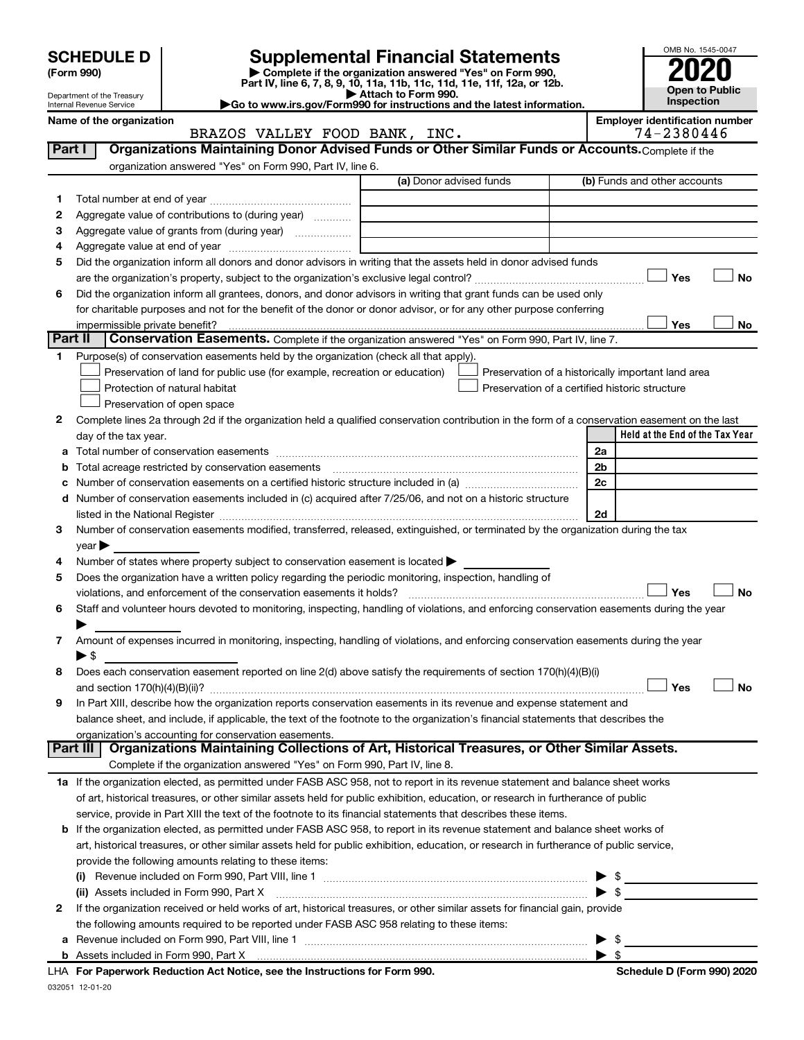| (Form 990) |  |
|------------|--|
|------------|--|

# **SCHEDULE D Supplemental Financial Statements**<br> **Form 990 2020**<br> **Part IV** line 6.7.8.9.10, 11a, 11b, 11d, 11d, 11d, 11d, 11d, 12a, 0r, 12b

**(Form 990) | Complete if the organization answered "Yes" on Form 990, Part IV, line 6, 7, 8, 9, 10, 11a, 11b, 11c, 11d, 11e, 11f, 12a, or 12b.**



Department of the Treasury Internal Revenue Service

**| Attach to Form 990. |Go to www.irs.gov/Form990 for instructions and the latest information. Name of the organization Employer identification number**

|              | BRAZOS VALLEY FOOD BANK, INC.                                                                                                                  | 74-2380446                                         |
|--------------|------------------------------------------------------------------------------------------------------------------------------------------------|----------------------------------------------------|
| Part I       | Organizations Maintaining Donor Advised Funds or Other Similar Funds or Accounts. Complete if the                                              |                                                    |
|              | organization answered "Yes" on Form 990, Part IV, line 6.                                                                                      |                                                    |
|              | (a) Donor advised funds                                                                                                                        | (b) Funds and other accounts                       |
| 1            |                                                                                                                                                |                                                    |
| $\mathbf{2}$ | Aggregate value of contributions to (during year)                                                                                              |                                                    |
| з            | Aggregate value of grants from (during year)                                                                                                   |                                                    |
| 4            |                                                                                                                                                |                                                    |
| 5            | Did the organization inform all donors and donor advisors in writing that the assets held in donor advised funds                               |                                                    |
|              |                                                                                                                                                | Yes<br>No                                          |
| 6            | Did the organization inform all grantees, donors, and donor advisors in writing that grant funds can be used only                              |                                                    |
|              | for charitable purposes and not for the benefit of the donor or donor advisor, or for any other purpose conferring                             |                                                    |
|              | impermissible private benefit?                                                                                                                 | Yes<br>No                                          |
|              | Part II<br><b>Conservation Easements.</b> Complete if the organization answered "Yes" on Form 990, Part IV, line 7.                            |                                                    |
| 1            | Purpose(s) of conservation easements held by the organization (check all that apply).                                                          |                                                    |
|              | Preservation of land for public use (for example, recreation or education)                                                                     | Preservation of a historically important land area |
|              | Protection of natural habitat                                                                                                                  | Preservation of a certified historic structure     |
|              | Preservation of open space                                                                                                                     |                                                    |
| 2            | Complete lines 2a through 2d if the organization held a qualified conservation contribution in the form of a conservation easement on the last |                                                    |
|              | day of the tax year.                                                                                                                           | Held at the End of the Tax Year                    |
|              |                                                                                                                                                | 2a                                                 |
|              | <b>b</b> Total acreage restricted by conservation easements                                                                                    | 2 <sub>b</sub>                                     |
| c            | Number of conservation easements on a certified historic structure included in (a) manuminolective manuminolec                                 | 2c                                                 |
|              | d Number of conservation easements included in (c) acquired after 7/25/06, and not on a historic structure                                     |                                                    |
|              |                                                                                                                                                | 2d                                                 |
| з            | Number of conservation easements modified, transferred, released, extinguished, or terminated by the organization during the tax               |                                                    |
|              | year                                                                                                                                           |                                                    |
| 4            | Number of states where property subject to conservation easement is located >                                                                  |                                                    |
| 5            | Does the organization have a written policy regarding the periodic monitoring, inspection, handling of                                         |                                                    |
|              | violations, and enforcement of the conservation easements it holds?                                                                            | <b>No</b><br>Yes                                   |
| 6            | Staff and volunteer hours devoted to monitoring, inspecting, handling of violations, and enforcing conservation easements during the year      |                                                    |
|              |                                                                                                                                                |                                                    |
| 7            | Amount of expenses incurred in monitoring, inspecting, handling of violations, and enforcing conservation easements during the year            |                                                    |
|              | ▶ \$                                                                                                                                           |                                                    |
| 8            | Does each conservation easement reported on line 2(d) above satisfy the requirements of section 170(h)(4)(B)(i)                                |                                                    |
|              |                                                                                                                                                | Yes<br><b>No</b>                                   |
| 9            | In Part XIII, describe how the organization reports conservation easements in its revenue and expense statement and                            |                                                    |
|              | balance sheet, and include, if applicable, the text of the footnote to the organization's financial statements that describes the              |                                                    |
|              | organization's accounting for conservation easements.                                                                                          |                                                    |
|              | Organizations Maintaining Collections of Art, Historical Treasures, or Other Similar Assets.<br>Part III                                       |                                                    |
|              | Complete if the organization answered "Yes" on Form 990, Part IV, line 8.                                                                      |                                                    |
|              | 1a If the organization elected, as permitted under FASB ASC 958, not to report in its revenue statement and balance sheet works                |                                                    |
|              | of art, historical treasures, or other similar assets held for public exhibition, education, or research in furtherance of public              |                                                    |
|              | service, provide in Part XIII the text of the footnote to its financial statements that describes these items.                                 |                                                    |
|              | b If the organization elected, as permitted under FASB ASC 958, to report in its revenue statement and balance sheet works of                  |                                                    |
|              | art, historical treasures, or other similar assets held for public exhibition, education, or research in furtherance of public service,        |                                                    |
|              | provide the following amounts relating to these items:                                                                                         |                                                    |
|              |                                                                                                                                                |                                                    |
|              | (ii) Assets included in Form 990, Part X                                                                                                       | $\blacktriangleright$ s                            |
| 2            | If the organization received or held works of art, historical treasures, or other similar assets for financial gain, provide                   |                                                    |
|              | the following amounts required to be reported under FASB ASC 958 relating to these items:                                                      |                                                    |

| Schedule D (Form 990) 2020 |  |  |
|----------------------------|--|--|
|                            |  |  |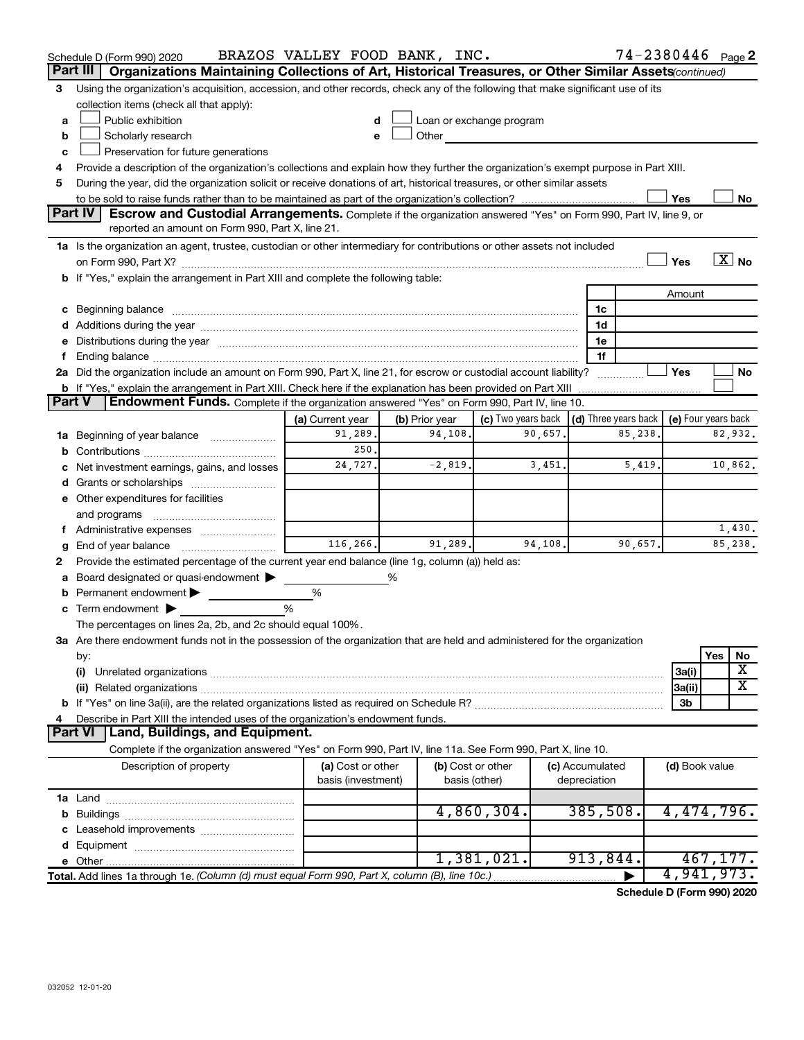|        | Schedule D (Form 990) 2020                                                                                                                                                                                                     | BRAZOS VALLEY FOOD BANK, INC.           |                |                                                                                                                                                                                                                               |                                 |         | $74 - 2380446$ Page 2   |  |  |  |  |
|--------|--------------------------------------------------------------------------------------------------------------------------------------------------------------------------------------------------------------------------------|-----------------------------------------|----------------|-------------------------------------------------------------------------------------------------------------------------------------------------------------------------------------------------------------------------------|---------------------------------|---------|-------------------------|--|--|--|--|
|        | Organizations Maintaining Collections of Art, Historical Treasures, or Other Similar Assets (continued)<br>Part III                                                                                                            |                                         |                |                                                                                                                                                                                                                               |                                 |         |                         |  |  |  |  |
| 3      | Using the organization's acquisition, accession, and other records, check any of the following that make significant use of its                                                                                                |                                         |                |                                                                                                                                                                                                                               |                                 |         |                         |  |  |  |  |
|        | collection items (check all that apply):                                                                                                                                                                                       |                                         |                |                                                                                                                                                                                                                               |                                 |         |                         |  |  |  |  |
| a      | Public exhibition                                                                                                                                                                                                              |                                         |                | Loan or exchange program                                                                                                                                                                                                      |                                 |         |                         |  |  |  |  |
| b      | Scholarly research                                                                                                                                                                                                             | e                                       |                | Other and the contract of the contract of the contract of the contract of the contract of the contract of the contract of the contract of the contract of the contract of the contract of the contract of the contract of the |                                 |         |                         |  |  |  |  |
| c      | Preservation for future generations                                                                                                                                                                                            |                                         |                |                                                                                                                                                                                                                               |                                 |         |                         |  |  |  |  |
| 4      | Provide a description of the organization's collections and explain how they further the organization's exempt purpose in Part XIII.                                                                                           |                                         |                |                                                                                                                                                                                                                               |                                 |         |                         |  |  |  |  |
| 5      | During the year, did the organization solicit or receive donations of art, historical treasures, or other similar assets                                                                                                       |                                         |                |                                                                                                                                                                                                                               |                                 |         |                         |  |  |  |  |
|        | Yes<br>No                                                                                                                                                                                                                      |                                         |                |                                                                                                                                                                                                                               |                                 |         |                         |  |  |  |  |
|        | Part IV<br><b>Escrow and Custodial Arrangements.</b> Complete if the organization answered "Yes" on Form 990, Part IV, line 9, or<br>reported an amount on Form 990, Part X, line 21.                                          |                                         |                |                                                                                                                                                                                                                               |                                 |         |                         |  |  |  |  |
|        | 1a Is the organization an agent, trustee, custodian or other intermediary for contributions or other assets not included                                                                                                       |                                         |                |                                                                                                                                                                                                                               |                                 |         |                         |  |  |  |  |
|        |                                                                                                                                                                                                                                |                                         |                |                                                                                                                                                                                                                               |                                 | Yes     | $\overline{X}$ No       |  |  |  |  |
|        | b If "Yes," explain the arrangement in Part XIII and complete the following table:                                                                                                                                             |                                         |                |                                                                                                                                                                                                                               |                                 |         |                         |  |  |  |  |
|        |                                                                                                                                                                                                                                |                                         |                |                                                                                                                                                                                                                               |                                 |         | Amount                  |  |  |  |  |
|        | c Beginning balance measurements and the contract of the contract of the contract of the contract of the contract of the contract of the contract of the contract of the contract of the contract of the contract of the contr |                                         |                |                                                                                                                                                                                                                               | 1c                              |         |                         |  |  |  |  |
|        |                                                                                                                                                                                                                                |                                         |                |                                                                                                                                                                                                                               | 1d                              |         |                         |  |  |  |  |
|        | e Distributions during the year manufactured and continuum and contract the year manufactured and contract the                                                                                                                 |                                         |                |                                                                                                                                                                                                                               | 1e                              |         |                         |  |  |  |  |
| f.     |                                                                                                                                                                                                                                |                                         |                |                                                                                                                                                                                                                               | 1f                              |         |                         |  |  |  |  |
|        | 2a Did the organization include an amount on Form 990, Part X, line 21, for escrow or custodial account liability?                                                                                                             |                                         |                |                                                                                                                                                                                                                               |                                 | Yes     | No                      |  |  |  |  |
|        | <b>b</b> If "Yes," explain the arrangement in Part XIII. Check here if the explanation has been provided on Part XIII                                                                                                          |                                         |                |                                                                                                                                                                                                                               |                                 |         |                         |  |  |  |  |
| Part V | Endowment Funds. Complete if the organization answered "Yes" on Form 990, Part IV, line 10.                                                                                                                                    |                                         |                |                                                                                                                                                                                                                               |                                 |         |                         |  |  |  |  |
|        |                                                                                                                                                                                                                                | (a) Current year                        | (b) Prior year | (c) Two years back $\vert$ (d) Three years back $\vert$                                                                                                                                                                       |                                 |         | (e) Four years back     |  |  |  |  |
|        | 1a Beginning of year balance                                                                                                                                                                                                   | 91,289.                                 | 94,108.        | 90,657.                                                                                                                                                                                                                       |                                 | 85,238. | 82,932.                 |  |  |  |  |
| b      |                                                                                                                                                                                                                                | 250.                                    |                |                                                                                                                                                                                                                               |                                 |         |                         |  |  |  |  |
| с      | Net investment earnings, gains, and losses                                                                                                                                                                                     | 24,727.                                 | $-2,819.$      | 3,451.                                                                                                                                                                                                                        |                                 | 5,419.  | 10,862.                 |  |  |  |  |
| d      | Grants or scholarships                                                                                                                                                                                                         |                                         |                |                                                                                                                                                                                                                               |                                 |         |                         |  |  |  |  |
|        | e Other expenditures for facilities                                                                                                                                                                                            |                                         |                |                                                                                                                                                                                                                               |                                 |         |                         |  |  |  |  |
|        | and programs                                                                                                                                                                                                                   |                                         |                |                                                                                                                                                                                                                               |                                 |         |                         |  |  |  |  |
|        | f Administrative expenses                                                                                                                                                                                                      |                                         |                |                                                                                                                                                                                                                               |                                 |         | 1,430.                  |  |  |  |  |
| g      |                                                                                                                                                                                                                                | 116,266.                                | 91,289.        | 94, 108.                                                                                                                                                                                                                      |                                 | 90,657. | 85,238.                 |  |  |  |  |
| 2      | Provide the estimated percentage of the current year end balance (line 1g, column (a)) held as:                                                                                                                                |                                         |                |                                                                                                                                                                                                                               |                                 |         |                         |  |  |  |  |
| а      | Board designated or quasi-endowment                                                                                                                                                                                            |                                         | %              |                                                                                                                                                                                                                               |                                 |         |                         |  |  |  |  |
| b      | Permanent endowment                                                                                                                                                                                                            | %<br>%                                  |                |                                                                                                                                                                                                                               |                                 |         |                         |  |  |  |  |
|        | $\mathbf c$ Term endowment $\blacktriangleright$<br>The percentages on lines 2a, 2b, and 2c should equal 100%.                                                                                                                 |                                         |                |                                                                                                                                                                                                                               |                                 |         |                         |  |  |  |  |
|        | 3a Are there endowment funds not in the possession of the organization that are held and administered for the organization                                                                                                     |                                         |                |                                                                                                                                                                                                                               |                                 |         |                         |  |  |  |  |
|        | by:                                                                                                                                                                                                                            |                                         |                |                                                                                                                                                                                                                               |                                 |         | Yes<br>No               |  |  |  |  |
|        | (i)                                                                                                                                                                                                                            |                                         |                |                                                                                                                                                                                                                               |                                 |         | х<br>3a(i)              |  |  |  |  |
|        |                                                                                                                                                                                                                                |                                         |                |                                                                                                                                                                                                                               |                                 | 3a(ii)  | $\overline{\textbf{X}}$ |  |  |  |  |
|        |                                                                                                                                                                                                                                |                                         |                |                                                                                                                                                                                                                               |                                 |         | 3b                      |  |  |  |  |
| 4      | Describe in Part XIII the intended uses of the organization's endowment funds.                                                                                                                                                 |                                         |                |                                                                                                                                                                                                                               |                                 |         |                         |  |  |  |  |
|        | Land, Buildings, and Equipment.<br>Part VI                                                                                                                                                                                     |                                         |                |                                                                                                                                                                                                                               |                                 |         |                         |  |  |  |  |
|        | Complete if the organization answered "Yes" on Form 990, Part IV, line 11a. See Form 990, Part X, line 10.                                                                                                                     |                                         |                |                                                                                                                                                                                                                               |                                 |         |                         |  |  |  |  |
|        | Description of property                                                                                                                                                                                                        | (a) Cost or other<br>basis (investment) |                | (b) Cost or other<br>basis (other)                                                                                                                                                                                            | (c) Accumulated<br>depreciation |         | (d) Book value          |  |  |  |  |
|        |                                                                                                                                                                                                                                |                                         |                |                                                                                                                                                                                                                               |                                 |         |                         |  |  |  |  |
| b      |                                                                                                                                                                                                                                |                                         |                | 4,860,304.                                                                                                                                                                                                                    | 385,508.                        |         | 4,474,796.              |  |  |  |  |
|        |                                                                                                                                                                                                                                |                                         |                |                                                                                                                                                                                                                               |                                 |         |                         |  |  |  |  |
| d      |                                                                                                                                                                                                                                |                                         |                |                                                                                                                                                                                                                               |                                 |         |                         |  |  |  |  |
|        |                                                                                                                                                                                                                                |                                         |                | 1,381,021.                                                                                                                                                                                                                    | 913,844.                        |         | 467,177.                |  |  |  |  |
|        | Total. Add lines 1a through 1e. (Column (d) must equal Form 990, Part X, column (B), line 10c.)                                                                                                                                |                                         |                |                                                                                                                                                                                                                               |                                 |         | 4,941,973.              |  |  |  |  |

**Schedule D (Form 990) 2020**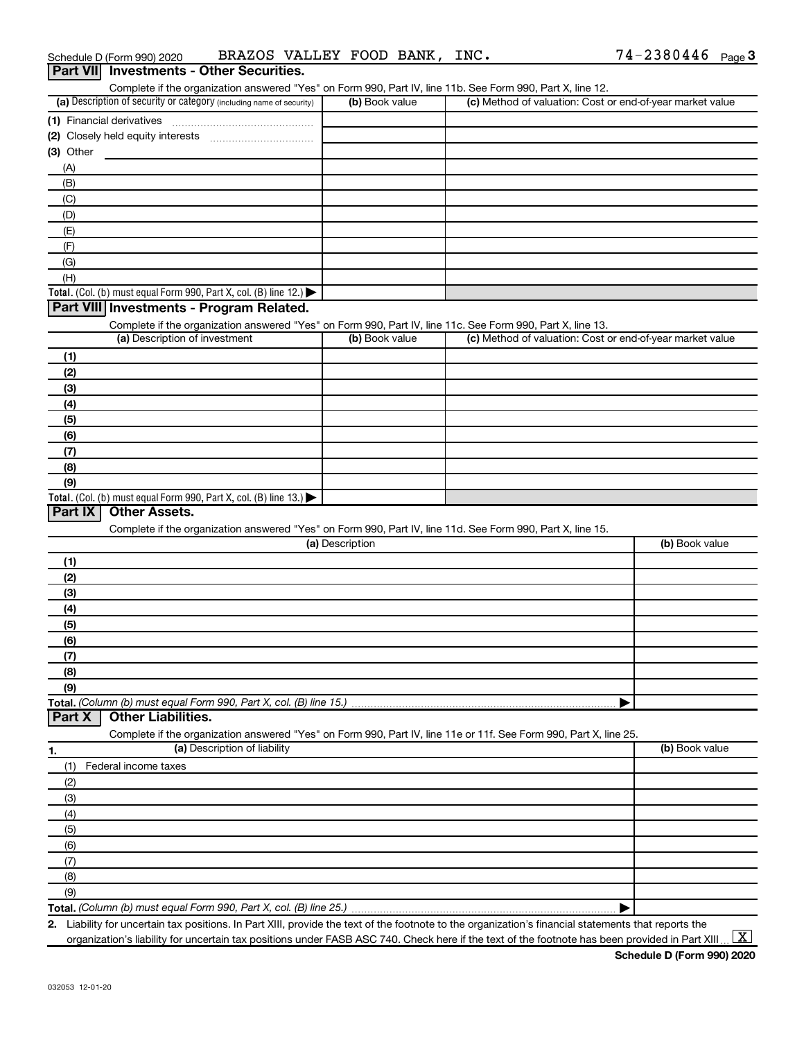| Schedule D (Form 990) 2020                      | BRAZOS VALLEY FOOD BANK, INC. |  |  |  |  | $74 - 2380446$ Page 3 |  |  |
|-------------------------------------------------|-------------------------------|--|--|--|--|-----------------------|--|--|
| <b>Part VII</b> Investments - Other Securities. |                               |  |  |  |  |                       |  |  |

| Complete if the organization answered "Yes" on Form 990, Part IV, line 11b. See Form 990, Part X, line 12.<br>(a) Description of security or category (including name of security) |                 | (c) Method of valuation: Cost or end-of-year market value |                |
|------------------------------------------------------------------------------------------------------------------------------------------------------------------------------------|-----------------|-----------------------------------------------------------|----------------|
|                                                                                                                                                                                    | (b) Book value  |                                                           |                |
|                                                                                                                                                                                    |                 |                                                           |                |
|                                                                                                                                                                                    |                 |                                                           |                |
| (3) Other                                                                                                                                                                          |                 |                                                           |                |
| (A)                                                                                                                                                                                |                 |                                                           |                |
| (B)                                                                                                                                                                                |                 |                                                           |                |
| (C)                                                                                                                                                                                |                 |                                                           |                |
| (D)                                                                                                                                                                                |                 |                                                           |                |
| (E)                                                                                                                                                                                |                 |                                                           |                |
| (F)                                                                                                                                                                                |                 |                                                           |                |
| (G)                                                                                                                                                                                |                 |                                                           |                |
| (H)                                                                                                                                                                                |                 |                                                           |                |
| Total. (Col. (b) must equal Form 990, Part X, col. (B) line 12.) $\blacktriangleright$                                                                                             |                 |                                                           |                |
| Part VIII Investments - Program Related.                                                                                                                                           |                 |                                                           |                |
| Complete if the organization answered "Yes" on Form 990, Part IV, line 11c. See Form 990, Part X, line 13.                                                                         |                 |                                                           |                |
| (a) Description of investment                                                                                                                                                      | (b) Book value  | (c) Method of valuation: Cost or end-of-year market value |                |
| (1)                                                                                                                                                                                |                 |                                                           |                |
| (2)                                                                                                                                                                                |                 |                                                           |                |
| (3)                                                                                                                                                                                |                 |                                                           |                |
| (4)                                                                                                                                                                                |                 |                                                           |                |
| (5)                                                                                                                                                                                |                 |                                                           |                |
| (6)                                                                                                                                                                                |                 |                                                           |                |
| (7)                                                                                                                                                                                |                 |                                                           |                |
| (8)                                                                                                                                                                                |                 |                                                           |                |
| (9)                                                                                                                                                                                |                 |                                                           |                |
| Total. (Col. (b) must equal Form 990, Part X, col. (B) line 13.) $\blacktriangleright$                                                                                             |                 |                                                           |                |
| <b>Other Assets.</b><br>Part IX                                                                                                                                                    |                 |                                                           |                |
|                                                                                                                                                                                    |                 |                                                           |                |
| Complete if the organization answered "Yes" on Form 990, Part IV, line 11d. See Form 990, Part X, line 15.                                                                         |                 |                                                           |                |
|                                                                                                                                                                                    | (a) Description |                                                           | (b) Book value |
| (1)                                                                                                                                                                                |                 |                                                           |                |
| (2)                                                                                                                                                                                |                 |                                                           |                |
| (3)                                                                                                                                                                                |                 |                                                           |                |
| (4)                                                                                                                                                                                |                 |                                                           |                |
| (5)                                                                                                                                                                                |                 |                                                           |                |
| (6)                                                                                                                                                                                |                 |                                                           |                |
| (7)                                                                                                                                                                                |                 |                                                           |                |
| (8)                                                                                                                                                                                |                 |                                                           |                |
| (9)                                                                                                                                                                                |                 |                                                           |                |
|                                                                                                                                                                                    |                 |                                                           |                |
| Total. (Column (b) must equal Form 990, Part X, col. (B) line 15.)<br>Part X<br><b>Other Liabilities.</b>                                                                          |                 |                                                           |                |
| Complete if the organization answered "Yes" on Form 990, Part IV, line 11e or 11f. See Form 990, Part X, line 25.                                                                  |                 |                                                           |                |
| (a) Description of liability                                                                                                                                                       |                 |                                                           | (b) Book value |
| (1)<br>Federal income taxes                                                                                                                                                        |                 |                                                           |                |
| (2)                                                                                                                                                                                |                 |                                                           |                |
| (3)                                                                                                                                                                                |                 |                                                           |                |
| (4)                                                                                                                                                                                |                 |                                                           |                |
| (5)                                                                                                                                                                                |                 |                                                           |                |
| (6)                                                                                                                                                                                |                 |                                                           |                |
| (7)                                                                                                                                                                                |                 |                                                           |                |
| (8)                                                                                                                                                                                |                 |                                                           |                |
| 1.<br>(9)                                                                                                                                                                          |                 |                                                           |                |

**2.** Liability for uncertain tax positions. In Part XIII, provide the text of the footnote to the organization's financial statements that reports the organization's liability for uncertain tax positions under FASB ASC 740. Check here if the text of the footnote has been provided in Part XIII ...  $\fbox{\bf X}$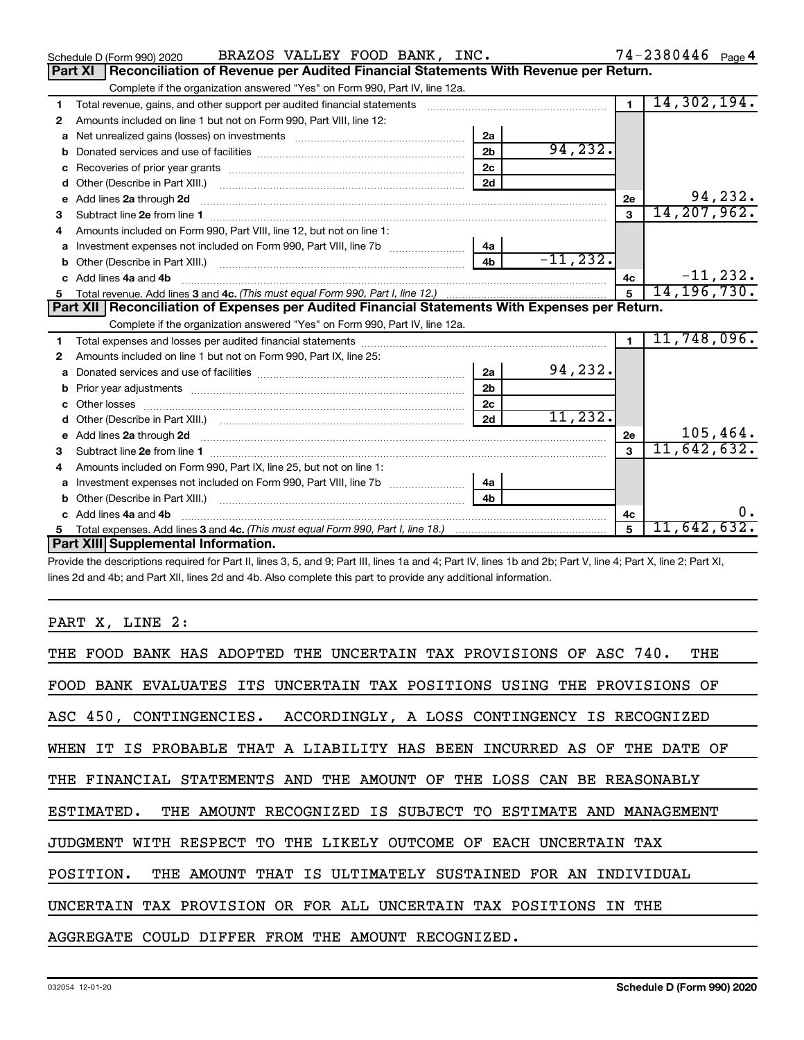|    |                                                                                                                                                                | 2 <sub>b</sub> | 94, 232.    |                |              |
|----|----------------------------------------------------------------------------------------------------------------------------------------------------------------|----------------|-------------|----------------|--------------|
|    |                                                                                                                                                                | 2 <sub>c</sub> |             |                |              |
|    |                                                                                                                                                                | 2d             |             |                |              |
|    | e Add lines 2a through 2d                                                                                                                                      |                |             | 2e             | 94,232       |
| 3  |                                                                                                                                                                |                |             | 3              | 14,207,962   |
| 4  | Amounts included on Form 990, Part VIII, line 12, but not on line 1:                                                                                           |                |             |                |              |
|    |                                                                                                                                                                | 4a             |             |                |              |
|    |                                                                                                                                                                | 4b             | $-11, 232.$ |                |              |
|    | c Add lines 4a and 4b                                                                                                                                          |                |             | 4с             | $-11, 232$   |
| 5. |                                                                                                                                                                |                |             | 5              | 14, 196, 730 |
|    | Part XII Reconciliation of Expenses per Audited Financial Statements With Expenses per Return.                                                                 |                |             |                |              |
|    | Complete if the organization answered "Yes" on Form 990, Part IV, line 12a.                                                                                    |                |             |                |              |
| 1  |                                                                                                                                                                |                |             | $\blacksquare$ | 11,748,096   |
| 2  | Amounts included on line 1 but not on Form 990, Part IX, line 25:                                                                                              |                |             |                |              |
|    |                                                                                                                                                                | 2a             | 94,232.     |                |              |
|    |                                                                                                                                                                | 2 <sub>b</sub> |             |                |              |
|    |                                                                                                                                                                | 2c             |             |                |              |
|    |                                                                                                                                                                | 2d             | 11, 232.    |                |              |
|    |                                                                                                                                                                |                |             | 2e             | 105,464      |
| з  |                                                                                                                                                                |                |             | $\mathbf{a}$   | 11,642,632   |
| 4  | Amounts included on Form 990, Part IX, line 25, but not on line 1:                                                                                             |                |             |                |              |
|    | a lnvestment expenses not included on Form 990, Part VIII, line 7b                                                                                             | 4a             |             |                |              |
|    |                                                                                                                                                                | 4b             |             |                |              |
|    | c Add lines 4a and 4b                                                                                                                                          |                |             | 4с             |              |
| 5. |                                                                                                                                                                |                |             | 5              | 11,642,632   |
|    | Part XIII Supplemental Information.                                                                                                                            |                |             |                |              |
|    | Provide the descriptions required for Part II, lines 3, 5, and 9; Part III, lines 1a and 4; Part IV, lines 1b and 2b; Part V, line 4; Part X, line 2; Part XI, |                |             |                |              |
|    | lines 2d and 4b; and Part XII, lines 2d and 4b. Also complete this part to provide any additional information.                                                 |                |             |                |              |
|    |                                                                                                                                                                |                |             |                |              |
|    |                                                                                                                                                                |                |             |                |              |
|    | PART X, LINE 2:                                                                                                                                                |                |             |                |              |
|    |                                                                                                                                                                |                |             |                |              |
|    | THE FOOD BANK HAS ADOPTED THE UNCERTAIN TAX PROVISIONS OF ASC 740.                                                                                             |                |             |                | THE          |
|    | FOOD BANK EVALUATES ITS UNCERTAIN TAX POSITIONS USING THE PROVISIONS OF                                                                                        |                |             |                |              |
|    | ASC 450, CONTINGENCIES. ACCORDINGLY, A LOSS CONTINGENCY IS RECOGNIZED                                                                                          |                |             |                |              |
|    | WHEN IT IS PROBABLE THAT A LIABILITY HAS BEEN INCURRED AS OF THE DATE OF                                                                                       |                |             |                |              |
|    |                                                                                                                                                                |                |             |                |              |

THE FINANCIAL STATEMENTS AND THE AMOUNT OF THE LOSS CAN BE REASONABLY

ESTIMATED. THE AMOUNT RECOGNIZED IS SUBJECT TO ESTIMATE AND MANAGEMENT

JUDGMENT WITH RESPECT TO THE LIKELY OUTCOME OF EACH UNCERTAIN TAX

POSITION. THE AMOUNT THAT IS ULTIMATELY SUSTAINED FOR AN INDIVIDUAL

UNCERTAIN TAX PROVISION OR FOR ALL UNCERTAIN TAX POSITIONS IN THE

AGGREGATE COULD DIFFER FROM THE AMOUNT RECOGNIZED.

Schedule D (Form 990) 2020 BRAZOS VALLEY FOOD BANK, INC.  $74-2380446$  Page

| Part XI   Reconciliation of Revenue per Audited Financial Statements With Revenue per Return. |
|-----------------------------------------------------------------------------------------------|
| Complete if the organization answered "Yes" on Form 990, Part IV. line 12a.                   |

| 1            | Total revenue, gains, and other support per audited financial statements                                                                                                                                                            |                |               | $\blacksquare$ | 14,302,194.   |
|--------------|-------------------------------------------------------------------------------------------------------------------------------------------------------------------------------------------------------------------------------------|----------------|---------------|----------------|---------------|
| $\mathbf{2}$ | Amounts included on line 1 but not on Form 990, Part VIII, line 12:                                                                                                                                                                 |                |               |                |               |
|              |                                                                                                                                                                                                                                     | 2a             |               |                |               |
| b            |                                                                                                                                                                                                                                     | 2 <sub>b</sub> | 94,232.       |                |               |
| c            |                                                                                                                                                                                                                                     | 2 <sub>c</sub> |               |                |               |
|              |                                                                                                                                                                                                                                     | 2d             |               |                |               |
|              | e Add lines 2a through 2d                                                                                                                                                                                                           |                |               | 2e             | 94,232.       |
| 3            | Subtract line 2e from line 1 <b>manufacture contract and contract line 2e</b> from line 1                                                                                                                                           |                |               | 3              | 14, 207, 962. |
| 4            | Amounts included on Form 990, Part VIII, line 12, but not on line 1:                                                                                                                                                                |                |               |                |               |
| a            | Investment expenses not included on Form 990, Part VIII, line 7b [                                                                                                                                                                  | 4a             |               |                |               |
|              | Other (Describe in Part XIII.) <b>Construction Contract Construction</b> Chemical Construction Chemical Chemical Chemical Chemical Chemical Chemical Chemical Chemical Chemical Chemical Chemical Chemical Chemical Chemical Chemic | 4 <b>h</b>     | $-11, 232.$   |                |               |
|              | c Add lines 4a and 4b                                                                                                                                                                                                               |                |               | 4c             | $-11, 232.$   |
|              |                                                                                                                                                                                                                                     | 5              | 14, 196, 730. |                |               |
|              | Part XII   Reconciliation of Expenses per Audited Financial Statements With Expenses per Return.                                                                                                                                    |                |               |                |               |
|              | Complete if the organization answered "Yes" on Form 990, Part IV, line 12a.                                                                                                                                                         |                |               |                |               |
| 1            |                                                                                                                                                                                                                                     |                |               | $\blacksquare$ | 11,748,096.   |
| $\mathbf{2}$ | Amounts included on line 1 but not on Form 990, Part IX, line 25:                                                                                                                                                                   |                |               |                |               |
| a            |                                                                                                                                                                                                                                     | 2a             | 94,232.       |                |               |
|              |                                                                                                                                                                                                                                     | 2 <sub>b</sub> |               |                |               |
|              | Other losses                                                                                                                                                                                                                        | 2c             |               |                |               |
| d            |                                                                                                                                                                                                                                     | 2d             | 11, 232.      |                |               |
|              |                                                                                                                                                                                                                                     |                |               | 2e             | 105,464.      |
| 3            |                                                                                                                                                                                                                                     |                |               | $\mathbf{a}$   | 11,642,632.   |
| 4            | Amounts included on Form 990, Part IX, line 25, but not on line 1:                                                                                                                                                                  |                |               |                |               |
| а            |                                                                                                                                                                                                                                     | 4a             |               |                |               |
|              |                                                                                                                                                                                                                                     | 4 <sub>b</sub> |               |                |               |
|              | c Add lines 4a and 4b                                                                                                                                                                                                               |                |               | 4c             | $0$ .         |
|              |                                                                                                                                                                                                                                     |                | 5             | 11,642,632.    |               |
|              | Part XIII Supplemental Information.                                                                                                                                                                                                 |                |               |                |               |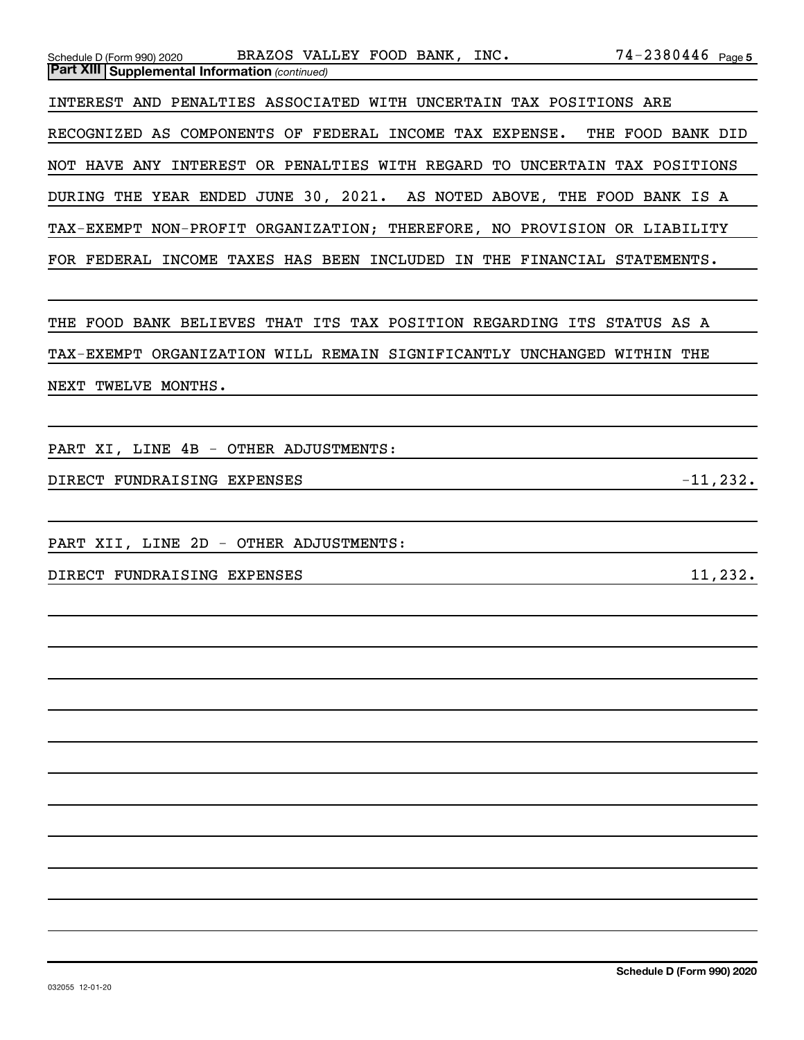| $74 - 2380446$ Page 5<br>BRAZOS VALLEY FOOD BANK, INC.<br>Schedule D (Form 990) 2020<br><b>Part XIII   Supplemental Information (continued)</b> |
|-------------------------------------------------------------------------------------------------------------------------------------------------|
|                                                                                                                                                 |
| INTEREST AND PENALTIES ASSOCIATED WITH UNCERTAIN TAX POSITIONS ARE                                                                              |
| RECOGNIZED AS COMPONENTS OF FEDERAL INCOME TAX EXPENSE.<br>THE FOOD BANK DID                                                                    |
| NOT HAVE ANY INTEREST OR PENALTIES WITH REGARD TO UNCERTAIN TAX POSITIONS                                                                       |
| DURING THE YEAR ENDED JUNE 30, 2021. AS NOTED ABOVE, THE FOOD BANK IS A                                                                         |
| TAX-EXEMPT NON-PROFIT ORGANIZATION; THEREFORE, NO PROVISION OR LIABILITY                                                                        |
| FOR FEDERAL INCOME TAXES HAS BEEN INCLUDED IN THE FINANCIAL STATEMENTS.                                                                         |
|                                                                                                                                                 |
| THE FOOD BANK BELIEVES THAT ITS TAX POSITION REGARDING ITS STATUS AS A                                                                          |
| TAX-EXEMPT ORGANIZATION WILL REMAIN SIGNIFICANTLY UNCHANGED WITHIN THE                                                                          |
|                                                                                                                                                 |
| NEXT TWELVE MONTHS.                                                                                                                             |
|                                                                                                                                                 |
| PART XI, LINE 4B - OTHER ADJUSTMENTS:                                                                                                           |
| $-11, 232.$<br>DIRECT FUNDRAISING EXPENSES                                                                                                      |
|                                                                                                                                                 |
| PART XII, LINE 2D - OTHER ADJUSTMENTS:                                                                                                          |
| 11,232.<br>DIRECT FUNDRAISING EXPENSES                                                                                                          |
|                                                                                                                                                 |
|                                                                                                                                                 |
|                                                                                                                                                 |
|                                                                                                                                                 |
|                                                                                                                                                 |
|                                                                                                                                                 |
|                                                                                                                                                 |
|                                                                                                                                                 |
|                                                                                                                                                 |
|                                                                                                                                                 |
|                                                                                                                                                 |
|                                                                                                                                                 |
|                                                                                                                                                 |
|                                                                                                                                                 |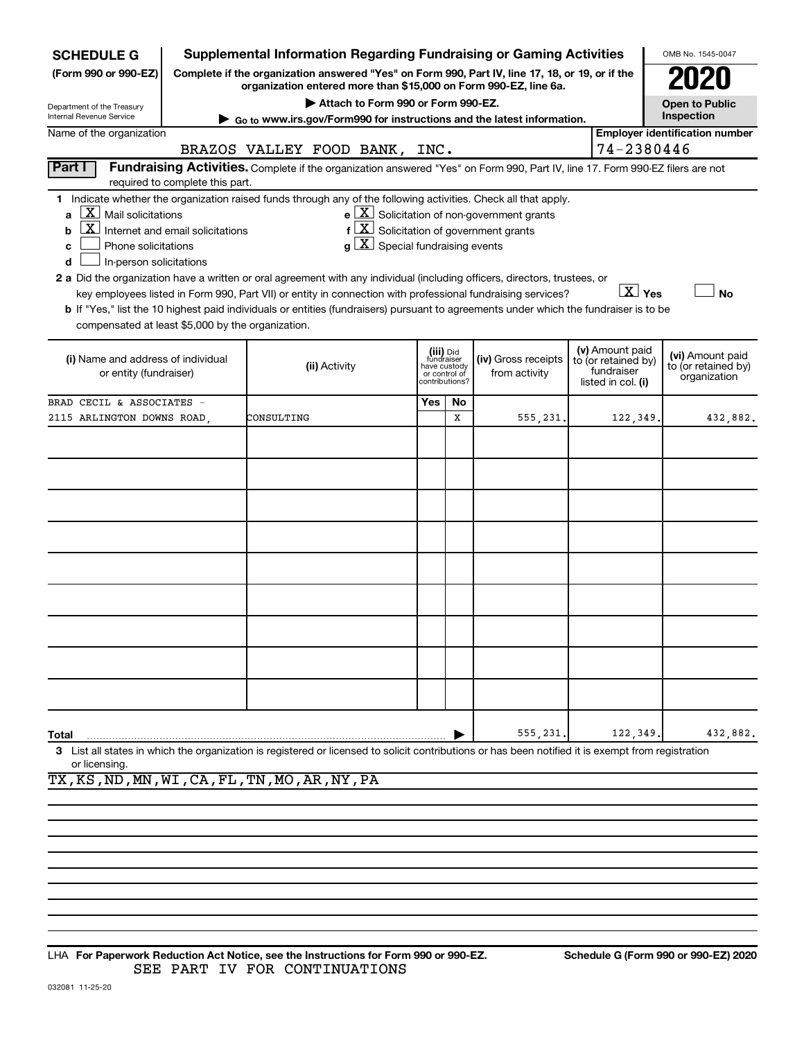| <b>SCHEDULE G</b>                                                                                                                                            |                                  | <b>Supplemental Information Regarding Fundraising or Gaming Activities</b>                                                                                                                                                                                                                                                                                                                                                                                                                            |                                      |                                                          |                |                                                                                                                                          |  |                                                                            | OMB No. 1545-0047                                       |
|--------------------------------------------------------------------------------------------------------------------------------------------------------------|----------------------------------|-------------------------------------------------------------------------------------------------------------------------------------------------------------------------------------------------------------------------------------------------------------------------------------------------------------------------------------------------------------------------------------------------------------------------------------------------------------------------------------------------------|--------------------------------------|----------------------------------------------------------|----------------|------------------------------------------------------------------------------------------------------------------------------------------|--|----------------------------------------------------------------------------|---------------------------------------------------------|
| (Form 990 or 990-EZ)                                                                                                                                         |                                  | Complete if the organization answered "Yes" on Form 990, Part IV, line 17, 18, or 19, or if the<br>organization entered more than \$15,000 on Form 990-EZ, line 6a.                                                                                                                                                                                                                                                                                                                                   |                                      |                                                          |                |                                                                                                                                          |  |                                                                            |                                                         |
| Department of the Treasury                                                                                                                                   |                                  | Attach to Form 990 or Form 990-EZ.                                                                                                                                                                                                                                                                                                                                                                                                                                                                    |                                      |                                                          |                |                                                                                                                                          |  |                                                                            | <b>Open to Public</b><br>Inspection                     |
| Internal Revenue Service<br>Name of the organization                                                                                                         |                                  | Go to www.irs.gov/Form990 for instructions and the latest information.                                                                                                                                                                                                                                                                                                                                                                                                                                |                                      |                                                          |                |                                                                                                                                          |  |                                                                            | <b>Employer identification number</b>                   |
|                                                                                                                                                              |                                  | BRAZOS VALLEY FOOD BANK, INC.                                                                                                                                                                                                                                                                                                                                                                                                                                                                         |                                      |                                                          |                |                                                                                                                                          |  | 74-2380446                                                                 |                                                         |
| Part I                                                                                                                                                       | required to complete this part.  | Fundraising Activities. Complete if the organization answered "Yes" on Form 990, Part IV, line 17. Form 990-EZ filers are not                                                                                                                                                                                                                                                                                                                                                                         |                                      |                                                          |                |                                                                                                                                          |  |                                                                            |                                                         |
| $\lfloor x \rfloor$ Mail solicitations<br>b<br>Phone solicitations<br>c<br>In-person solicitations<br>d<br>compensated at least \$5,000 by the organization. | Internet and email solicitations | 1 Indicate whether the organization raised funds through any of the following activities. Check all that apply.<br>2 a Did the organization have a written or oral agreement with any individual (including officers, directors, trustees, or<br>key employees listed in Form 990, Part VII) or entity in connection with professional fundraising services?<br>b If "Yes," list the 10 highest paid individuals or entities (fundraisers) pursuant to agreements under which the fundraiser is to be | $g\mid X$ Special fundraising events |                                                          |                | $\mathbf{e}$ $\boxed{\mathbf{X}}$ Solicitation of non-government grants<br>$f\left[\frac{X}{X}\right]$ Solicitation of government grants |  | $X$ Yes                                                                    | <b>No</b>                                               |
| (i) Name and address of individual<br>or entity (fundraiser)                                                                                                 |                                  | (ii) Activity                                                                                                                                                                                                                                                                                                                                                                                                                                                                                         |                                      | (iii) Did<br>fundraiser<br>have custody<br>or control of | contributions? | (iv) Gross receipts<br>from activity                                                                                                     |  | (v) Amount paid<br>to (or retained by)<br>fundraiser<br>listed in col. (i) | (vi) Amount paid<br>to (or retained by)<br>organization |
| BRAD CECIL & ASSOCIATES -                                                                                                                                    |                                  |                                                                                                                                                                                                                                                                                                                                                                                                                                                                                                       |                                      | Yes                                                      | No             |                                                                                                                                          |  |                                                                            |                                                         |
| 2115 ARLINGTON DOWNS ROAD,                                                                                                                                   |                                  | CONSULTING                                                                                                                                                                                                                                                                                                                                                                                                                                                                                            |                                      |                                                          | x              | 555,231                                                                                                                                  |  | 122,349                                                                    | 432,882.                                                |
|                                                                                                                                                              |                                  |                                                                                                                                                                                                                                                                                                                                                                                                                                                                                                       |                                      |                                                          |                |                                                                                                                                          |  |                                                                            |                                                         |
|                                                                                                                                                              |                                  |                                                                                                                                                                                                                                                                                                                                                                                                                                                                                                       |                                      |                                                          |                |                                                                                                                                          |  |                                                                            |                                                         |
|                                                                                                                                                              |                                  |                                                                                                                                                                                                                                                                                                                                                                                                                                                                                                       |                                      |                                                          |                |                                                                                                                                          |  |                                                                            |                                                         |
|                                                                                                                                                              |                                  |                                                                                                                                                                                                                                                                                                                                                                                                                                                                                                       |                                      |                                                          |                |                                                                                                                                          |  |                                                                            |                                                         |
|                                                                                                                                                              |                                  |                                                                                                                                                                                                                                                                                                                                                                                                                                                                                                       |                                      |                                                          |                |                                                                                                                                          |  |                                                                            |                                                         |
|                                                                                                                                                              |                                  |                                                                                                                                                                                                                                                                                                                                                                                                                                                                                                       |                                      |                                                          |                |                                                                                                                                          |  |                                                                            |                                                         |
|                                                                                                                                                              |                                  |                                                                                                                                                                                                                                                                                                                                                                                                                                                                                                       |                                      |                                                          |                |                                                                                                                                          |  |                                                                            |                                                         |
|                                                                                                                                                              |                                  |                                                                                                                                                                                                                                                                                                                                                                                                                                                                                                       |                                      |                                                          |                |                                                                                                                                          |  |                                                                            |                                                         |
|                                                                                                                                                              |                                  |                                                                                                                                                                                                                                                                                                                                                                                                                                                                                                       |                                      |                                                          |                |                                                                                                                                          |  |                                                                            |                                                         |
| Total                                                                                                                                                        |                                  |                                                                                                                                                                                                                                                                                                                                                                                                                                                                                                       |                                      |                                                          |                | 555,231                                                                                                                                  |  | 122,349                                                                    | 432,882.                                                |
| or licensing.                                                                                                                                                |                                  | 3 List all states in which the organization is registered or licensed to solicit contributions or has been notified it is exempt from registration                                                                                                                                                                                                                                                                                                                                                    |                                      |                                                          |                |                                                                                                                                          |  |                                                                            |                                                         |

TX,KS,ND,MN,WI,CA,FL,TN,MO,AR,NY,PA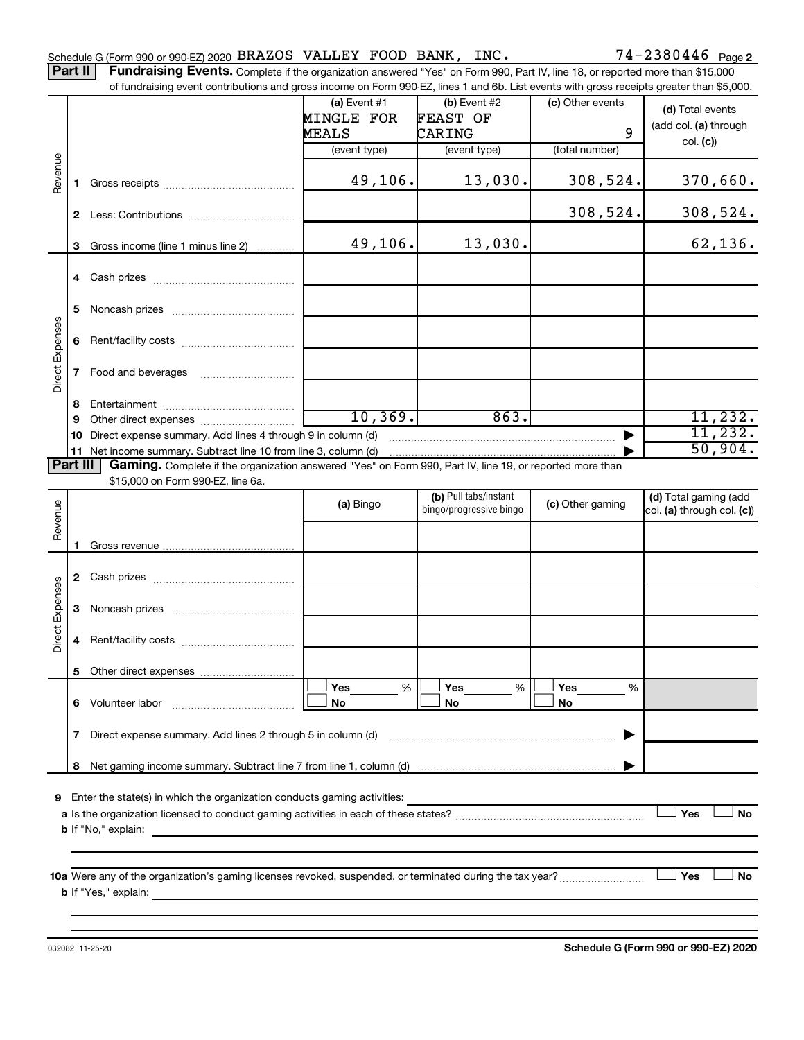Part II | Fundraising Events. Complete if the organization answered "Yes" on Form 990, Part IV, line 18, or reported more than \$15,000 of fundraising event contributions and gross income on Form 990-EZ, lines 1 and 6b. List events with gross receipts greater than \$5,000.

|                 |              |                                                                                                                         | (a) Event $#1$                                                | $(b)$ Event #2                                   | (c) Other events | (d) Total events                                    |
|-----------------|--------------|-------------------------------------------------------------------------------------------------------------------------|---------------------------------------------------------------|--------------------------------------------------|------------------|-----------------------------------------------------|
|                 |              |                                                                                                                         | MINGLE FOR                                                    | FEAST OF                                         |                  | (add col. (a) through                               |
|                 |              |                                                                                                                         | MEALS                                                         | CARING                                           | 9                | col. (c)                                            |
|                 |              |                                                                                                                         | (event type)                                                  | (event type)                                     | (total number)   |                                                     |
| Revenue         |              |                                                                                                                         | 49,106.                                                       | 13,030.                                          | 308,524.         | 370,660.                                            |
|                 |              |                                                                                                                         |                                                               |                                                  | 308,524.         | 308,524.                                            |
|                 |              | 3 Gross income (line 1 minus line 2)                                                                                    | 49,106.                                                       | 13,030.                                          |                  | 62,136.                                             |
|                 |              |                                                                                                                         |                                                               |                                                  |                  |                                                     |
|                 | 5.           |                                                                                                                         |                                                               |                                                  |                  |                                                     |
|                 | 6            |                                                                                                                         |                                                               |                                                  |                  |                                                     |
| Direct Expenses | $\mathbf{7}$ | Food and beverages                                                                                                      |                                                               |                                                  |                  |                                                     |
|                 | 8            |                                                                                                                         |                                                               |                                                  |                  |                                                     |
|                 | 9            |                                                                                                                         | 10, 369.                                                      | 863.                                             |                  | 11,232.                                             |
|                 | 10           | Direct expense summary. Add lines 4 through 9 in column (d)                                                             |                                                               |                                                  |                  | 11,232.                                             |
|                 |              |                                                                                                                         |                                                               |                                                  |                  | 50,904.                                             |
| Part III        |              | Gaming. Complete if the organization answered "Yes" on Form 990, Part IV, line 19, or reported more than                |                                                               |                                                  |                  |                                                     |
|                 |              | \$15,000 on Form 990-EZ, line 6a.                                                                                       |                                                               |                                                  |                  |                                                     |
| Revenue         |              |                                                                                                                         | (a) Bingo                                                     | (b) Pull tabs/instant<br>bingo/progressive bingo | (c) Other gaming | (d) Total gaming (add<br>col. (a) through col. (c)) |
|                 |              |                                                                                                                         |                                                               |                                                  |                  |                                                     |
|                 |              |                                                                                                                         |                                                               |                                                  |                  |                                                     |
|                 |              |                                                                                                                         |                                                               |                                                  |                  |                                                     |
| Direct Expenses | 3            |                                                                                                                         |                                                               |                                                  |                  |                                                     |
|                 | 4            |                                                                                                                         |                                                               |                                                  |                  |                                                     |
|                 |              |                                                                                                                         |                                                               |                                                  |                  |                                                     |
|                 |              |                                                                                                                         | <b>Yes</b><br>%                                               | Yes<br>%                                         | Yes<br>%         |                                                     |
|                 | 6.           | Volunteer labor                                                                                                         | No                                                            | No                                               | No               |                                                     |
|                 | 7            | Direct expense summary. Add lines 2 through 5 in column (d)                                                             |                                                               |                                                  |                  |                                                     |
|                 | 8            |                                                                                                                         |                                                               |                                                  |                  |                                                     |
| 9               |              | Enter the state(s) in which the organization conducts gaming activities:                                                |                                                               |                                                  |                  |                                                     |
|                 |              |                                                                                                                         |                                                               |                                                  |                  | Yes<br>No                                           |
|                 |              | <b>b</b> If "No," explain:<br>the control of the control of the control of the control of the control of the control of |                                                               |                                                  |                  |                                                     |
|                 |              |                                                                                                                         |                                                               |                                                  |                  |                                                     |
|                 |              |                                                                                                                         |                                                               |                                                  |                  |                                                     |
|                 |              |                                                                                                                         |                                                               |                                                  |                  | Yes<br>No                                           |
|                 |              | <b>b</b> If "Yes," explain:                                                                                             | <u> 1989 - Johann Stein, mars an deutscher Stein († 1989)</u> |                                                  |                  |                                                     |
|                 |              |                                                                                                                         |                                                               |                                                  |                  |                                                     |

032082 11-25-20

**Schedule G (Form 990 or 990-EZ) 2020**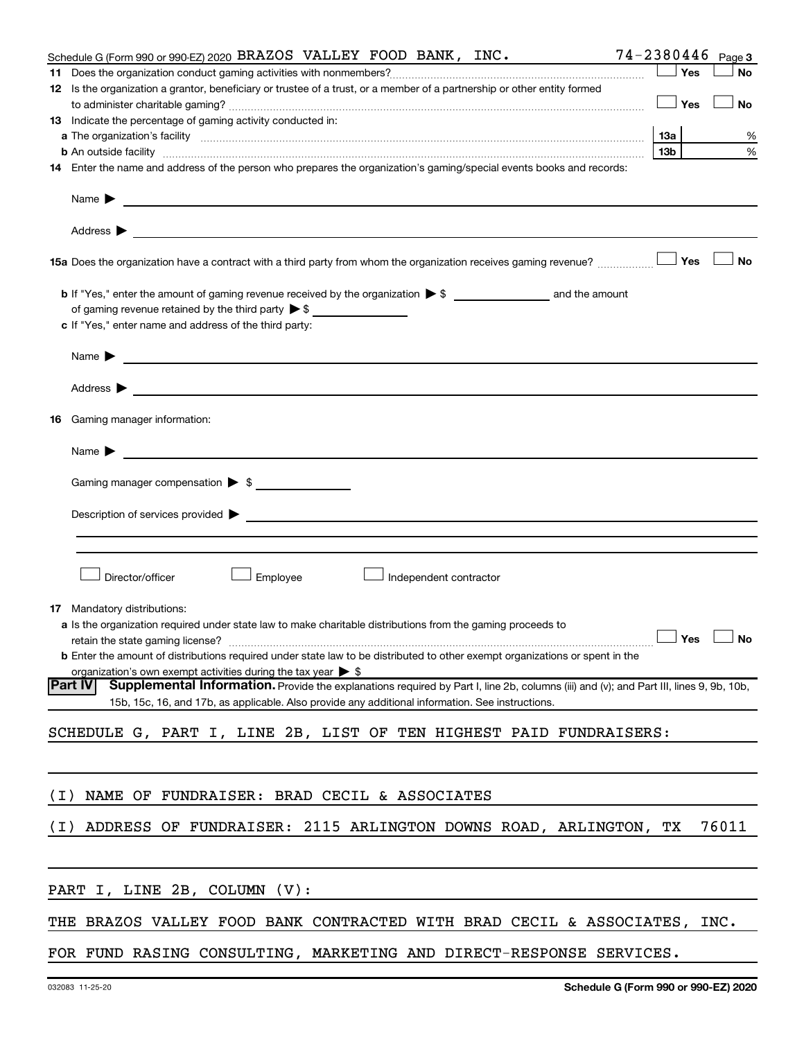|       | Schedule G (Form 990 or 990-EZ) 2020 BRAZOS VALLEY FOOD BANK, INC.                                                                                                                                                                             |     | 74-2380446 Page 3 |
|-------|------------------------------------------------------------------------------------------------------------------------------------------------------------------------------------------------------------------------------------------------|-----|-------------------|
|       |                                                                                                                                                                                                                                                | Yes | No                |
|       | 12 Is the organization a grantor, beneficiary or trustee of a trust, or a member of a partnership or other entity formed                                                                                                                       | Yes | No                |
|       | 13 Indicate the percentage of gaming activity conducted in:                                                                                                                                                                                    |     |                   |
|       |                                                                                                                                                                                                                                                | 1За | %                 |
|       | <b>b</b> An outside facility <i>[11]</i> [20] <b>https://www.frace.com/internal contracts/internal contracts/internal contracts/internal contracts/internal contracts/internal contracts/internal contracts/internal contracts/internal co</b> | 13b | %                 |
|       | 14 Enter the name and address of the person who prepares the organization's gaming/special events books and records:                                                                                                                           |     |                   |
|       | Name $\blacktriangleright$<br><u> 1989 - Johann Barbara, martxa eta batarra (h. 1989).</u>                                                                                                                                                     |     |                   |
|       | Address $\blacktriangleright$                                                                                                                                                                                                                  |     |                   |
|       | 15a Does the organization have a contract with a third party from whom the organization receives gaming revenue?                                                                                                                               | Yes | <b>No</b>         |
|       |                                                                                                                                                                                                                                                |     |                   |
|       | of gaming revenue retained by the third party $\triangleright$ \$                                                                                                                                                                              |     |                   |
|       | c If "Yes," enter name and address of the third party:                                                                                                                                                                                         |     |                   |
|       | Name $\blacktriangleright$<br><u> 1989 - Andrea State Barbara, amerikan personal di sebagai personal di sebagai personal di sebagai personal d</u>                                                                                             |     |                   |
|       | Address $\blacktriangleright$<br><u> 1989 - Johann Harry Harry Barbara, mars and deus and deus and deus and deus and deus and deus and deus and d</u>                                                                                          |     |                   |
| 16    | Gaming manager information:                                                                                                                                                                                                                    |     |                   |
|       | Name $\blacktriangleright$<br><u> 1980 - Johann Barn, mars an t-Amerikaansk politiker (* 1918)</u>                                                                                                                                             |     |                   |
|       |                                                                                                                                                                                                                                                |     |                   |
|       | Description of services provided > example and the contract of the contract of the contract of the contract of                                                                                                                                 |     |                   |
|       |                                                                                                                                                                                                                                                |     |                   |
|       | Director/officer<br>Employee<br>Independent contractor                                                                                                                                                                                         |     |                   |
|       | <b>17</b> Mandatory distributions:                                                                                                                                                                                                             |     |                   |
|       | <b>a</b> Is the organization required under state law to make charitable distributions from the gaming proceeds to                                                                                                                             |     |                   |
|       | retain the state gaming license? $\Box$ No                                                                                                                                                                                                     |     |                   |
|       | <b>b</b> Enter the amount of distributions required under state law to be distributed to other exempt organizations or spent in the                                                                                                            |     |                   |
|       | organization's own exempt activities during the tax year $\triangleright$ \$                                                                                                                                                                   |     |                   |
|       | Supplemental Information. Provide the explanations required by Part I, line 2b, columns (iii) and (v); and Part III, lines 9, 9b, 10b,<br><b>Part IV</b>                                                                                       |     |                   |
|       | 15b, 15c, 16, and 17b, as applicable. Also provide any additional information. See instructions.                                                                                                                                               |     |                   |
|       | SCHEDULE G, PART I, LINE 2B, LIST OF TEN HIGHEST PAID FUNDRAISERS:                                                                                                                                                                             |     |                   |
|       |                                                                                                                                                                                                                                                |     |                   |
| ( I ) | NAME OF FUNDRAISER: BRAD CECIL & ASSOCIATES                                                                                                                                                                                                    |     |                   |
| ( I ) | ADDRESS OF FUNDRAISER: 2115 ARLINGTON DOWNS ROAD, ARLINGTON, TX                                                                                                                                                                                |     | 76011             |
|       | PART I, LINE 2B, COLUMN (V):                                                                                                                                                                                                                   |     |                   |
|       | THE BRAZOS VALLEY FOOD BANK CONTRACTED WITH BRAD CECIL & ASSOCIATES, INC.                                                                                                                                                                      |     |                   |
|       | FOR FUND RASING CONSULTING, MARKETING AND DIRECT-RESPONSE SERVICES.                                                                                                                                                                            |     |                   |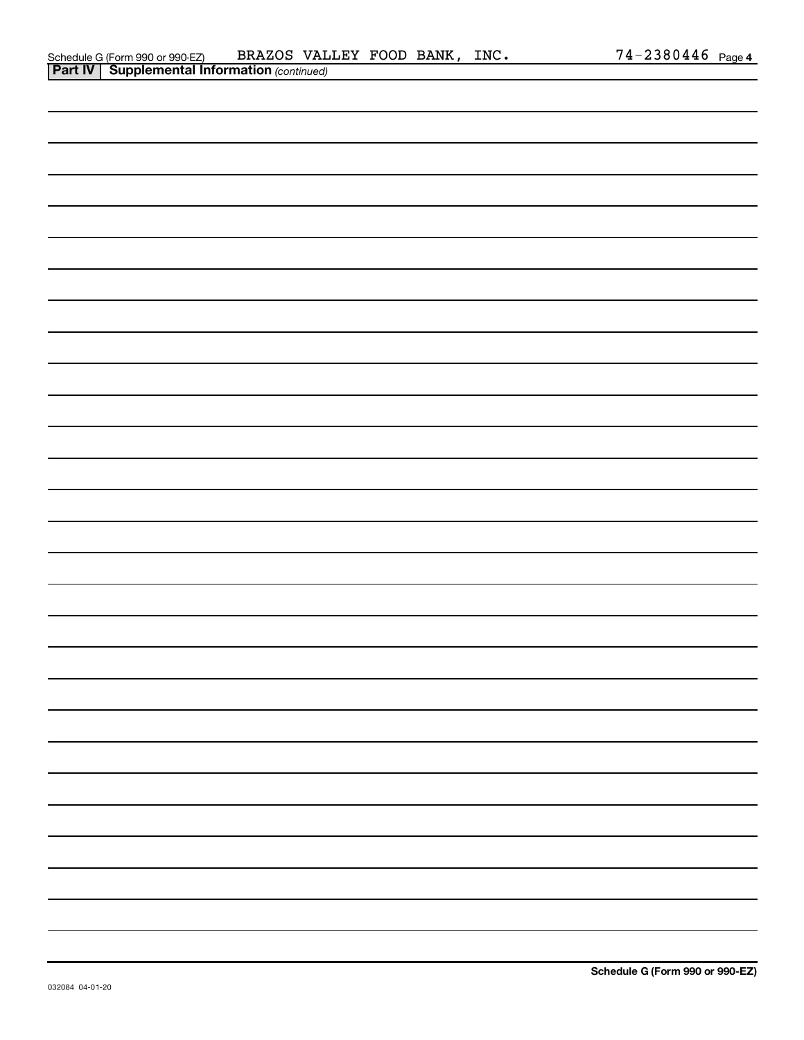| Schedule G (Form 990 or 990-EZ)                       | BRAZOS VALLEY FOOD BANK, |  | INC. | $74 - 2380446$ Page 4 |  |
|-------------------------------------------------------|--------------------------|--|------|-----------------------|--|
| <b>Part IV   Supplemental Information (continued)</b> |                          |  |      |                       |  |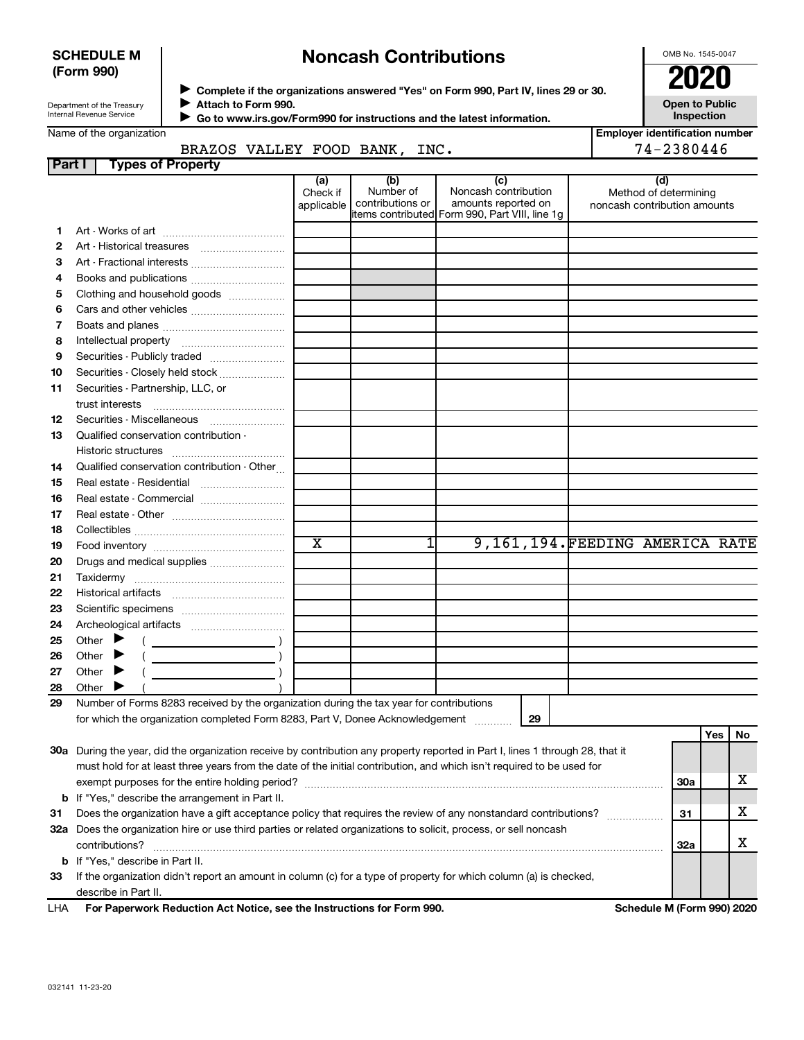#### **SCHEDULE M (Form 990)**

## **Noncash Contributions**

OMB No. 1545-0047

**Employer identification number**

| Department of the Treasury |  |
|----------------------------|--|
| Internal Revenue Service   |  |

◆ Complete if the organizations answered "Yes" on Form 990, Part IV, lines 29 or 30.<br>● Complete if the organizations answered "Yes" on Form 990, Part IV, lines 29 or 30. **Attach to Form 990.** J

**Open to Public Inspection**

 **Go to www.irs.gov/Form990 for instructions and the latest information.**  $\blacktriangleright$ 

### BRAZOS VALLEY FOOD BANK, INC. | 74-2380446

| Part I | <b>Types of Property</b>                                                                                                       |                        |                               |                                                |                                                       |  |     |    |
|--------|--------------------------------------------------------------------------------------------------------------------------------|------------------------|-------------------------------|------------------------------------------------|-------------------------------------------------------|--|-----|----|
|        |                                                                                                                                | (a)                    | (b)                           | (c)                                            | (d)                                                   |  |     |    |
|        |                                                                                                                                | Check if<br>applicable | Number of<br>contributions or | Noncash contribution<br>amounts reported on    | Method of determining<br>noncash contribution amounts |  |     |    |
|        |                                                                                                                                |                        |                               | items contributed Form 990, Part VIII, line 1g |                                                       |  |     |    |
| 1.     |                                                                                                                                |                        |                               |                                                |                                                       |  |     |    |
| 2      |                                                                                                                                |                        |                               |                                                |                                                       |  |     |    |
| З      | Art - Fractional interests                                                                                                     |                        |                               |                                                |                                                       |  |     |    |
| 4      | Books and publications                                                                                                         |                        |                               |                                                |                                                       |  |     |    |
| 5      | Clothing and household goods                                                                                                   |                        |                               |                                                |                                                       |  |     |    |
| 6      |                                                                                                                                |                        |                               |                                                |                                                       |  |     |    |
| 7      |                                                                                                                                |                        |                               |                                                |                                                       |  |     |    |
| 8      |                                                                                                                                |                        |                               |                                                |                                                       |  |     |    |
| 9      | Securities - Publicly traded                                                                                                   |                        |                               |                                                |                                                       |  |     |    |
| 10     | Securities - Closely held stock                                                                                                |                        |                               |                                                |                                                       |  |     |    |
| 11     | Securities - Partnership, LLC, or                                                                                              |                        |                               |                                                |                                                       |  |     |    |
|        | trust interests                                                                                                                |                        |                               |                                                |                                                       |  |     |    |
| 12     | Securities - Miscellaneous                                                                                                     |                        |                               |                                                |                                                       |  |     |    |
| 13     | Qualified conservation contribution -                                                                                          |                        |                               |                                                |                                                       |  |     |    |
|        |                                                                                                                                |                        |                               |                                                |                                                       |  |     |    |
| 14     | Qualified conservation contribution - Other                                                                                    |                        |                               |                                                |                                                       |  |     |    |
| 15     | Real estate - Residential                                                                                                      |                        |                               |                                                |                                                       |  |     |    |
| 16     | Real estate - Commercial                                                                                                       |                        |                               |                                                |                                                       |  |     |    |
| 17     |                                                                                                                                |                        |                               |                                                |                                                       |  |     |    |
| 18     |                                                                                                                                |                        |                               |                                                |                                                       |  |     |    |
| 19     |                                                                                                                                | $\overline{\text{x}}$  | 1                             |                                                | 9,161,194.FEEDING AMERICA RATE                        |  |     |    |
| 20     | Drugs and medical supplies                                                                                                     |                        |                               |                                                |                                                       |  |     |    |
| 21     | Taxidermy                                                                                                                      |                        |                               |                                                |                                                       |  |     |    |
| 22     |                                                                                                                                |                        |                               |                                                |                                                       |  |     |    |
| 23     |                                                                                                                                |                        |                               |                                                |                                                       |  |     |    |
| 24     |                                                                                                                                |                        |                               |                                                |                                                       |  |     |    |
| 25     | Other $\blacktriangleright$                                                                                                    |                        |                               |                                                |                                                       |  |     |    |
| 26     | Other                                                                                                                          |                        |                               |                                                |                                                       |  |     |    |
| 27     | Other $\blacktriangleright$                                                                                                    |                        |                               |                                                |                                                       |  |     |    |
| 28     | Other $\blacktriangleright$                                                                                                    |                        |                               |                                                |                                                       |  |     |    |
| 29     | Number of Forms 8283 received by the organization during the tax year for contributions                                        |                        |                               |                                                |                                                       |  |     |    |
|        | for which the organization completed Form 8283, Part V, Donee Acknowledgement<br>29                                            |                        |                               |                                                |                                                       |  |     |    |
|        |                                                                                                                                |                        |                               |                                                |                                                       |  | Yes | No |
|        | 30a During the year, did the organization receive by contribution any property reported in Part I, lines 1 through 28, that it |                        |                               |                                                |                                                       |  |     |    |
|        | must hold for at least three years from the date of the initial contribution, and which isn't required to be used for          |                        |                               |                                                |                                                       |  |     |    |
|        | exempt purposes for the entire holding period?                                                                                 |                        |                               |                                                |                                                       |  |     | x  |
| b      | If "Yes," describe the arrangement in Part II.                                                                                 |                        |                               |                                                |                                                       |  |     |    |
| 31     | Does the organization have a gift acceptance policy that requires the review of any nonstandard contributions?                 |                        |                               |                                                |                                                       |  |     | x  |

**33** If the organization didn't report an amount in column (c) for a type of property for which column (a) is checked, **b** If "Yes," describe in Part II.

 $\text{contributions?}$   $\ldots$   $\ldots$   $\ldots$   $\ldots$   $\ldots$   $\ldots$   $\ldots$   $\ldots$   $\ldots$   $\ldots$   $\ldots$   $\ldots$   $\ldots$   $\ldots$   $\ldots$   $\ldots$   $\ldots$   $\ldots$   $\ldots$   $\ldots$   $\ldots$   $\ldots$   $\ldots$   $\ldots$   $\ldots$   $\ldots$   $\ldots$   $\ldots$   $\ldots$   $\ldots$   $\ldots$   $\ldots$   $\ldots$   $\ldots$   $\ldots$ 

**32 a** Does the organization hire or use third parties or related organizations to solicit, process, or sell noncash

describe in Part II.

**For Paperwork Reduction Act Notice, see the Instructions for Form 990. Schedule M (Form 990) 2020** LHA

**32a**

X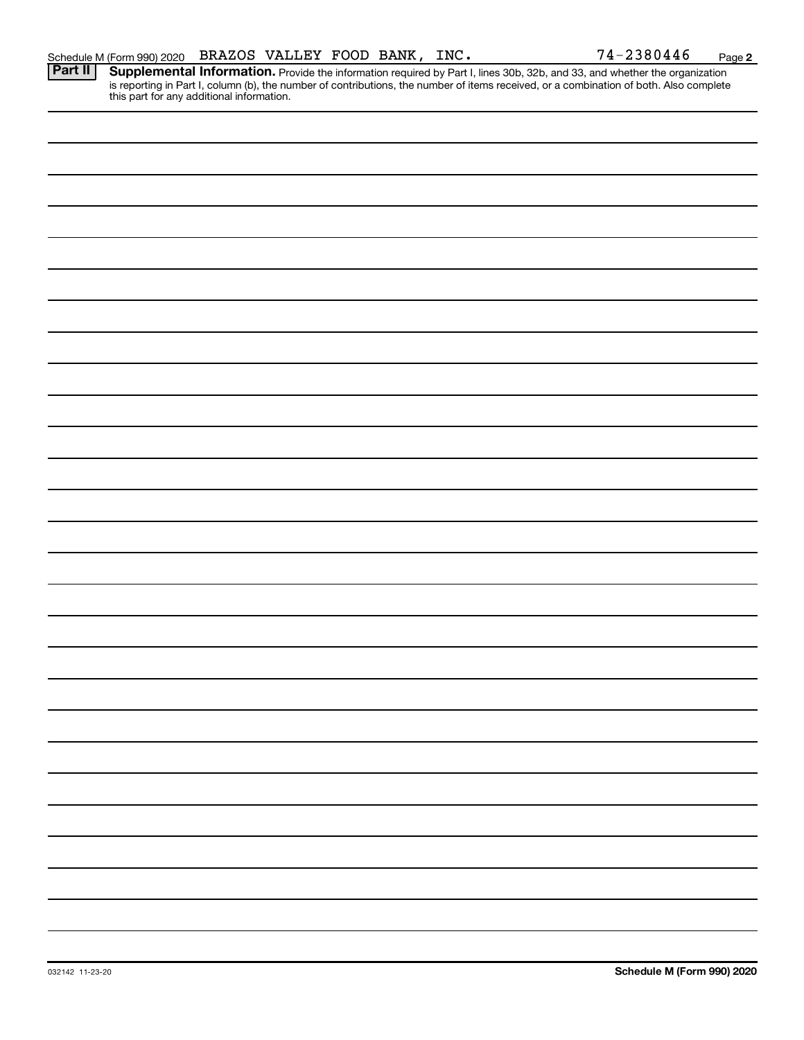Provide the information required by Part I, lines 30b, 32b, and 33, and whether the organization is reporting in Part I, column (b), the number of contributions, the number of items received, or a combination of both. Also complete this part for any additional information. **Part II Supplemental Information.**